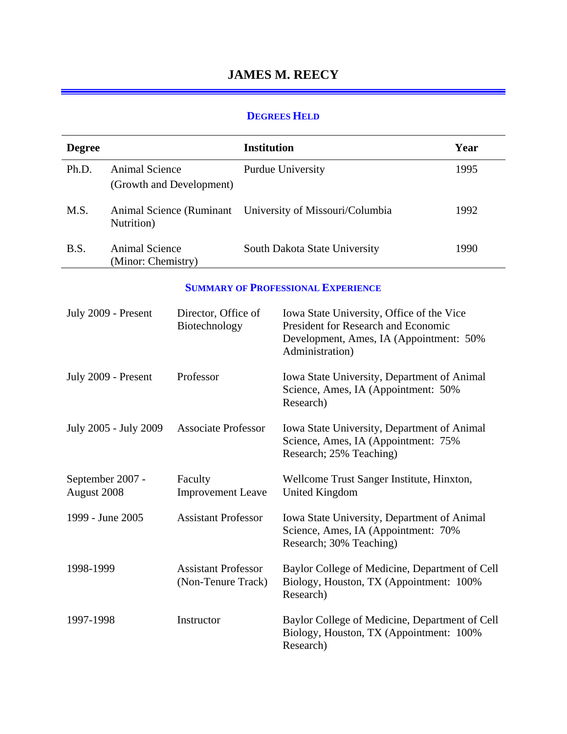# **JAMES M. REECY**

#### **DEGREES HELD**

| <b>Degree</b> |                                             |                                                  | <b>Institution</b> |                                                                                                                                                | Year |
|---------------|---------------------------------------------|--------------------------------------------------|--------------------|------------------------------------------------------------------------------------------------------------------------------------------------|------|
| Ph.D.         | <b>Animal Science</b>                       |                                                  |                    | <b>Purdue University</b>                                                                                                                       | 1995 |
|               |                                             | (Growth and Development)                         |                    |                                                                                                                                                |      |
| M.S.          | Nutrition)                                  | Animal Science (Ruminant                         |                    | University of Missouri/Columbia                                                                                                                | 1992 |
| B.S.          | <b>Animal Science</b><br>(Minor: Chemistry) |                                                  |                    | South Dakota State University                                                                                                                  | 1990 |
|               |                                             |                                                  |                    | <b>SUMMARY OF PROFESSIONAL EXPERIENCE</b>                                                                                                      |      |
|               | July 2009 - Present                         | Director, Office of<br>Biotechnology             |                    | Iowa State University, Office of the Vice<br>President for Research and Economic<br>Development, Ames, IA (Appointment: 50%<br>Administration) |      |
|               | July 2009 - Present                         | Professor                                        |                    | Iowa State University, Department of Animal<br>Science, Ames, IA (Appointment: 50%<br>Research)                                                |      |
|               | July 2005 - July 2009                       | <b>Associate Professor</b>                       |                    | Iowa State University, Department of Animal<br>Science, Ames, IA (Appointment: 75%<br>Research; 25% Teaching)                                  |      |
| August 2008   | September 2007 -                            | Faculty<br><b>Improvement Leave</b>              |                    | Wellcome Trust Sanger Institute, Hinxton,<br><b>United Kingdom</b>                                                                             |      |
|               | 1999 - June 2005                            | <b>Assistant Professor</b>                       |                    | Iowa State University, Department of Animal<br>Science, Ames, IA (Appointment: 70%<br>Research; 30% Teaching)                                  |      |
| 1998-1999     |                                             | <b>Assistant Professor</b><br>(Non-Tenure Track) |                    | Baylor College of Medicine, Department of Cell<br>Biology, Houston, TX (Appointment: 100%<br>Research)                                         |      |
| 1997-1998     |                                             | Instructor                                       |                    | Baylor College of Medicine, Department of Cell<br>Biology, Houston, TX (Appointment: 100%<br>Research)                                         |      |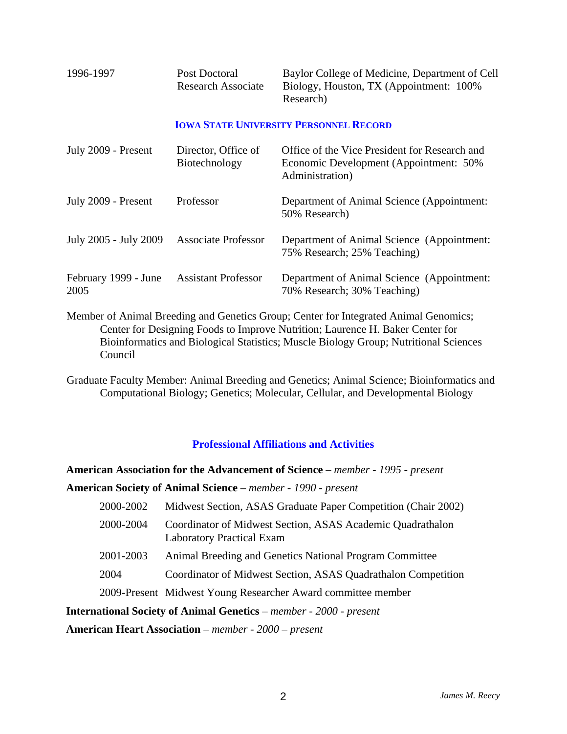| 1996-1997 | Post Doctoral      | Baylor College of Medicine, Department of Cell |
|-----------|--------------------|------------------------------------------------|
|           | Research Associate | Biology, Houston, TX (Appointment: 100%        |
|           |                    | Research)                                      |

#### **IOWA STATE UNIVERSITY PERSONNEL RECORD**

| July 2009 - Present          | Director, Office of<br>Biotechnology | Office of the Vice President for Research and<br>Economic Development (Appointment: 50%<br>Administration)                                                                                                    |
|------------------------------|--------------------------------------|---------------------------------------------------------------------------------------------------------------------------------------------------------------------------------------------------------------|
| July 2009 - Present          | Professor                            | Department of Animal Science (Appointment:<br>50% Research)                                                                                                                                                   |
| July 2005 - July 2009        | <b>Associate Professor</b>           | Department of Animal Science (Appointment:<br>75% Research; 25% Teaching)                                                                                                                                     |
| February 1999 - June<br>2005 | <b>Assistant Professor</b>           | Department of Animal Science (Appointment:<br>70% Research; 30% Teaching)                                                                                                                                     |
|                              |                                      | $M_{\rm out}$ , $f_{\rm out}$ , $f_{\rm out}$ , $f_{\rm out}$ , $f_{\rm out}$ , $f_{\rm out}$ , $f_{\rm out}$ , $f_{\rm out}$ , $f_{\rm out}$ , $f_{\rm out}$ , $f_{\rm out}$ , $f_{\rm out}$ , $f_{\rm out}$ |

Member of Animal Breeding and Genetics Group; Center for Integrated Animal Genomics; Center for Designing Foods to Improve Nutrition; Laurence H. Baker Center for Bioinformatics and Biological Statistics; Muscle Biology Group; Nutritional Sciences Council

Graduate Faculty Member: Animal Breeding and Genetics; Animal Science; Bioinformatics and Computational Biology; Genetics; Molecular, Cellular, and Developmental Biology

### **Professional Affiliations and Activities**

**American Association for the Advancement of Science** – *member - 1995 - present* **American Society of Animal Science** – *member - 1990 - present*

| 2000-2002 | Midwest Section, ASAS Graduate Paper Competition (Chair 2002)                                  |
|-----------|------------------------------------------------------------------------------------------------|
| 2000-2004 | Coordinator of Midwest Section, ASAS Academic Quadrathalon<br><b>Laboratory Practical Exam</b> |
| 2001-2003 | Animal Breeding and Genetics National Program Committee                                        |
| 2004      | Coordinator of Midwest Section, ASAS Quadrathalon Competition                                  |
|           | 2009-Present Midwest Young Researcher Award committee member                                   |

**International Society of Animal Genetics** – *member - 2000 - present*

**American Heart Association** – *member - 2000 – present*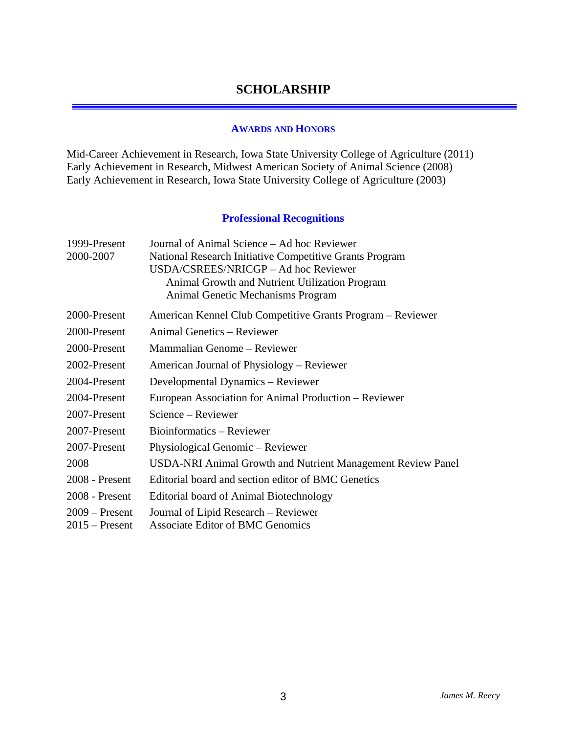## **SCHOLARSHIP**

#### **AWARDS AND HONORS**

Mid-Career Achievement in Research, Iowa State University College of Agriculture (2011) Early Achievement in Research, Midwest American Society of Animal Science (2008) Early Achievement in Research, Iowa State University College of Agriculture (2003)

### **Professional Recognitions**

| 1999-Present     | Journal of Animal Science – Ad hoc Reviewer                 |
|------------------|-------------------------------------------------------------|
| 2000-2007        | National Research Initiative Competitive Grants Program     |
|                  | USDA/CSREES/NRICGP - Ad hoc Reviewer                        |
|                  | Animal Growth and Nutrient Utilization Program              |
|                  | Animal Genetic Mechanisms Program                           |
| 2000-Present     | American Kennel Club Competitive Grants Program – Reviewer  |
| 2000-Present     | Animal Genetics – Reviewer                                  |
| 2000-Present     | Mammalian Genome – Reviewer                                 |
| 2002-Present     | American Journal of Physiology – Reviewer                   |
| 2004-Present     | Developmental Dynamics – Reviewer                           |
| 2004-Present     | European Association for Animal Production – Reviewer       |
| 2007-Present     | Science – Reviewer                                          |
| 2007-Present     | Bioinformatics – Reviewer                                   |
| 2007-Present     | Physiological Genomic – Reviewer                            |
| 2008             | USDA-NRI Animal Growth and Nutrient Management Review Panel |
| 2008 - Present   | Editorial board and section editor of BMC Genetics          |
| 2008 - Present   | Editorial board of Animal Biotechnology                     |
| $2009 -$ Present | Journal of Lipid Research – Reviewer                        |
| $2015$ – Present | <b>Associate Editor of BMC Genomics</b>                     |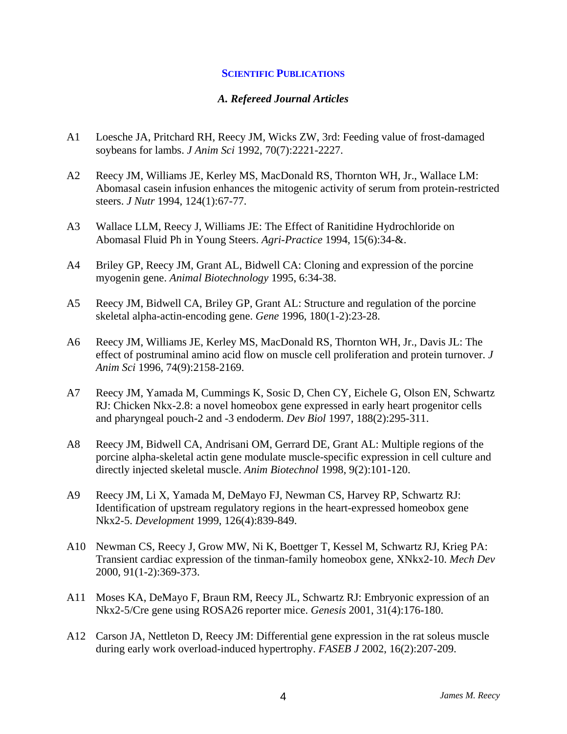#### **SCIENTIFIC PUBLICATIONS**

#### *A. Refereed Journal Articles*

- A1 Loesche JA, Pritchard RH, Reecy JM, Wicks ZW, 3rd: Feeding value of frost-damaged soybeans for lambs. *J Anim Sci* 1992, 70(7):2221-2227.
- A2 Reecy JM, Williams JE, Kerley MS, MacDonald RS, Thornton WH, Jr., Wallace LM: Abomasal casein infusion enhances the mitogenic activity of serum from protein-restricted steers. *J Nutr* 1994, 124(1):67-77.
- A3 Wallace LLM, Reecy J, Williams JE: The Effect of Ranitidine Hydrochloride on Abomasal Fluid Ph in Young Steers. *Agri-Practice* 1994, 15(6):34-&.
- A4 Briley GP, Reecy JM, Grant AL, Bidwell CA: Cloning and expression of the porcine myogenin gene. *Animal Biotechnology* 1995, 6:34-38.
- A5 Reecy JM, Bidwell CA, Briley GP, Grant AL: Structure and regulation of the porcine skeletal alpha-actin-encoding gene. *Gene* 1996, 180(1-2):23-28.
- A6 Reecy JM, Williams JE, Kerley MS, MacDonald RS, Thornton WH, Jr., Davis JL: The effect of postruminal amino acid flow on muscle cell proliferation and protein turnover. *J Anim Sci* 1996, 74(9):2158-2169.
- A7 Reecy JM, Yamada M, Cummings K, Sosic D, Chen CY, Eichele G, Olson EN, Schwartz RJ: Chicken Nkx-2.8: a novel homeobox gene expressed in early heart progenitor cells and pharyngeal pouch-2 and -3 endoderm. *Dev Biol* 1997, 188(2):295-311.
- A8 Reecy JM, Bidwell CA, Andrisani OM, Gerrard DE, Grant AL: Multiple regions of the porcine alpha-skeletal actin gene modulate muscle-specific expression in cell culture and directly injected skeletal muscle. *Anim Biotechnol* 1998, 9(2):101-120.
- A9 Reecy JM, Li X, Yamada M, DeMayo FJ, Newman CS, Harvey RP, Schwartz RJ: Identification of upstream regulatory regions in the heart-expressed homeobox gene Nkx2-5. *Development* 1999, 126(4):839-849.
- A10 Newman CS, Reecy J, Grow MW, Ni K, Boettger T, Kessel M, Schwartz RJ, Krieg PA: Transient cardiac expression of the tinman-family homeobox gene, XNkx2-10. *Mech Dev*  2000, 91(1-2):369-373.
- A11 Moses KA, DeMayo F, Braun RM, Reecy JL, Schwartz RJ: Embryonic expression of an Nkx2-5/Cre gene using ROSA26 reporter mice. *Genesis* 2001, 31(4):176-180.
- A12 Carson JA, Nettleton D, Reecy JM: Differential gene expression in the rat soleus muscle during early work overload-induced hypertrophy. *FASEB J* 2002, 16(2):207-209.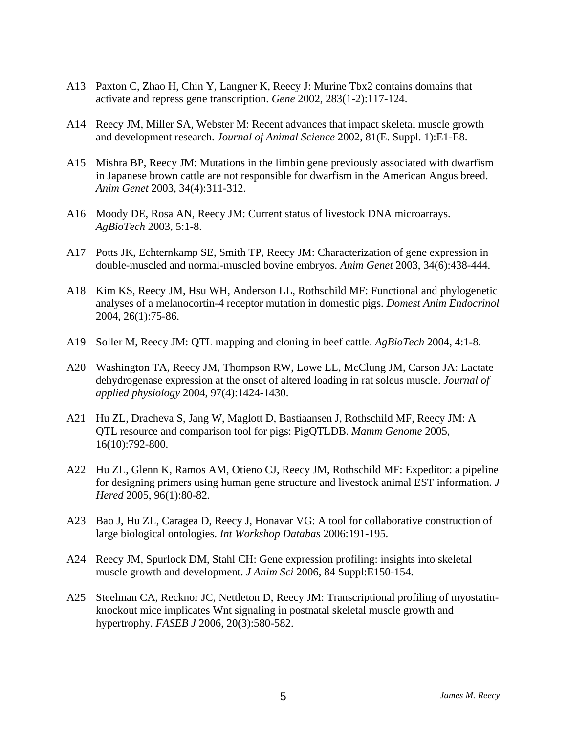- A13 Paxton C, Zhao H, Chin Y, Langner K, Reecy J: Murine Tbx2 contains domains that activate and repress gene transcription. *Gene* 2002, 283(1-2):117-124.
- A14 Reecy JM, Miller SA, Webster M: Recent advances that impact skeletal muscle growth and development research. *Journal of Animal Science* 2002, 81(E. Suppl. 1):E1-E8.
- A15 Mishra BP, Reecy JM: Mutations in the limbin gene previously associated with dwarfism in Japanese brown cattle are not responsible for dwarfism in the American Angus breed. *Anim Genet* 2003, 34(4):311-312.
- A16 Moody DE, Rosa AN, Reecy JM: Current status of livestock DNA microarrays. *AgBioTech* 2003, 5:1-8.
- A17 Potts JK, Echternkamp SE, Smith TP, Reecy JM: Characterization of gene expression in double-muscled and normal-muscled bovine embryos. *Anim Genet* 2003, 34(6):438-444.
- A18 Kim KS, Reecy JM, Hsu WH, Anderson LL, Rothschild MF: Functional and phylogenetic analyses of a melanocortin-4 receptor mutation in domestic pigs. *Domest Anim Endocrinol*  2004, 26(1):75-86.
- A19 Soller M, Reecy JM: QTL mapping and cloning in beef cattle. *AgBioTech* 2004, 4:1-8.
- A20 Washington TA, Reecy JM, Thompson RW, Lowe LL, McClung JM, Carson JA: Lactate dehydrogenase expression at the onset of altered loading in rat soleus muscle. *Journal of applied physiology* 2004, 97(4):1424-1430.
- A21 Hu ZL, Dracheva S, Jang W, Maglott D, Bastiaansen J, Rothschild MF, Reecy JM: A QTL resource and comparison tool for pigs: PigQTLDB. *Mamm Genome* 2005, 16(10):792-800.
- A22 Hu ZL, Glenn K, Ramos AM, Otieno CJ, Reecy JM, Rothschild MF: Expeditor: a pipeline for designing primers using human gene structure and livestock animal EST information. *J Hered* 2005, 96(1):80-82.
- A23 Bao J, Hu ZL, Caragea D, Reecy J, Honavar VG: A tool for collaborative construction of large biological ontologies. *Int Workshop Databas* 2006:191-195.
- A24 Reecy JM, Spurlock DM, Stahl CH: Gene expression profiling: insights into skeletal muscle growth and development. *J Anim Sci* 2006, 84 Suppl:E150-154.
- A25 Steelman CA, Recknor JC, Nettleton D, Reecy JM: Transcriptional profiling of myostatinknockout mice implicates Wnt signaling in postnatal skeletal muscle growth and hypertrophy. *FASEB J* 2006, 20(3):580-582.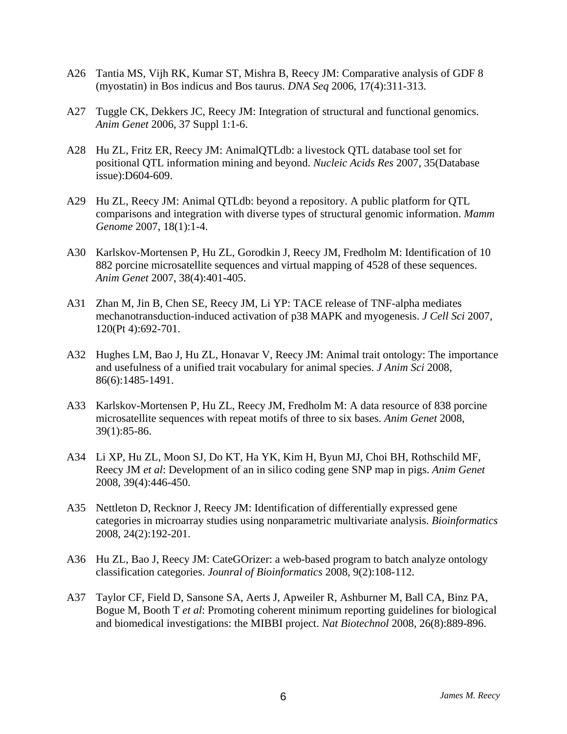- A26 Tantia MS, Vijh RK, Kumar ST, Mishra B, Reecy JM: Comparative analysis of GDF 8 (myostatin) in Bos indicus and Bos taurus. *DNA Seq* 2006, 17(4):311-313.
- A27 Tuggle CK, Dekkers JC, Reecy JM: Integration of structural and functional genomics. *Anim Genet* 2006, 37 Suppl 1:1-6.
- A28 Hu ZL, Fritz ER, Reecy JM: AnimalQTLdb: a livestock QTL database tool set for positional QTL information mining and beyond. *Nucleic Acids Res* 2007, 35(Database issue):D604-609.
- A29 Hu ZL, Reecy JM: Animal QTLdb: beyond a repository. A public platform for QTL comparisons and integration with diverse types of structural genomic information. *Mamm Genome* 2007, 18(1):1-4.
- A30 Karlskov-Mortensen P, Hu ZL, Gorodkin J, Reecy JM, Fredholm M: Identification of 10 882 porcine microsatellite sequences and virtual mapping of 4528 of these sequences. *Anim Genet* 2007, 38(4):401-405.
- A31 Zhan M, Jin B, Chen SE, Reecy JM, Li YP: TACE release of TNF-alpha mediates mechanotransduction-induced activation of p38 MAPK and myogenesis. *J Cell Sci* 2007, 120(Pt 4):692-701.
- A32 Hughes LM, Bao J, Hu ZL, Honavar V, Reecy JM: Animal trait ontology: The importance and usefulness of a unified trait vocabulary for animal species. *J Anim Sci* 2008, 86(6):1485-1491.
- A33 Karlskov-Mortensen P, Hu ZL, Reecy JM, Fredholm M: A data resource of 838 porcine microsatellite sequences with repeat motifs of three to six bases. *Anim Genet* 2008, 39(1):85-86.
- A34 Li XP, Hu ZL, Moon SJ, Do KT, Ha YK, Kim H, Byun MJ, Choi BH, Rothschild MF, Reecy JM *et al*: Development of an in silico coding gene SNP map in pigs. *Anim Genet*  2008, 39(4):446-450.
- A35 Nettleton D, Recknor J, Reecy JM: Identification of differentially expressed gene categories in microarray studies using nonparametric multivariate analysis. *Bioinformatics*  2008, 24(2):192-201.
- A36 Hu ZL, Bao J, Reecy JM: CateGOrizer: a web-based program to batch analyze ontology classification categories. *Jounral of Bioinformatics* 2008, 9(2):108-112.
- A37 Taylor CF, Field D, Sansone SA, Aerts J, Apweiler R, Ashburner M, Ball CA, Binz PA, Bogue M, Booth T *et al*: Promoting coherent minimum reporting guidelines for biological and biomedical investigations: the MIBBI project. *Nat Biotechnol* 2008, 26(8):889-896.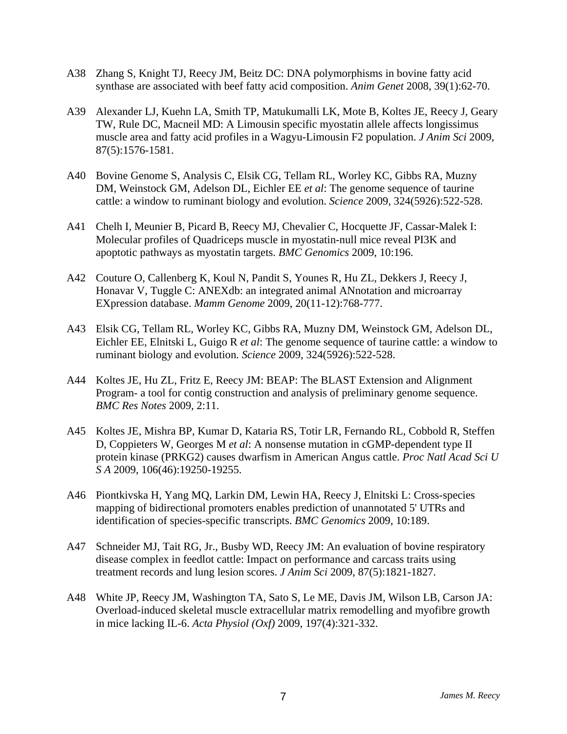- A38 Zhang S, Knight TJ, Reecy JM, Beitz DC: DNA polymorphisms in bovine fatty acid synthase are associated with beef fatty acid composition. *Anim Genet* 2008, 39(1):62-70.
- A39 Alexander LJ, Kuehn LA, Smith TP, Matukumalli LK, Mote B, Koltes JE, Reecy J, Geary TW, Rule DC, Macneil MD: A Limousin specific myostatin allele affects longissimus muscle area and fatty acid profiles in a Wagyu-Limousin F2 population. *J Anim Sci* 2009, 87(5):1576-1581.
- A40 Bovine Genome S, Analysis C, Elsik CG, Tellam RL, Worley KC, Gibbs RA, Muzny DM, Weinstock GM, Adelson DL, Eichler EE *et al*: The genome sequence of taurine cattle: a window to ruminant biology and evolution. *Science* 2009, 324(5926):522-528.
- A41 Chelh I, Meunier B, Picard B, Reecy MJ, Chevalier C, Hocquette JF, Cassar-Malek I: Molecular profiles of Quadriceps muscle in myostatin-null mice reveal PI3K and apoptotic pathways as myostatin targets. *BMC Genomics* 2009, 10:196.
- A42 Couture O, Callenberg K, Koul N, Pandit S, Younes R, Hu ZL, Dekkers J, Reecy J, Honavar V, Tuggle C: ANEXdb: an integrated animal ANnotation and microarray EXpression database. *Mamm Genome* 2009, 20(11-12):768-777.
- A43 Elsik CG, Tellam RL, Worley KC, Gibbs RA, Muzny DM, Weinstock GM, Adelson DL, Eichler EE, Elnitski L, Guigo R *et al*: The genome sequence of taurine cattle: a window to ruminant biology and evolution. *Science* 2009, 324(5926):522-528.
- A44 Koltes JE, Hu ZL, Fritz E, Reecy JM: BEAP: The BLAST Extension and Alignment Program- a tool for contig construction and analysis of preliminary genome sequence. *BMC Res Notes* 2009, 2:11.
- A45 Koltes JE, Mishra BP, Kumar D, Kataria RS, Totir LR, Fernando RL, Cobbold R, Steffen D, Coppieters W, Georges M *et al*: A nonsense mutation in cGMP-dependent type II protein kinase (PRKG2) causes dwarfism in American Angus cattle. *Proc Natl Acad Sci U S A* 2009, 106(46):19250-19255.
- A46 Piontkivska H, Yang MQ, Larkin DM, Lewin HA, Reecy J, Elnitski L: Cross-species mapping of bidirectional promoters enables prediction of unannotated 5' UTRs and identification of species-specific transcripts. *BMC Genomics* 2009, 10:189.
- A47 Schneider MJ, Tait RG, Jr., Busby WD, Reecy JM: An evaluation of bovine respiratory disease complex in feedlot cattle: Impact on performance and carcass traits using treatment records and lung lesion scores. *J Anim Sci* 2009, 87(5):1821-1827.
- A48 White JP, Reecy JM, Washington TA, Sato S, Le ME, Davis JM, Wilson LB, Carson JA: Overload-induced skeletal muscle extracellular matrix remodelling and myofibre growth in mice lacking IL-6. *Acta Physiol (Oxf)* 2009, 197(4):321-332.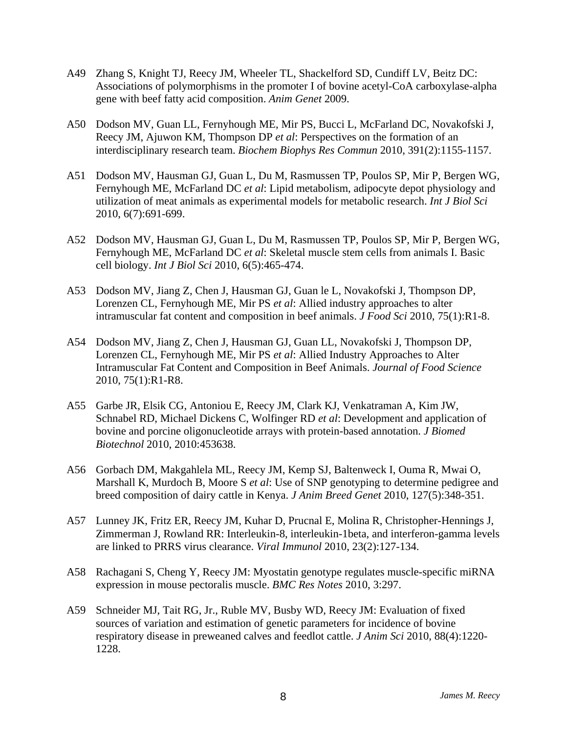- A49 Zhang S, Knight TJ, Reecy JM, Wheeler TL, Shackelford SD, Cundiff LV, Beitz DC: Associations of polymorphisms in the promoter I of bovine acetyl-CoA carboxylase-alpha gene with beef fatty acid composition. *Anim Genet* 2009.
- A50 Dodson MV, Guan LL, Fernyhough ME, Mir PS, Bucci L, McFarland DC, Novakofski J, Reecy JM, Ajuwon KM, Thompson DP *et al*: Perspectives on the formation of an interdisciplinary research team. *Biochem Biophys Res Commun* 2010, 391(2):1155-1157.
- A51 Dodson MV, Hausman GJ, Guan L, Du M, Rasmussen TP, Poulos SP, Mir P, Bergen WG, Fernyhough ME, McFarland DC *et al*: Lipid metabolism, adipocyte depot physiology and utilization of meat animals as experimental models for metabolic research. *Int J Biol Sci*  2010, 6(7):691-699.
- A52 Dodson MV, Hausman GJ, Guan L, Du M, Rasmussen TP, Poulos SP, Mir P, Bergen WG, Fernyhough ME, McFarland DC *et al*: Skeletal muscle stem cells from animals I. Basic cell biology. *Int J Biol Sci* 2010, 6(5):465-474.
- A53 Dodson MV, Jiang Z, Chen J, Hausman GJ, Guan le L, Novakofski J, Thompson DP, Lorenzen CL, Fernyhough ME, Mir PS *et al*: Allied industry approaches to alter intramuscular fat content and composition in beef animals. *J Food Sci* 2010, 75(1):R1-8.
- A54 Dodson MV, Jiang Z, Chen J, Hausman GJ, Guan LL, Novakofski J, Thompson DP, Lorenzen CL, Fernyhough ME, Mir PS *et al*: Allied Industry Approaches to Alter Intramuscular Fat Content and Composition in Beef Animals. *Journal of Food Science*  2010, 75(1):R1-R8.
- A55 Garbe JR, Elsik CG, Antoniou E, Reecy JM, Clark KJ, Venkatraman A, Kim JW, Schnabel RD, Michael Dickens C, Wolfinger RD *et al*: Development and application of bovine and porcine oligonucleotide arrays with protein-based annotation. *J Biomed Biotechnol* 2010, 2010:453638.
- A56 Gorbach DM, Makgahlela ML, Reecy JM, Kemp SJ, Baltenweck I, Ouma R, Mwai O, Marshall K, Murdoch B, Moore S *et al*: Use of SNP genotyping to determine pedigree and breed composition of dairy cattle in Kenya. *J Anim Breed Genet* 2010, 127(5):348-351.
- A57 Lunney JK, Fritz ER, Reecy JM, Kuhar D, Prucnal E, Molina R, Christopher-Hennings J, Zimmerman J, Rowland RR: Interleukin-8, interleukin-1beta, and interferon-gamma levels are linked to PRRS virus clearance. *Viral Immunol* 2010, 23(2):127-134.
- A58 Rachagani S, Cheng Y, Reecy JM: Myostatin genotype regulates muscle-specific miRNA expression in mouse pectoralis muscle. *BMC Res Notes* 2010, 3:297.
- A59 Schneider MJ, Tait RG, Jr., Ruble MV, Busby WD, Reecy JM: Evaluation of fixed sources of variation and estimation of genetic parameters for incidence of bovine respiratory disease in preweaned calves and feedlot cattle. *J Anim Sci* 2010, 88(4):1220- 1228.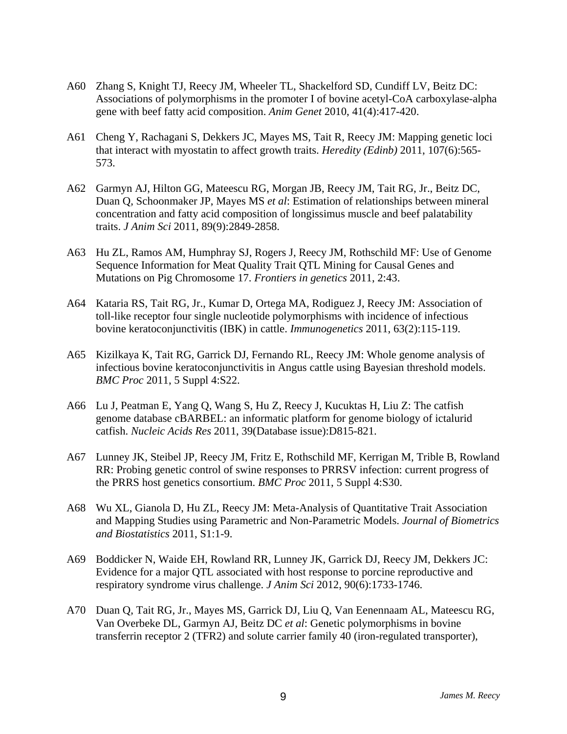- A60 Zhang S, Knight TJ, Reecy JM, Wheeler TL, Shackelford SD, Cundiff LV, Beitz DC: Associations of polymorphisms in the promoter I of bovine acetyl-CoA carboxylase-alpha gene with beef fatty acid composition. *Anim Genet* 2010, 41(4):417-420.
- A61 Cheng Y, Rachagani S, Dekkers JC, Mayes MS, Tait R, Reecy JM: Mapping genetic loci that interact with myostatin to affect growth traits. *Heredity (Edinb)* 2011, 107(6):565- 573.
- A62 Garmyn AJ, Hilton GG, Mateescu RG, Morgan JB, Reecy JM, Tait RG, Jr., Beitz DC, Duan Q, Schoonmaker JP, Mayes MS *et al*: Estimation of relationships between mineral concentration and fatty acid composition of longissimus muscle and beef palatability traits. *J Anim Sci* 2011, 89(9):2849-2858.
- A63 Hu ZL, Ramos AM, Humphray SJ, Rogers J, Reecy JM, Rothschild MF: Use of Genome Sequence Information for Meat Quality Trait QTL Mining for Causal Genes and Mutations on Pig Chromosome 17. *Frontiers in genetics* 2011, 2:43.
- A64 Kataria RS, Tait RG, Jr., Kumar D, Ortega MA, Rodiguez J, Reecy JM: Association of toll-like receptor four single nucleotide polymorphisms with incidence of infectious bovine keratoconjunctivitis (IBK) in cattle. *Immunogenetics* 2011, 63(2):115-119.
- A65 Kizilkaya K, Tait RG, Garrick DJ, Fernando RL, Reecy JM: Whole genome analysis of infectious bovine keratoconjunctivitis in Angus cattle using Bayesian threshold models. *BMC Proc* 2011, 5 Suppl 4:S22.
- A66 Lu J, Peatman E, Yang Q, Wang S, Hu Z, Reecy J, Kucuktas H, Liu Z: The catfish genome database cBARBEL: an informatic platform for genome biology of ictalurid catfish. *Nucleic Acids Res* 2011, 39(Database issue):D815-821.
- A67 Lunney JK, Steibel JP, Reecy JM, Fritz E, Rothschild MF, Kerrigan M, Trible B, Rowland RR: Probing genetic control of swine responses to PRRSV infection: current progress of the PRRS host genetics consortium. *BMC Proc* 2011, 5 Suppl 4:S30.
- A68 Wu XL, Gianola D, Hu ZL, Reecy JM: Meta-Analysis of Quantitative Trait Association and Mapping Studies using Parametric and Non-Parametric Models. *Journal of Biometrics and Biostatistics* 2011, S1:1-9.
- A69 Boddicker N, Waide EH, Rowland RR, Lunney JK, Garrick DJ, Reecy JM, Dekkers JC: Evidence for a major QTL associated with host response to porcine reproductive and respiratory syndrome virus challenge. *J Anim Sci* 2012, 90(6):1733-1746.
- A70 Duan Q, Tait RG, Jr., Mayes MS, Garrick DJ, Liu Q, Van Eenennaam AL, Mateescu RG, Van Overbeke DL, Garmyn AJ, Beitz DC *et al*: Genetic polymorphisms in bovine transferrin receptor 2 (TFR2) and solute carrier family 40 (iron-regulated transporter),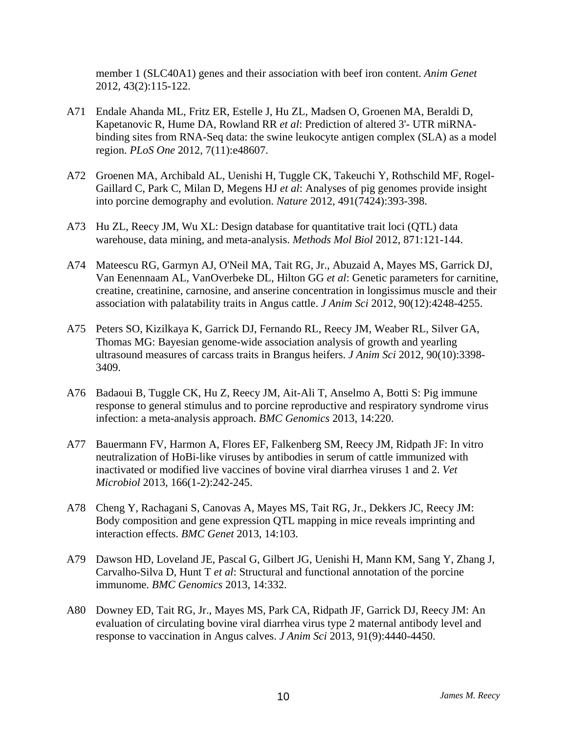member 1 (SLC40A1) genes and their association with beef iron content. *Anim Genet*  2012, 43(2):115-122.

- A71 Endale Ahanda ML, Fritz ER, Estelle J, Hu ZL, Madsen O, Groenen MA, Beraldi D, Kapetanovic R, Hume DA, Rowland RR *et al*: Prediction of altered 3'- UTR miRNAbinding sites from RNA-Seq data: the swine leukocyte antigen complex (SLA) as a model region. *PLoS One* 2012, 7(11):e48607.
- A72 Groenen MA, Archibald AL, Uenishi H, Tuggle CK, Takeuchi Y, Rothschild MF, Rogel-Gaillard C, Park C, Milan D, Megens HJ *et al*: Analyses of pig genomes provide insight into porcine demography and evolution. *Nature* 2012, 491(7424):393-398.
- A73 Hu ZL, Reecy JM, Wu XL: Design database for quantitative trait loci (QTL) data warehouse, data mining, and meta-analysis. *Methods Mol Biol* 2012, 871:121-144.
- A74 Mateescu RG, Garmyn AJ, O'Neil MA, Tait RG, Jr., Abuzaid A, Mayes MS, Garrick DJ, Van Eenennaam AL, VanOverbeke DL, Hilton GG *et al*: Genetic parameters for carnitine, creatine, creatinine, carnosine, and anserine concentration in longissimus muscle and their association with palatability traits in Angus cattle. *J Anim Sci* 2012, 90(12):4248-4255.
- A75 Peters SO, Kizilkaya K, Garrick DJ, Fernando RL, Reecy JM, Weaber RL, Silver GA, Thomas MG: Bayesian genome-wide association analysis of growth and yearling ultrasound measures of carcass traits in Brangus heifers. *J Anim Sci* 2012, 90(10):3398- 3409.
- A76 Badaoui B, Tuggle CK, Hu Z, Reecy JM, Ait-Ali T, Anselmo A, Botti S: Pig immune response to general stimulus and to porcine reproductive and respiratory syndrome virus infection: a meta-analysis approach. *BMC Genomics* 2013, 14:220.
- A77 Bauermann FV, Harmon A, Flores EF, Falkenberg SM, Reecy JM, Ridpath JF: In vitro neutralization of HoBi-like viruses by antibodies in serum of cattle immunized with inactivated or modified live vaccines of bovine viral diarrhea viruses 1 and 2. *Vet Microbiol* 2013, 166(1-2):242-245.
- A78 Cheng Y, Rachagani S, Canovas A, Mayes MS, Tait RG, Jr., Dekkers JC, Reecy JM: Body composition and gene expression QTL mapping in mice reveals imprinting and interaction effects. *BMC Genet* 2013, 14:103.
- A79 Dawson HD, Loveland JE, Pascal G, Gilbert JG, Uenishi H, Mann KM, Sang Y, Zhang J, Carvalho-Silva D, Hunt T *et al*: Structural and functional annotation of the porcine immunome. *BMC Genomics* 2013, 14:332.
- A80 Downey ED, Tait RG, Jr., Mayes MS, Park CA, Ridpath JF, Garrick DJ, Reecy JM: An evaluation of circulating bovine viral diarrhea virus type 2 maternal antibody level and response to vaccination in Angus calves. *J Anim Sci* 2013, 91(9):4440-4450.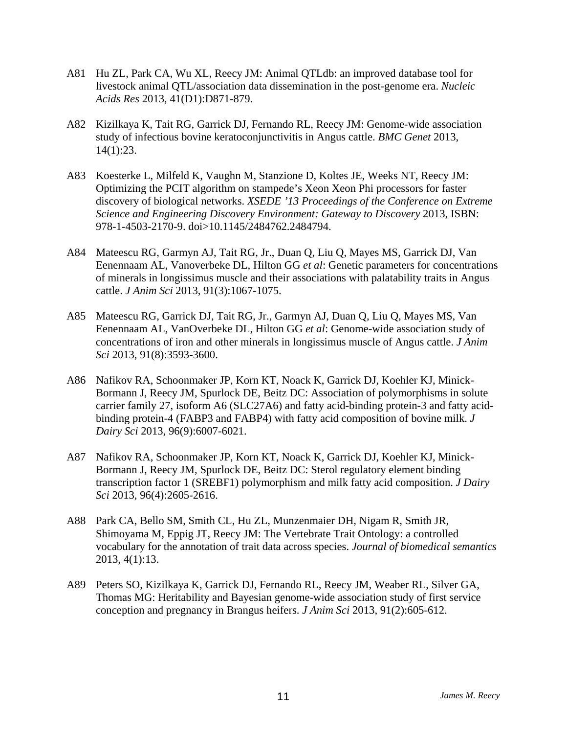- A81 Hu ZL, Park CA, Wu XL, Reecy JM: Animal QTLdb: an improved database tool for livestock animal QTL/association data dissemination in the post-genome era. *Nucleic Acids Res* 2013, 41(D1):D871-879.
- A82 Kizilkaya K, Tait RG, Garrick DJ, Fernando RL, Reecy JM: Genome-wide association study of infectious bovine keratoconjunctivitis in Angus cattle. *BMC Genet* 2013, 14(1):23.
- A83 Koesterke L, Milfeld K, Vaughn M, Stanzione D, Koltes JE, Weeks NT, Reecy JM: Optimizing the PCIT algorithm on stampede's Xeon Xeon Phi processors for faster discovery of biological networks. *XSEDE '13 Proceedings of the Conference on Extreme Science and Engineering Discovery Environment: Gateway to Discovery* 2013, ISBN: 978-1-4503-2170-9. doi>10.1145/2484762.2484794.
- A84 Mateescu RG, Garmyn AJ, Tait RG, Jr., Duan Q, Liu Q, Mayes MS, Garrick DJ, Van Eenennaam AL, Vanoverbeke DL, Hilton GG *et al*: Genetic parameters for concentrations of minerals in longissimus muscle and their associations with palatability traits in Angus cattle. *J Anim Sci* 2013, 91(3):1067-1075.
- A85 Mateescu RG, Garrick DJ, Tait RG, Jr., Garmyn AJ, Duan Q, Liu Q, Mayes MS, Van Eenennaam AL, VanOverbeke DL, Hilton GG *et al*: Genome-wide association study of concentrations of iron and other minerals in longissimus muscle of Angus cattle. *J Anim Sci* 2013, 91(8):3593-3600.
- A86 Nafikov RA, Schoonmaker JP, Korn KT, Noack K, Garrick DJ, Koehler KJ, Minick-Bormann J, Reecy JM, Spurlock DE, Beitz DC: Association of polymorphisms in solute carrier family 27, isoform A6 (SLC27A6) and fatty acid-binding protein-3 and fatty acidbinding protein-4 (FABP3 and FABP4) with fatty acid composition of bovine milk. *J Dairy Sci* 2013, 96(9):6007-6021.
- A87 Nafikov RA, Schoonmaker JP, Korn KT, Noack K, Garrick DJ, Koehler KJ, Minick-Bormann J, Reecy JM, Spurlock DE, Beitz DC: Sterol regulatory element binding transcription factor 1 (SREBF1) polymorphism and milk fatty acid composition. *J Dairy Sci* 2013, 96(4):2605-2616.
- A88 Park CA, Bello SM, Smith CL, Hu ZL, Munzenmaier DH, Nigam R, Smith JR, Shimoyama M, Eppig JT, Reecy JM: The Vertebrate Trait Ontology: a controlled vocabulary for the annotation of trait data across species. *Journal of biomedical semantics*  2013, 4(1):13.
- A89 Peters SO, Kizilkaya K, Garrick DJ, Fernando RL, Reecy JM, Weaber RL, Silver GA, Thomas MG: Heritability and Bayesian genome-wide association study of first service conception and pregnancy in Brangus heifers. *J Anim Sci* 2013, 91(2):605-612.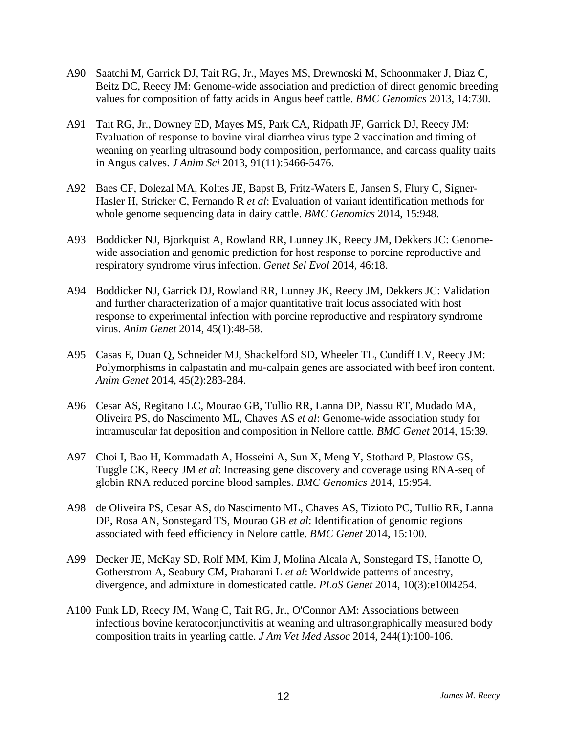- A90 Saatchi M, Garrick DJ, Tait RG, Jr., Mayes MS, Drewnoski M, Schoonmaker J, Diaz C, Beitz DC, Reecy JM: Genome-wide association and prediction of direct genomic breeding values for composition of fatty acids in Angus beef cattle. *BMC Genomics* 2013, 14:730.
- A91 Tait RG, Jr., Downey ED, Mayes MS, Park CA, Ridpath JF, Garrick DJ, Reecy JM: Evaluation of response to bovine viral diarrhea virus type 2 vaccination and timing of weaning on yearling ultrasound body composition, performance, and carcass quality traits in Angus calves. *J Anim Sci* 2013, 91(11):5466-5476.
- A92 Baes CF, Dolezal MA, Koltes JE, Bapst B, Fritz-Waters E, Jansen S, Flury C, Signer-Hasler H, Stricker C, Fernando R *et al*: Evaluation of variant identification methods for whole genome sequencing data in dairy cattle. *BMC Genomics* 2014, 15:948.
- A93 Boddicker NJ, Bjorkquist A, Rowland RR, Lunney JK, Reecy JM, Dekkers JC: Genomewide association and genomic prediction for host response to porcine reproductive and respiratory syndrome virus infection. *Genet Sel Evol* 2014, 46:18.
- A94 Boddicker NJ, Garrick DJ, Rowland RR, Lunney JK, Reecy JM, Dekkers JC: Validation and further characterization of a major quantitative trait locus associated with host response to experimental infection with porcine reproductive and respiratory syndrome virus. *Anim Genet* 2014, 45(1):48-58.
- A95 Casas E, Duan Q, Schneider MJ, Shackelford SD, Wheeler TL, Cundiff LV, Reecy JM: Polymorphisms in calpastatin and mu-calpain genes are associated with beef iron content. *Anim Genet* 2014, 45(2):283-284.
- A96 Cesar AS, Regitano LC, Mourao GB, Tullio RR, Lanna DP, Nassu RT, Mudado MA, Oliveira PS, do Nascimento ML, Chaves AS *et al*: Genome-wide association study for intramuscular fat deposition and composition in Nellore cattle. *BMC Genet* 2014, 15:39.
- A97 Choi I, Bao H, Kommadath A, Hosseini A, Sun X, Meng Y, Stothard P, Plastow GS, Tuggle CK, Reecy JM *et al*: Increasing gene discovery and coverage using RNA-seq of globin RNA reduced porcine blood samples. *BMC Genomics* 2014, 15:954.
- A98 de Oliveira PS, Cesar AS, do Nascimento ML, Chaves AS, Tizioto PC, Tullio RR, Lanna DP, Rosa AN, Sonstegard TS, Mourao GB *et al*: Identification of genomic regions associated with feed efficiency in Nelore cattle. *BMC Genet* 2014, 15:100.
- A99 Decker JE, McKay SD, Rolf MM, Kim J, Molina Alcala A, Sonstegard TS, Hanotte O, Gotherstrom A, Seabury CM, Praharani L *et al*: Worldwide patterns of ancestry, divergence, and admixture in domesticated cattle. *PLoS Genet* 2014, 10(3):e1004254.
- A100 Funk LD, Reecy JM, Wang C, Tait RG, Jr., O'Connor AM: Associations between infectious bovine keratoconjunctivitis at weaning and ultrasongraphically measured body composition traits in yearling cattle. *J Am Vet Med Assoc* 2014, 244(1):100-106.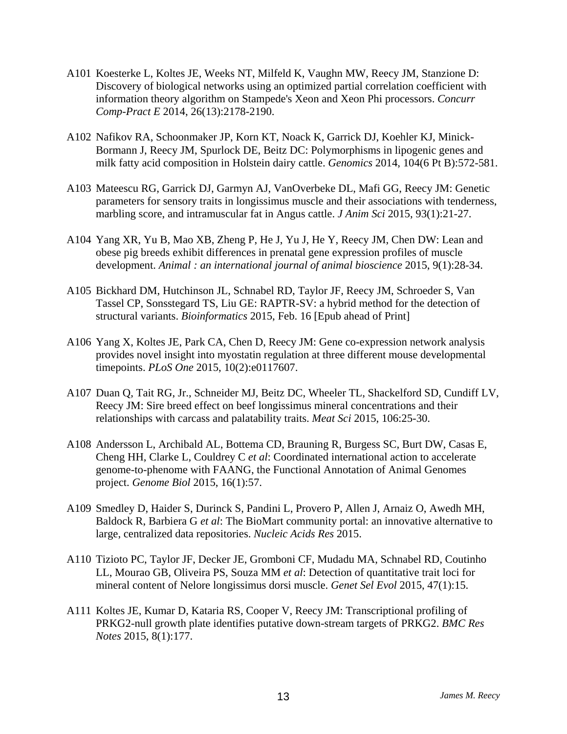- A101 Koesterke L, Koltes JE, Weeks NT, Milfeld K, Vaughn MW, Reecy JM, Stanzione D: Discovery of biological networks using an optimized partial correlation coefficient with information theory algorithm on Stampede's Xeon and Xeon Phi processors. *Concurr Comp-Pract E* 2014, 26(13):2178-2190.
- A102 Nafikov RA, Schoonmaker JP, Korn KT, Noack K, Garrick DJ, Koehler KJ, Minick-Bormann J, Reecy JM, Spurlock DE, Beitz DC: Polymorphisms in lipogenic genes and milk fatty acid composition in Holstein dairy cattle. *Genomics* 2014, 104(6 Pt B):572-581.
- A103 Mateescu RG, Garrick DJ, Garmyn AJ, VanOverbeke DL, Mafi GG, Reecy JM: Genetic parameters for sensory traits in longissimus muscle and their associations with tenderness, marbling score, and intramuscular fat in Angus cattle. *J Anim Sci* 2015, 93(1):21-27.
- A104 Yang XR, Yu B, Mao XB, Zheng P, He J, Yu J, He Y, Reecy JM, Chen DW: Lean and obese pig breeds exhibit differences in prenatal gene expression profiles of muscle development. *Animal : an international journal of animal bioscience* 2015, 9(1):28-34.
- A105 Bickhard DM, Hutchinson JL, Schnabel RD, Taylor JF, Reecy JM, Schroeder S, Van Tassel CP, Sonsstegard TS, Liu GE: RAPTR-SV: a hybrid method for the detection of structural variants. *Bioinformatics* 2015, Feb. 16 [Epub ahead of Print]
- A106 Yang X, Koltes JE, Park CA, Chen D, Reecy JM: Gene co-expression network analysis provides novel insight into myostatin regulation at three different mouse developmental timepoints. *PLoS One* 2015, 10(2):e0117607.
- A107 Duan Q, Tait RG, Jr., Schneider MJ, Beitz DC, Wheeler TL, Shackelford SD, Cundiff LV, Reecy JM: Sire breed effect on beef longissimus mineral concentrations and their relationships with carcass and palatability traits. *Meat Sci* 2015, 106:25-30.
- A108 Andersson L, Archibald AL, Bottema CD, Brauning R, Burgess SC, Burt DW, Casas E, Cheng HH, Clarke L, Couldrey C *et al*: Coordinated international action to accelerate genome-to-phenome with FAANG, the Functional Annotation of Animal Genomes project. *Genome Biol* 2015, 16(1):57.
- A109 Smedley D, Haider S, Durinck S, Pandini L, Provero P, Allen J, Arnaiz O, Awedh MH, Baldock R, Barbiera G *et al*: The BioMart community portal: an innovative alternative to large, centralized data repositories. *Nucleic Acids Res* 2015.
- A110 Tizioto PC, Taylor JF, Decker JE, Gromboni CF, Mudadu MA, Schnabel RD, Coutinho LL, Mourao GB, Oliveira PS, Souza MM *et al*: Detection of quantitative trait loci for mineral content of Nelore longissimus dorsi muscle. *Genet Sel Evol* 2015, 47(1):15.
- A111 Koltes JE, Kumar D, Kataria RS, Cooper V, Reecy JM: Transcriptional profiling of PRKG2-null growth plate identifies putative down-stream targets of PRKG2. *BMC Res Notes* 2015, 8(1):177.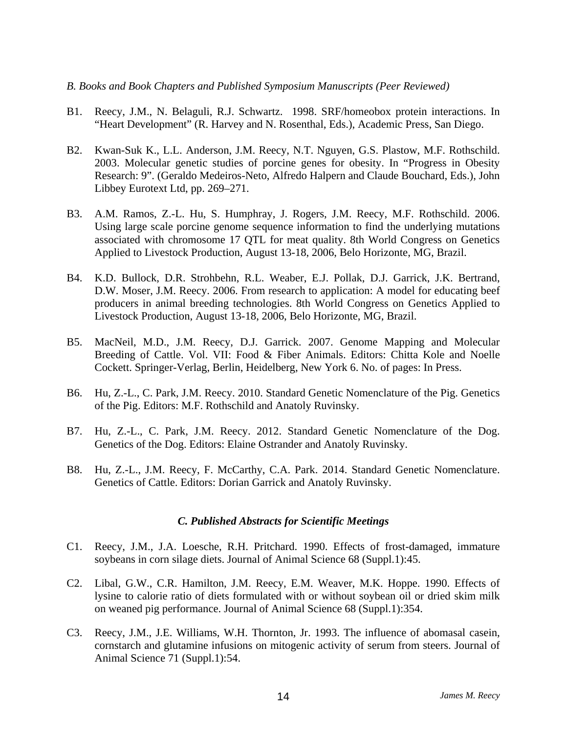#### *B. Books and Book Chapters and Published Symposium Manuscripts (Peer Reviewed)*

- B1. Reecy, J.M., N. Belaguli, R.J. Schwartz. 1998. SRF/homeobox protein interactions. In "Heart Development" (R. Harvey and N. Rosenthal, Eds.), Academic Press, San Diego.
- B2. Kwan-Suk K., L.L. Anderson, J.M. Reecy, N.T. Nguyen, G.S. Plastow, M.F. Rothschild. 2003. Molecular genetic studies of porcine genes for obesity. In "Progress in Obesity Research: 9". (Geraldo Medeiros-Neto, Alfredo Halpern and Claude Bouchard, Eds.), John Libbey Eurotext Ltd, pp. 269–271.
- B3. A.M. Ramos, Z.-L. Hu, S. Humphray, J. Rogers, J.M. Reecy, M.F. Rothschild. 2006. Using large scale porcine genome sequence information to find the underlying mutations associated with chromosome 17 QTL for meat quality. 8th World Congress on Genetics Applied to Livestock Production, August 13-18, 2006, Belo Horizonte, MG, Brazil.
- B4. K.D. Bullock, D.R. Strohbehn, R.L. Weaber, E.J. Pollak, D.J. Garrick, J.K. Bertrand, D.W. Moser, J.M. Reecy. 2006. From research to application: A model for educating beef producers in animal breeding technologies. 8th World Congress on Genetics Applied to Livestock Production, August 13-18, 2006, Belo Horizonte, MG, Brazil.
- B5. MacNeil, M.D., J.M. Reecy, D.J. Garrick. 2007. Genome Mapping and Molecular Breeding of Cattle. Vol. VII: Food & Fiber Animals. Editors: Chitta Kole and Noelle Cockett. Springer-Verlag, Berlin, Heidelberg, New York 6. No. of pages: In Press.
- B6. Hu, Z.-L., C. Park, J.M. Reecy. 2010. Standard Genetic Nomenclature of the Pig. Genetics of the Pig. Editors: M.F. Rothschild and Anatoly Ruvinsky.
- B7. Hu, Z.-L., C. Park, J.M. Reecy. 2012. Standard Genetic Nomenclature of the Dog. Genetics of the Dog. Editors: Elaine Ostrander and Anatoly Ruvinsky.
- B8. Hu, Z.-L., J.M. Reecy, F. McCarthy, C.A. Park. 2014. Standard Genetic Nomenclature. Genetics of Cattle. Editors: Dorian Garrick and Anatoly Ruvinsky.

#### *C. Published Abstracts for Scientific Meetings*

- C1. Reecy, J.M., J.A. Loesche, R.H. Pritchard. 1990. Effects of frost-damaged, immature soybeans in corn silage diets. Journal of Animal Science 68 (Suppl.1):45.
- C2. Libal, G.W., C.R. Hamilton, J.M. Reecy, E.M. Weaver, M.K. Hoppe. 1990. Effects of lysine to calorie ratio of diets formulated with or without soybean oil or dried skim milk on weaned pig performance. Journal of Animal Science 68 (Suppl.1):354.
- C3. Reecy, J.M., J.E. Williams, W.H. Thornton, Jr. 1993. The influence of abomasal casein, cornstarch and glutamine infusions on mitogenic activity of serum from steers. Journal of Animal Science 71 (Suppl.1):54.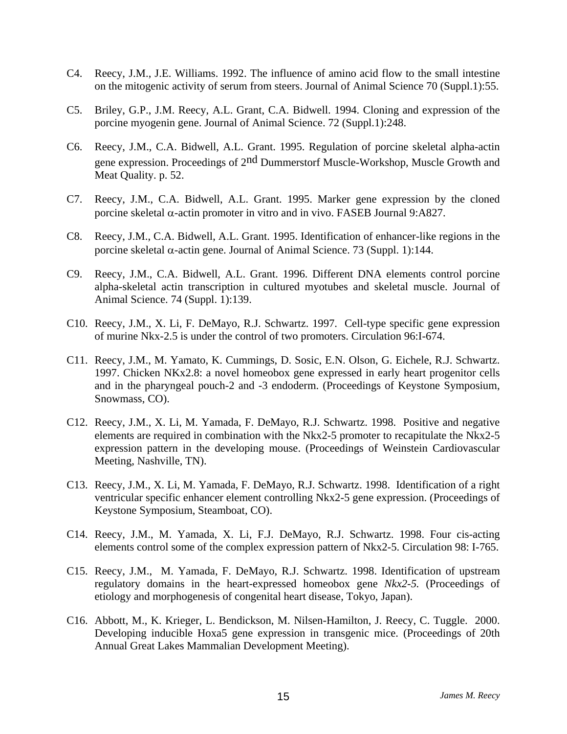- C4. Reecy, J.M., J.E. Williams. 1992. The influence of amino acid flow to the small intestine on the mitogenic activity of serum from steers. Journal of Animal Science 70 (Suppl.1):55.
- C5. Briley, G.P., J.M. Reecy, A.L. Grant, C.A. Bidwell. 1994. Cloning and expression of the porcine myogenin gene. Journal of Animal Science. 72 (Suppl.1):248.
- C6. Reecy, J.M., C.A. Bidwell, A.L. Grant. 1995. Regulation of porcine skeletal alpha-actin gene expression. Proceedings of 2nd Dummerstorf Muscle-Workshop, Muscle Growth and Meat Quality. p. 52.
- C7. Reecy, J.M., C.A. Bidwell, A.L. Grant. 1995. Marker gene expression by the cloned porcine skeletal  $\alpha$ -actin promoter in vitro and in vivo. FASEB Journal 9:A827.
- C8. Reecy, J.M., C.A. Bidwell, A.L. Grant. 1995. Identification of enhancer-like regions in the porcine skeletal  $\alpha$ -actin gene. Journal of Animal Science. 73 (Suppl. 1):144.
- C9. Reecy, J.M., C.A. Bidwell, A.L. Grant. 1996. Different DNA elements control porcine alpha-skeletal actin transcription in cultured myotubes and skeletal muscle. Journal of Animal Science. 74 (Suppl. 1):139.
- C10. Reecy, J.M., X. Li, F. DeMayo, R.J. Schwartz. 1997. Cell-type specific gene expression of murine Nkx-2.5 is under the control of two promoters. Circulation 96:I-674.
- C11. Reecy, J.M., M. Yamato, K. Cummings, D. Sosic, E.N. Olson, G. Eichele, R.J. Schwartz. 1997. Chicken NKx2.8: a novel homeobox gene expressed in early heart progenitor cells and in the pharyngeal pouch-2 and -3 endoderm. (Proceedings of Keystone Symposium, Snowmass, CO).
- C12. Reecy, J.M., X. Li, M. Yamada, F. DeMayo, R.J. Schwartz. 1998. Positive and negative elements are required in combination with the Nkx2-5 promoter to recapitulate the Nkx2-5 expression pattern in the developing mouse. (Proceedings of Weinstein Cardiovascular Meeting, Nashville, TN).
- C13. Reecy, J.M., X. Li, M. Yamada, F. DeMayo, R.J. Schwartz. 1998. Identification of a right ventricular specific enhancer element controlling Nkx2-5 gene expression. (Proceedings of Keystone Symposium, Steamboat, CO).
- C14. Reecy, J.M., M. Yamada, X. Li, F.J. DeMayo, R.J. Schwartz. 1998. Four cis-acting elements control some of the complex expression pattern of Nkx2-5. Circulation 98: I-765.
- C15. Reecy, J.M., M. Yamada, F. DeMayo, R.J. Schwartz. 1998. Identification of upstream regulatory domains in the heart-expressed homeobox gene *Nkx2-5.* (Proceedings of etiology and morphogenesis of congenital heart disease, Tokyo, Japan).
- C16. Abbott, M., K. Krieger, L. Bendickson, M. Nilsen-Hamilton, J. Reecy, C. Tuggle. 2000. Developing inducible Hoxa5 gene expression in transgenic mice. (Proceedings of 20th Annual Great Lakes Mammalian Development Meeting).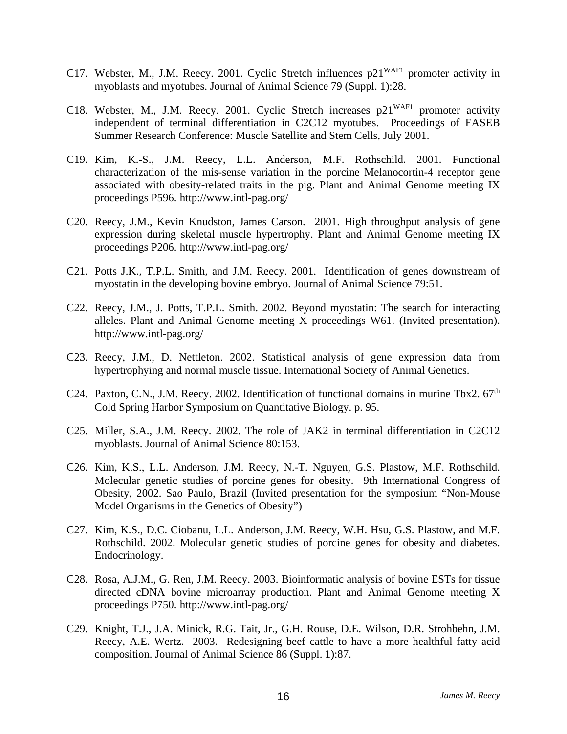- C17. Webster, M., J.M. Reecy. 2001. Cyclic Stretch influences  $p21^{WAF1}$  promoter activity in myoblasts and myotubes. Journal of Animal Science 79 (Suppl. 1):28.
- C18. Webster, M., J.M. Reecy. 2001. Cyclic Stretch increases  $p21^{WAF1}$  promoter activity independent of terminal differentiation in C2C12 myotubes. Proceedings of FASEB Summer Research Conference: Muscle Satellite and Stem Cells, July 2001.
- C19. Kim, K.-S., J.M. Reecy, L.L. Anderson, M.F. Rothschild. 2001. Functional characterization of the mis-sense variation in the porcine Melanocortin-4 receptor gene associated with obesity-related traits in the pig. Plant and Animal Genome meeting IX proceedings P596. http://www.intl-pag.org/
- C20. Reecy, J.M., Kevin Knudston, James Carson. 2001. High throughput analysis of gene expression during skeletal muscle hypertrophy. Plant and Animal Genome meeting IX proceedings P206. http://www.intl-pag.org/
- C21. Potts J.K., T.P.L. Smith, and J.M. Reecy. 2001. Identification of genes downstream of myostatin in the developing bovine embryo. Journal of Animal Science 79:51.
- C22. Reecy, J.M., J. Potts, T.P.L. Smith. 2002. Beyond myostatin: The search for interacting alleles. Plant and Animal Genome meeting X proceedings W61. (Invited presentation). http://www.intl-pag.org/
- C23. Reecy, J.M., D. Nettleton. 2002. Statistical analysis of gene expression data from hypertrophying and normal muscle tissue. International Society of Animal Genetics.
- C24. Paxton, C.N., J.M. Reecy. 2002. Identification of functional domains in murine Tbx2.  $67<sup>th</sup>$ Cold Spring Harbor Symposium on Quantitative Biology. p. 95.
- C25. Miller, S.A., J.M. Reecy. 2002. The role of JAK2 in terminal differentiation in C2C12 myoblasts. Journal of Animal Science 80:153.
- C26. Kim, K.S., L.L. Anderson, J.M. Reecy, N.-T. Nguyen, G.S. Plastow, M.F. Rothschild. Molecular genetic studies of porcine genes for obesity. 9th International Congress of Obesity, 2002. Sao Paulo, Brazil (Invited presentation for the symposium "Non-Mouse Model Organisms in the Genetics of Obesity")
- C27. Kim, K.S., D.C. Ciobanu, L.L. Anderson, J.M. Reecy, W.H. Hsu, G.S. Plastow, and M.F. Rothschild. 2002. Molecular genetic studies of porcine genes for obesity and diabetes. Endocrinology.
- C28. Rosa, A.J.M., G. Ren, J.M. Reecy. 2003. Bioinformatic analysis of bovine ESTs for tissue directed cDNA bovine microarray production. Plant and Animal Genome meeting X proceedings P750. http://www.intl-pag.org/
- C29. Knight, T.J., J.A. Minick, R.G. Tait, Jr., G.H. Rouse, D.E. Wilson, D.R. Strohbehn, J.M. Reecy, A.E. Wertz. 2003. Redesigning beef cattle to have a more healthful fatty acid composition. Journal of Animal Science 86 (Suppl. 1):87.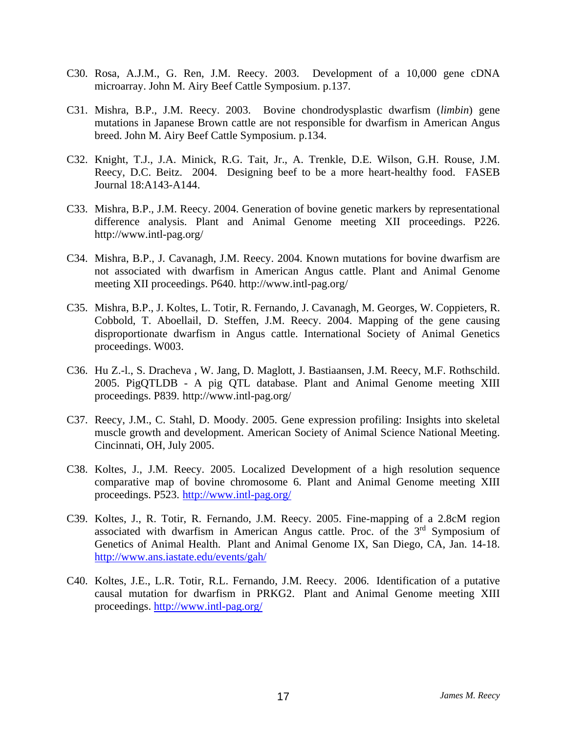- C30. Rosa, A.J.M., G. Ren, J.M. Reecy. 2003. Development of a 10,000 gene cDNA microarray. John M. Airy Beef Cattle Symposium. p.137.
- C31. Mishra, B.P., J.M. Reecy. 2003. Bovine chondrodysplastic dwarfism (*limbin*) gene mutations in Japanese Brown cattle are not responsible for dwarfism in American Angus breed. John M. Airy Beef Cattle Symposium. p.134.
- C32. Knight, T.J., J.A. Minick, R.G. Tait, Jr., A. Trenkle, D.E. Wilson, G.H. Rouse, J.M. Reecy, D.C. Beitz. 2004. Designing beef to be a more heart-healthy food. FASEB Journal 18:A143-A144.
- C33. Mishra, B.P., J.M. Reecy. 2004. Generation of bovine genetic markers by representational difference analysis. Plant and Animal Genome meeting XII proceedings. P226. http://www.intl-pag.org/
- C34. Mishra, B.P., J. Cavanagh, J.M. Reecy. 2004. Known mutations for bovine dwarfism are not associated with dwarfism in American Angus cattle. Plant and Animal Genome meeting XII proceedings. P640. http://www.intl-pag.org/
- C35. Mishra, B.P., J. Koltes, L. Totir, R. Fernando, J. Cavanagh, M. Georges, W. Coppieters, R. Cobbold, T. Aboellail, D. Steffen, J.M. Reecy. 2004. Mapping of the gene causing disproportionate dwarfism in Angus cattle. International Society of Animal Genetics proceedings. W003.
- C36. Hu Z.-l., S. Dracheva , W. Jang, D. Maglott, J. Bastiaansen, J.M. Reecy, M.F. Rothschild. 2005. PigQTLDB - A pig QTL database. Plant and Animal Genome meeting XIII proceedings. P839. http://www.intl-pag.org/
- C37. Reecy, J.M., C. Stahl, D. Moody. 2005. Gene expression profiling: Insights into skeletal muscle growth and development. American Society of Animal Science National Meeting. Cincinnati, OH, July 2005.
- C38. Koltes, J., J.M. Reecy. 2005. Localized Development of a high resolution sequence comparative map of bovine chromosome 6. Plant and Animal Genome meeting XIII proceedings. P523. http://www.intl-pag.org/
- C39. Koltes, J., R. Totir, R. Fernando, J.M. Reecy. 2005. Fine-mapping of a 2.8cM region associated with dwarfism in American Angus cattle. Proc. of the 3rd Symposium of Genetics of Animal Health. Plant and Animal Genome IX, San Diego, CA, Jan. 14-18. http://www.ans.iastate.edu/events/gah/
- C40. Koltes, J.E., L.R. Totir, R.L. Fernando, J.M. Reecy. 2006. Identification of a putative causal mutation for dwarfism in PRKG2. Plant and Animal Genome meeting XIII proceedings. http://www.intl-pag.org/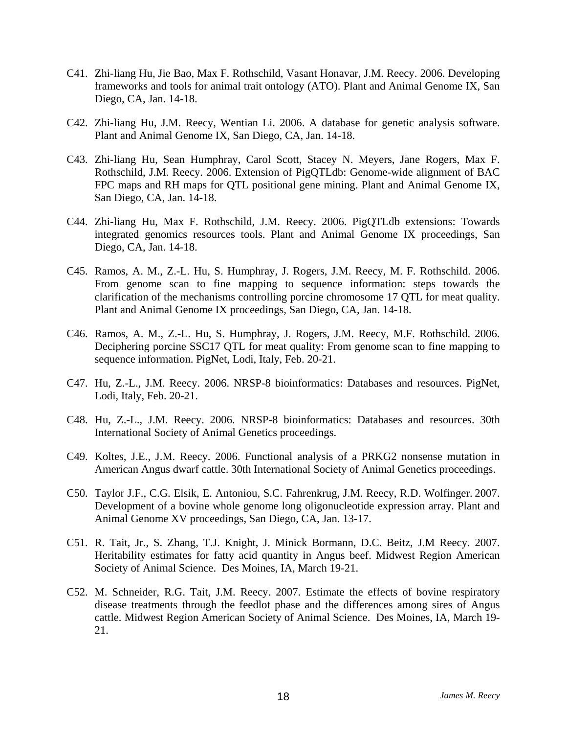- C41. Zhi-liang Hu, Jie Bao, Max F. Rothschild, Vasant Honavar, J.M. Reecy. 2006. Developing frameworks and tools for animal trait ontology (ATO). Plant and Animal Genome IX, San Diego, CA, Jan. 14-18.
- C42. Zhi-liang Hu, J.M. Reecy, Wentian Li. 2006. A database for genetic analysis software. Plant and Animal Genome IX, San Diego, CA, Jan. 14-18.
- C43. Zhi-liang Hu, Sean Humphray, Carol Scott, Stacey N. Meyers, Jane Rogers, Max F. Rothschild, J.M. Reecy. 2006. Extension of PigQTLdb: Genome-wide alignment of BAC FPC maps and RH maps for QTL positional gene mining. Plant and Animal Genome IX, San Diego, CA, Jan. 14-18.
- C44. Zhi-liang Hu, Max F. Rothschild, J.M. Reecy. 2006. PigQTLdb extensions: Towards integrated genomics resources tools. Plant and Animal Genome IX proceedings, San Diego, CA, Jan. 14-18.
- C45. Ramos, A. M., Z.-L. Hu, S. Humphray, J. Rogers, J.M. Reecy, M. F. Rothschild. 2006. From genome scan to fine mapping to sequence information: steps towards the clarification of the mechanisms controlling porcine chromosome 17 QTL for meat quality. Plant and Animal Genome IX proceedings, San Diego, CA, Jan. 14-18.
- C46. Ramos, A. M., Z.-L. Hu, S. Humphray, J. Rogers, J.M. Reecy, M.F. Rothschild. 2006. Deciphering porcine SSC17 QTL for meat quality: From genome scan to fine mapping to sequence information. PigNet, Lodi, Italy, Feb. 20-21.
- C47. Hu, Z.-L., J.M. Reecy. 2006. NRSP-8 bioinformatics: Databases and resources. PigNet, Lodi, Italy, Feb. 20-21.
- C48. Hu, Z.-L., J.M. Reecy. 2006. NRSP-8 bioinformatics: Databases and resources. 30th International Society of Animal Genetics proceedings.
- C49. Koltes, J.E., J.M. Reecy. 2006. Functional analysis of a PRKG2 nonsense mutation in American Angus dwarf cattle. 30th International Society of Animal Genetics proceedings.
- C50. Taylor J.F., C.G. Elsik, E. Antoniou, S.C. Fahrenkrug, J.M. Reecy, R.D. Wolfinger. 2007. Development of a bovine whole genome long oligonucleotide expression array. Plant and Animal Genome XV proceedings, San Diego, CA, Jan. 13-17.
- C51. R. Tait, Jr., S. Zhang, T.J. Knight, J. Minick Bormann, D.C. Beitz, J.M Reecy. 2007. Heritability estimates for fatty acid quantity in Angus beef. Midwest Region American Society of Animal Science. Des Moines, IA, March 19-21.
- C52. M. Schneider, R.G. Tait, J.M. Reecy. 2007. Estimate the effects of bovine respiratory disease treatments through the feedlot phase and the differences among sires of Angus cattle. Midwest Region American Society of Animal Science. Des Moines, IA, March 19- 21.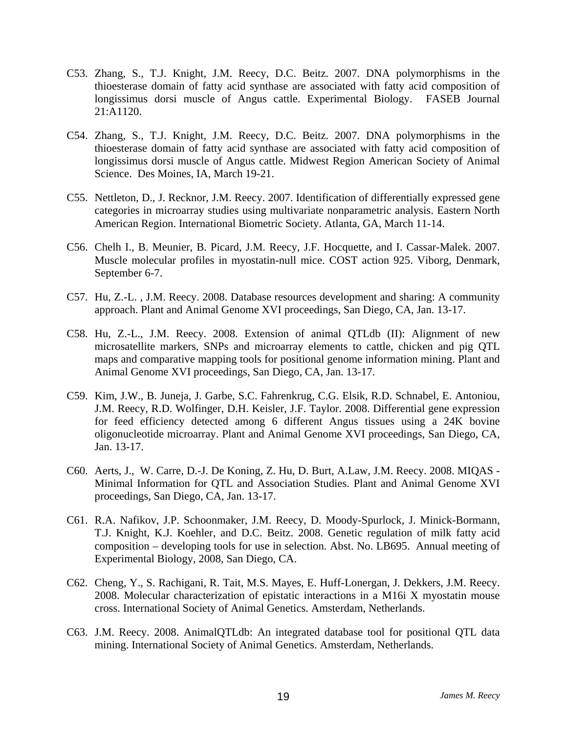- C53. Zhang, S., T.J. Knight, J.M. Reecy, D.C. Beitz. 2007. DNA polymorphisms in the thioesterase domain of fatty acid synthase are associated with fatty acid composition of longissimus dorsi muscle of Angus cattle. Experimental Biology. FASEB Journal 21:A1120.
- C54. Zhang, S., T.J. Knight, J.M. Reecy, D.C. Beitz. 2007. DNA polymorphisms in the thioesterase domain of fatty acid synthase are associated with fatty acid composition of longissimus dorsi muscle of Angus cattle. Midwest Region American Society of Animal Science. Des Moines, IA, March 19-21.
- C55. Nettleton, D., J. Recknor, J.M. Reecy. 2007. Identification of differentially expressed gene categories in microarray studies using multivariate nonparametric analysis. Eastern North American Region. International Biometric Society. Atlanta, GA, March 11-14.
- C56. Chelh I., B. Meunier, B. Picard, J.M. Reecy, J.F. Hocquette, and I. Cassar-Malek. 2007. Muscle molecular profiles in myostatin-null mice. COST action 925. Viborg, Denmark, September 6-7.
- C57. Hu, Z.-L. , J.M. Reecy. 2008. Database resources development and sharing: A community approach. Plant and Animal Genome XVI proceedings, San Diego, CA, Jan. 13-17.
- C58. Hu, Z.-L., J.M. Reecy. 2008. Extension of animal QTLdb (II): Alignment of new microsatellite markers, SNPs and microarray elements to cattle, chicken and pig QTL maps and comparative mapping tools for positional genome information mining. Plant and Animal Genome XVI proceedings, San Diego, CA, Jan. 13-17.
- C59. Kim, J.W., B. Juneja, J. Garbe, S.C. Fahrenkrug, C.G. Elsik, R.D. Schnabel, E. Antoniou, J.M. Reecy, R.D. Wolfinger, D.H. Keisler, J.F. Taylor. 2008. Differential gene expression for feed efficiency detected among 6 different Angus tissues using a 24K bovine oligonucleotide microarray. Plant and Animal Genome XVI proceedings, San Diego, CA, Jan. 13-17.
- C60. Aerts, J., W. Carre, D.-J. De Koning, Z. Hu, D. Burt, A.Law, J.M. Reecy. 2008. MIQAS Minimal Information for QTL and Association Studies. Plant and Animal Genome XVI proceedings, San Diego, CA, Jan. 13-17.
- C61. R.A. Nafikov, J.P. Schoonmaker, J.M. Reecy, D. Moody-Spurlock, J. Minick-Bormann, T.J. Knight, K.J. Koehler, and D.C. Beitz. 2008. Genetic regulation of milk fatty acid composition – developing tools for use in selection. Abst. No. LB695. Annual meeting of Experimental Biology, 2008, San Diego, CA.
- C62. Cheng, Y., S. Rachigani, R. Tait, M.S. Mayes, E. Huff-Lonergan, J. Dekkers, J.M. Reecy. 2008. Molecular characterization of epistatic interactions in a M16i X myostatin mouse cross. International Society of Animal Genetics. Amsterdam, Netherlands.
- C63. J.M. Reecy. 2008. AnimalQTLdb: An integrated database tool for positional QTL data mining. International Society of Animal Genetics. Amsterdam, Netherlands.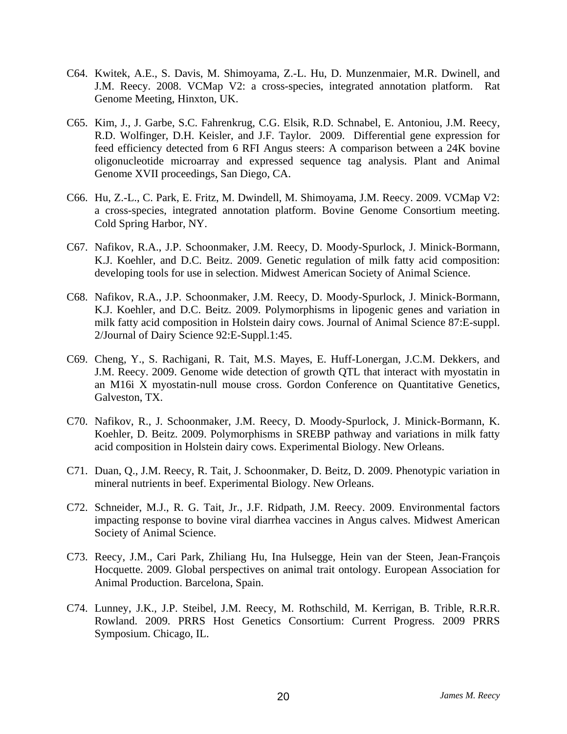- C64. Kwitek, A.E., S. Davis, M. Shimoyama, Z.-L. Hu, D. Munzenmaier, M.R. Dwinell, and J.M. Reecy. 2008. VCMap V2: a cross-species, integrated annotation platform. Rat Genome Meeting, Hinxton, UK.
- C65. Kim, J., J. Garbe, S.C. Fahrenkrug, C.G. Elsik, R.D. Schnabel, E. Antoniou, J.M. Reecy, R.D. Wolfinger, D.H. Keisler, and J.F. Taylor. 2009. Differential gene expression for feed efficiency detected from 6 RFI Angus steers: A comparison between a 24K bovine oligonucleotide microarray and expressed sequence tag analysis. Plant and Animal Genome XVII proceedings, San Diego, CA.
- C66. Hu, Z.-L., C. Park, E. Fritz, M. Dwindell, M. Shimoyama, J.M. Reecy. 2009. VCMap V2: a cross-species, integrated annotation platform. Bovine Genome Consortium meeting. Cold Spring Harbor, NY.
- C67. Nafikov, R.A., J.P. Schoonmaker, J.M. Reecy, D. Moody-Spurlock, J. Minick-Bormann, K.J. Koehler, and D.C. Beitz. 2009. Genetic regulation of milk fatty acid composition: developing tools for use in selection. Midwest American Society of Animal Science.
- C68. Nafikov, R.A., J.P. Schoonmaker, J.M. Reecy, D. Moody-Spurlock, J. Minick-Bormann, K.J. Koehler, and D.C. Beitz. 2009. Polymorphisms in lipogenic genes and variation in milk fatty acid composition in Holstein dairy cows. Journal of Animal Science 87:E-suppl. 2/Journal of Dairy Science 92:E-Suppl.1:45.
- C69. Cheng, Y., S. Rachigani, R. Tait, M.S. Mayes, E. Huff-Lonergan, J.C.M. Dekkers, and J.M. Reecy. 2009. Genome wide detection of growth QTL that interact with myostatin in an M16i X myostatin-null mouse cross. Gordon Conference on Quantitative Genetics, Galveston, TX.
- C70. Nafikov, R., J. Schoonmaker, J.M. Reecy, D. Moody-Spurlock, J. Minick-Bormann, K. Koehler, D. Beitz. 2009. Polymorphisms in SREBP pathway and variations in milk fatty acid composition in Holstein dairy cows. Experimental Biology. New Orleans.
- C71. Duan, Q., J.M. Reecy, R. Tait, J. Schoonmaker, D. Beitz, D. 2009. Phenotypic variation in mineral nutrients in beef. Experimental Biology. New Orleans.
- C72. Schneider, M.J., R. G. Tait, Jr., J.F. Ridpath, J.M. Reecy. 2009. Environmental factors impacting response to bovine viral diarrhea vaccines in Angus calves. Midwest American Society of Animal Science.
- C73. Reecy, J.M., Cari Park, Zhiliang Hu, Ina Hulsegge, Hein van der Steen, Jean-François Hocquette. 2009. Global perspectives on animal trait ontology. European Association for Animal Production. Barcelona, Spain.
- C74. Lunney, J.K., J.P. Steibel, J.M. Reecy, M. Rothschild, M. Kerrigan, B. Trible, R.R.R. Rowland. 2009. PRRS Host Genetics Consortium: Current Progress. 2009 PRRS Symposium. Chicago, IL.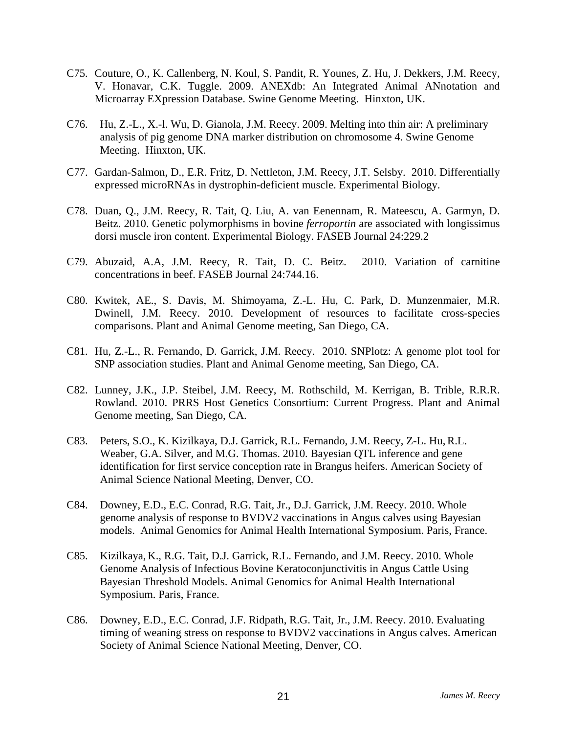- C75. Couture, O., K. Callenberg, N. Koul, S. Pandit, R. Younes, Z. Hu, J. Dekkers, J.M. Reecy, V. Honavar, C.K. Tuggle. 2009. ANEXdb: An Integrated Animal ANnotation and Microarray EXpression Database. Swine Genome Meeting. Hinxton, UK.
- C76. Hu, Z.-L., X.-l. Wu, D. Gianola, J.M. Reecy. 2009. Melting into thin air: A preliminary analysis of pig genome DNA marker distribution on chromosome 4. Swine Genome Meeting. Hinxton, UK.
- C77. Gardan-Salmon, D., E.R. Fritz, D. Nettleton, J.M. Reecy, J.T. Selsby. 2010. Differentially expressed microRNAs in dystrophin-deficient muscle. Experimental Biology.
- C78. Duan, Q., J.M. Reecy, R. Tait, Q. Liu, A. van Eenennam, R. Mateescu, A. Garmyn, D. Beitz. 2010. Genetic polymorphisms in bovine *ferroportin* are associated with longissimus dorsi muscle iron content. Experimental Biology. FASEB Journal 24:229.2
- C79. Abuzaid, A.A, J.M. Reecy, R. Tait, D. C. Beitz. 2010. Variation of carnitine concentrations in beef. FASEB Journal 24:744.16.
- C80. Kwitek, AE., S. Davis, M. Shimoyama, Z.-L. Hu, C. Park, D. Munzenmaier, M.R. Dwinell, J.M. Reecy. 2010. Development of resources to facilitate cross-species comparisons. Plant and Animal Genome meeting, San Diego, CA.
- C81. Hu, Z.-L., R. Fernando, D. Garrick, J.M. Reecy. 2010. SNPlotz: A genome plot tool for SNP association studies. Plant and Animal Genome meeting, San Diego, CA.
- C82. Lunney, J.K., J.P. Steibel, J.M. Reecy, M. Rothschild, M. Kerrigan, B. Trible, R.R.R. Rowland. 2010. PRRS Host Genetics Consortium: Current Progress. Plant and Animal Genome meeting, San Diego, CA.
- C83. Peters, S.O., K. Kizilkaya, D.J. Garrick, R.L. Fernando, J.M. Reecy, Z-L. Hu,R.L. Weaber, G.A. Silver, and M.G. Thomas. 2010. Bayesian QTL inference and gene identification for first service conception rate in Brangus heifers. American Society of Animal Science National Meeting, Denver, CO.
- C84. Downey, E.D., E.C. Conrad, R.G. Tait, Jr., D.J. Garrick, J.M. Reecy. 2010. Whole genome analysis of response to BVDV2 vaccinations in Angus calves using Bayesian models. Animal Genomics for Animal Health International Symposium. Paris, France.
- C85. Kizilkaya, K., R.G. Tait, D.J. Garrick, R.L. Fernando, and J.M. Reecy. 2010. Whole Genome Analysis of Infectious Bovine Keratoconjunctivitis in Angus Cattle Using Bayesian Threshold Models. Animal Genomics for Animal Health International Symposium. Paris, France.
- C86. Downey, E.D., E.C. Conrad, J.F. Ridpath, R.G. Tait, Jr., J.M. Reecy. 2010. Evaluating timing of weaning stress on response to BVDV2 vaccinations in Angus calves. American Society of Animal Science National Meeting, Denver, CO.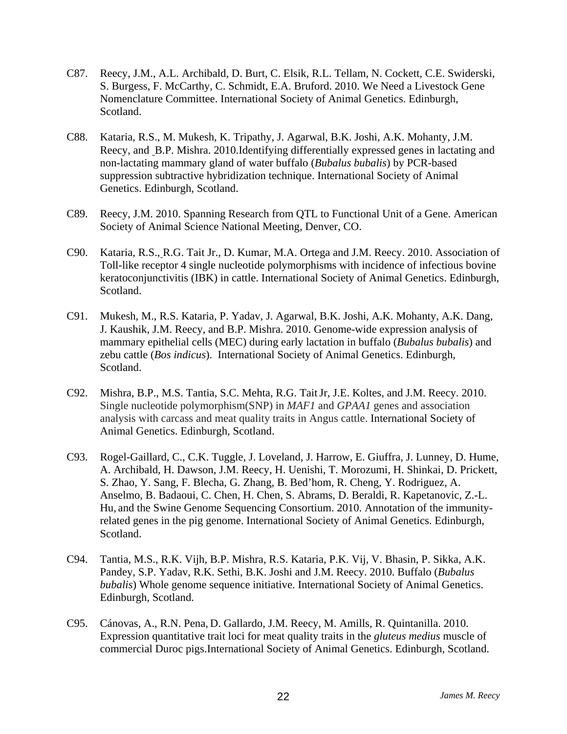- C87. Reecy, J.M., A.L. Archibald, D. Burt, C. Elsik, R.L. Tellam, N. Cockett, C.E. Swiderski, S. Burgess, F. McCarthy, C. Schmidt, E.A. Bruford. 2010. We Need a Livestock Gene Nomenclature Committee. International Society of Animal Genetics. Edinburgh, Scotland.
- C88. Kataria, R.S., M. Mukesh, K. Tripathy, J. Agarwal, B.K. Joshi, A.K. Mohanty, J.M. Reecy, and B.P. Mishra. 2010.Identifying differentially expressed genes in lactating and non-lactating mammary gland of water buffalo (*Bubalus bubalis*) by PCR-based suppression subtractive hybridization technique. International Society of Animal Genetics. Edinburgh, Scotland.
- C89. Reecy, J.M. 2010. Spanning Research from QTL to Functional Unit of a Gene. American Society of Animal Science National Meeting, Denver, CO.
- C90. Kataria, R.S., R.G. Tait Jr., D. Kumar, M.A. Ortega and J.M. Reecy. 2010. Association of Toll-like receptor 4 single nucleotide polymorphisms with incidence of infectious bovine keratoconjunctivitis (IBK) in cattle. International Society of Animal Genetics. Edinburgh, Scotland.
- C91. Mukesh, M., R.S. Kataria, P. Yadav, J. Agarwal, B.K. Joshi, A.K. Mohanty, A.K. Dang, J. Kaushik, J.M. Reecy, and B.P. Mishra. 2010. Genome-wide expression analysis of mammary epithelial cells (MEC) during early lactation in buffalo (*Bubalus bubalis*) and zebu cattle (*Bos indicus*). International Society of Animal Genetics. Edinburgh, Scotland.
- C92. Mishra, B.P., M.S. Tantia, S.C. Mehta, R.G. TaitJr, J.E. Koltes, and J.M. Reecy. 2010. Single nucleotide polymorphism(SNP) in *MAF1* and *GPAA1* genes and association analysis with carcass and meat quality traits in Angus cattle. International Society of Animal Genetics. Edinburgh, Scotland.
- C93. Rogel-Gaillard, C., C.K. Tuggle, J. Loveland, J. Harrow, E. Giuffra, J. Lunney, D. Hume, A. Archibald, H. Dawson, J.M. Reecy, H. Uenishi, T. Morozumi, H. Shinkai, D. Prickett, S. Zhao, Y. Sang, F. Blecha, G. Zhang, B. Bed'hom, R. Cheng, Y. Rodriguez, A. Anselmo, B. Badaoui, C. Chen, H. Chen, S. Abrams, D. Beraldi, R. Kapetanovic, Z.-L. Hu, and the Swine Genome Sequencing Consortium. 2010. Annotation of the immunityrelated genes in the pig genome. International Society of Animal Genetics. Edinburgh, Scotland.
- C94. Tantia, M.S., R.K. Vijh, B.P. Mishra, R.S. Kataria, P.K. Vij, V. Bhasin, P. Sikka, A.K. Pandey, S.P. Yadav, R.K. Sethi, B.K. Joshi and J.M. Reecy. 2010. Buffalo (*Bubalus bubalis*) Whole genome sequence initiative. International Society of Animal Genetics. Edinburgh, Scotland.
- C95. Cánovas, A., R.N. Pena, D. Gallardo, J.M. Reecy, M. Amills, R. Quintanilla. 2010. Expression quantitative trait loci for meat quality traits in the *gluteus medius* muscle of commercial Duroc pigs.International Society of Animal Genetics. Edinburgh, Scotland.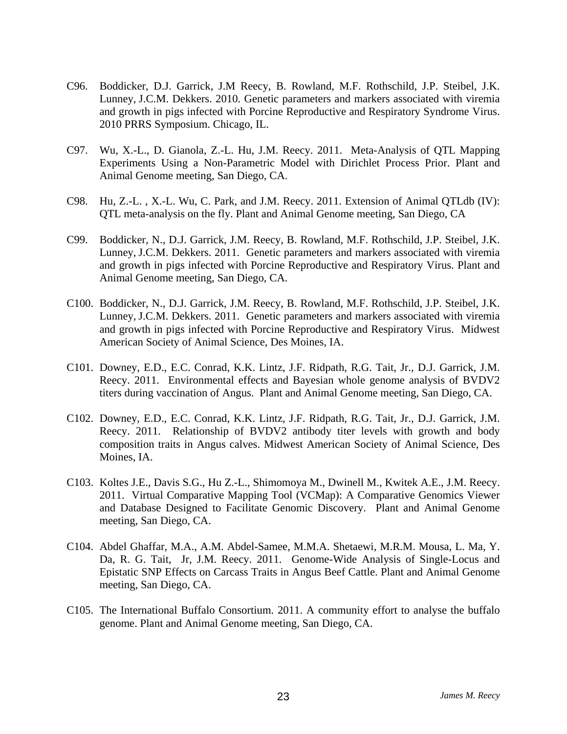- C96. Boddicker, D.J. Garrick, J.M Reecy, B. Rowland, M.F. Rothschild, J.P. Steibel, J.K. Lunney, J.C.M. Dekkers. 2010. Genetic parameters and markers associated with viremia and growth in pigs infected with Porcine Reproductive and Respiratory Syndrome Virus. 2010 PRRS Symposium. Chicago, IL.
- C97. Wu, X.-L., D. Gianola, Z.-L. Hu, J.M. Reecy. 2011. Meta-Analysis of QTL Mapping Experiments Using a Non-Parametric Model with Dirichlet Process Prior. Plant and Animal Genome meeting, San Diego, CA.
- C98. Hu, Z.-L. , X.-L. Wu, C. Park, and J.M. Reecy. 2011. Extension of Animal QTLdb (IV): QTL meta-analysis on the fly. Plant and Animal Genome meeting, San Diego, CA
- C99. Boddicker, N., D.J. Garrick, J.M. Reecy, B. Rowland, M.F. Rothschild, J.P. Steibel, J.K. Lunney, J.C.M. Dekkers. 2011. Genetic parameters and markers associated with viremia and growth in pigs infected with Porcine Reproductive and Respiratory Virus. Plant and Animal Genome meeting, San Diego, CA.
- C100. Boddicker, N., D.J. Garrick, J.M. Reecy, B. Rowland, M.F. Rothschild, J.P. Steibel, J.K. Lunney, J.C.M. Dekkers. 2011. Genetic parameters and markers associated with viremia and growth in pigs infected with Porcine Reproductive and Respiratory Virus. Midwest American Society of Animal Science, Des Moines, IA.
- C101. Downey, E.D., E.C. Conrad, K.K. Lintz, J.F. Ridpath, R.G. Tait, Jr., D.J. Garrick, J.M. Reecy. 2011. Environmental effects and Bayesian whole genome analysis of BVDV2 titers during vaccination of Angus. Plant and Animal Genome meeting, San Diego, CA.
- C102. Downey, E.D., E.C. Conrad, K.K. Lintz, J.F. Ridpath, R.G. Tait, Jr., D.J. Garrick, J.M. Reecy. 2011. Relationship of BVDV2 antibody titer levels with growth and body composition traits in Angus calves. Midwest American Society of Animal Science, Des Moines, IA.
- C103. Koltes J.E., Davis S.G., Hu Z.-L., Shimomoya M., Dwinell M., Kwitek A.E., J.M. Reecy. 2011. Virtual Comparative Mapping Tool (VCMap): A Comparative Genomics Viewer and Database Designed to Facilitate Genomic Discovery. Plant and Animal Genome meeting, San Diego, CA.
- C104. Abdel Ghaffar, M.A., A.M. Abdel-Samee, M.M.A. Shetaewi, M.R.M. Mousa, L. Ma, Y. Da, R. G. Tait, Jr, J.M. Reecy. 2011. Genome-Wide Analysis of Single-Locus and Epistatic SNP Effects on Carcass Traits in Angus Beef Cattle. Plant and Animal Genome meeting, San Diego, CA.
- C105. The International Buffalo Consortium. 2011. A community effort to analyse the buffalo genome. Plant and Animal Genome meeting, San Diego, CA.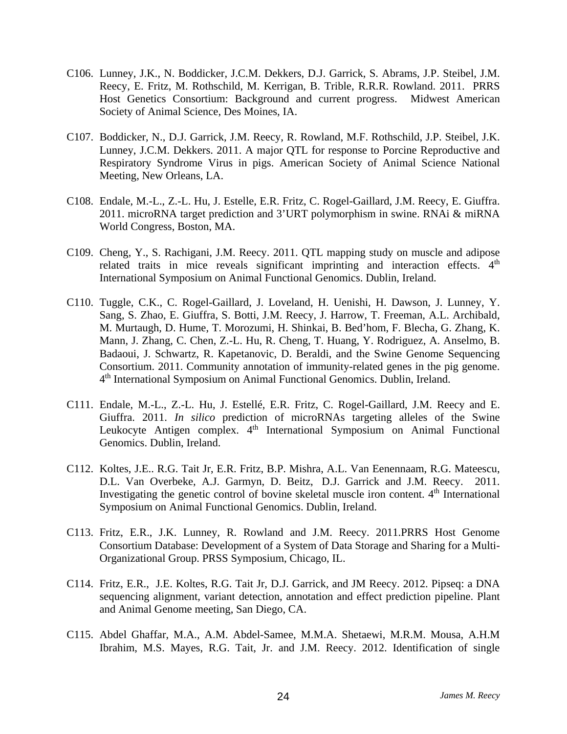- C106. Lunney, J.K., N. Boddicker, J.C.M. Dekkers, D.J. Garrick, S. Abrams, J.P. Steibel, J.M. Reecy, E. Fritz, M. Rothschild, M. Kerrigan, B. Trible, R.R.R. Rowland. 2011. PRRS Host Genetics Consortium: Background and current progress. Midwest American Society of Animal Science, Des Moines, IA.
- C107. Boddicker, N., D.J. Garrick, J.M. Reecy, R. Rowland, M.F. Rothschild, J.P. Steibel, J.K. Lunney, J.C.M. Dekkers. 2011. A major QTL for response to Porcine Reproductive and Respiratory Syndrome Virus in pigs. American Society of Animal Science National Meeting, New Orleans, LA.
- C108. Endale, M.-L., Z.-L. Hu, J. Estelle, E.R. Fritz, C. Rogel-Gaillard, J.M. Reecy, E. Giuffra. 2011. microRNA target prediction and 3'URT polymorphism in swine. RNAi & miRNA World Congress, Boston, MA.
- C109. Cheng, Y., S. Rachigani, J.M. Reecy. 2011. QTL mapping study on muscle and adipose related traits in mice reveals significant imprinting and interaction effects. 4<sup>th</sup> International Symposium on Animal Functional Genomics. Dublin, Ireland.
- C110. Tuggle, C.K., C. Rogel-Gaillard, J. Loveland, H. Uenishi, H. Dawson, J. Lunney, Y. Sang, S. Zhao, E. Giuffra, S. Botti, J.M. Reecy, J. Harrow, T. Freeman, A.L. Archibald, M. Murtaugh, D. Hume, T. Morozumi, H. Shinkai, B. Bed'hom, F. Blecha, G. Zhang, K. Mann, J. Zhang, C. Chen, Z.-L. Hu, R. Cheng, T. Huang, Y. Rodriguez, A. Anselmo, B. Badaoui, J. Schwartz, R. Kapetanovic, D. Beraldi, and the Swine Genome Sequencing Consortium. 2011. Community annotation of immunity-related genes in the pig genome. 4th International Symposium on Animal Functional Genomics. Dublin, Ireland.
- C111. Endale, M.-L., Z.-L. Hu, J. Estellé, E.R. Fritz, C. Rogel-Gaillard, J.M. Reecy and E. Giuffra. 2011. *In silico* prediction of microRNAs targeting alleles of the Swine Leukocyte Antigen complex. 4<sup>th</sup> International Symposium on Animal Functional Genomics. Dublin, Ireland.
- C112. Koltes, J.E.. R.G. Tait Jr, E.R. Fritz, B.P. Mishra, A.L. Van Eenennaam, R.G. Mateescu, D.L. Van Overbeke, A.J. Garmyn, D. Beitz, D.J. Garrick and J.M. Reecy. 2011. Investigating the genetic control of bovine skeletal muscle iron content. 4<sup>th</sup> International Symposium on Animal Functional Genomics. Dublin, Ireland.
- C113. Fritz, E.R., J.K. Lunney, R. Rowland and J.M. Reecy. 2011.PRRS Host Genome Consortium Database: Development of a System of Data Storage and Sharing for a Multi-Organizational Group. PRSS Symposium, Chicago, IL.
- C114. Fritz, E.R., J.E. Koltes, R.G. Tait Jr, D.J. Garrick, and JM Reecy. 2012. Pipseq: a DNA sequencing alignment, variant detection, annotation and effect prediction pipeline. Plant and Animal Genome meeting, San Diego, CA.
- C115. Abdel Ghaffar, M.A., A.M. Abdel-Samee, M.M.A. Shetaewi, M.R.M. Mousa, A.H.M Ibrahim, M.S. Mayes, R.G. Tait, Jr. and J.M. Reecy. 2012. Identification of single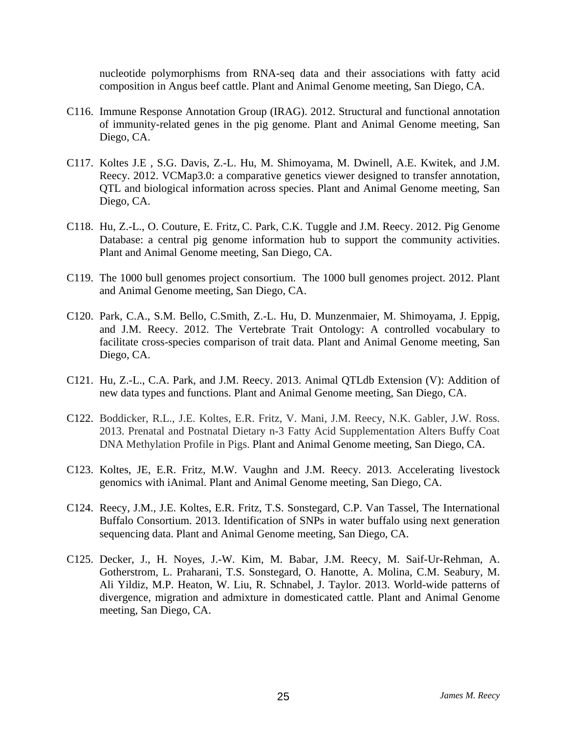nucleotide polymorphisms from RNA-seq data and their associations with fatty acid composition in Angus beef cattle. Plant and Animal Genome meeting, San Diego, CA.

- C116. Immune Response Annotation Group (IRAG). 2012. Structural and functional annotation of immunity-related genes in the pig genome. Plant and Animal Genome meeting, San Diego, CA.
- C117. Koltes J.E , S.G. Davis, Z.-L. Hu, M. Shimoyama, M. Dwinell, A.E. Kwitek, and J.M. Reecy. 2012. VCMap3.0: a comparative genetics viewer designed to transfer annotation, QTL and biological information across species. Plant and Animal Genome meeting, San Diego, CA.
- C118. Hu, Z.-L., O. Couture, E. Fritz, C. Park, C.K. Tuggle and J.M. Reecy. 2012. Pig Genome Database: a central pig genome information hub to support the community activities. Plant and Animal Genome meeting, San Diego, CA.
- C119. The 1000 bull genomes project consortium. The 1000 bull genomes project. 2012. Plant and Animal Genome meeting, San Diego, CA.
- C120. Park, C.A., S.M. Bello, C.Smith, Z.-L. Hu, D. Munzenmaier, M. Shimoyama, J. Eppig, and J.M. Reecy. 2012. The Vertebrate Trait Ontology: A controlled vocabulary to facilitate cross-species comparison of trait data. Plant and Animal Genome meeting, San Diego, CA.
- C121. Hu, Z.-L., C.A. Park, and J.M. Reecy. 2013. Animal QTLdb Extension (V): Addition of new data types and functions. Plant and Animal Genome meeting, San Diego, CA.
- C122. Boddicker, R.L., J.E. Koltes, E.R. Fritz, V. Mani, J.M. Reecy, N.K. Gabler, J.W. Ross. 2013. Prenatal and Postnatal Dietary n-3 Fatty Acid Supplementation Alters Buffy Coat DNA Methylation Profile in Pigs. Plant and Animal Genome meeting, San Diego, CA.
- C123. Koltes, JE, E.R. Fritz, M.W. Vaughn and J.M. Reecy. 2013. Accelerating livestock genomics with iAnimal. Plant and Animal Genome meeting, San Diego, CA.
- C124. Reecy, J.M., J.E. Koltes, E.R. Fritz, T.S. Sonstegard, C.P. Van Tassel, The International Buffalo Consortium. 2013. Identification of SNPs in water buffalo using next generation sequencing data. Plant and Animal Genome meeting, San Diego, CA.
- C125. Decker, J., H. Noyes, J.-W. Kim, M. Babar, J.M. Reecy, M. Saif-Ur-Rehman, A. Gotherstrom, L. Praharani, T.S. Sonstegard, O. Hanotte, A. Molina, C.M. Seabury, M. Ali Yildiz, M.P. Heaton, W. Liu, R. Schnabel, J. Taylor. 2013. World-wide patterns of divergence, migration and admixture in domesticated cattle. Plant and Animal Genome meeting, San Diego, CA.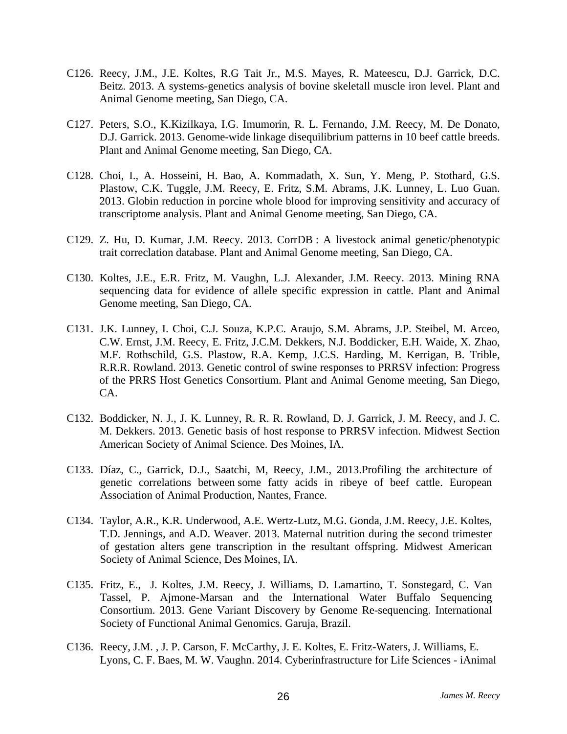- C126. Reecy, J.M., J.E. Koltes, R.G Tait Jr., M.S. Mayes, R. Mateescu, D.J. Garrick, D.C. Beitz. 2013. A systems-genetics analysis of bovine skeletall muscle iron level. Plant and Animal Genome meeting, San Diego, CA.
- C127. Peters, S.O., K.Kizilkaya, I.G. Imumorin, R. L. Fernando, J.M. Reecy, M. De Donato, D.J. Garrick. 2013. Genome-wide linkage disequilibrium patterns in 10 beef cattle breeds. Plant and Animal Genome meeting, San Diego, CA.
- C128. Choi, I., A. Hosseini, H. Bao, A. Kommadath, X. Sun, Y. Meng, P. Stothard, G.S. Plastow, C.K. Tuggle, J.M. Reecy, E. Fritz, S.M. Abrams, J.K. Lunney, L. Luo Guan. 2013. Globin reduction in porcine whole blood for improving sensitivity and accuracy of transcriptome analysis. Plant and Animal Genome meeting, San Diego, CA.
- C129. Z. Hu, D. Kumar, J.M. Reecy. 2013. CorrDB : A livestock animal genetic/phenotypic trait correclation database. Plant and Animal Genome meeting, San Diego, CA.
- C130. Koltes, J.E., E.R. Fritz, M. Vaughn, L.J. Alexander, J.M. Reecy. 2013. Mining RNA sequencing data for evidence of allele specific expression in cattle. Plant and Animal Genome meeting, San Diego, CA.
- C131. J.K. Lunney, I. Choi, C.J. Souza, K.P.C. Araujo, S.M. Abrams, J.P. Steibel, M. Arceo, C.W. Ernst, J.M. Reecy, E. Fritz, J.C.M. Dekkers, N.J. Boddicker, E.H. Waide, X. Zhao, M.F. Rothschild, G.S. Plastow, R.A. Kemp, J.C.S. Harding, M. Kerrigan, B. Trible, R.R.R. Rowland. 2013. Genetic control of swine responses to PRRSV infection: Progress of the PRRS Host Genetics Consortium. Plant and Animal Genome meeting, San Diego, CA.
- C132. Boddicker, N. J., J. K. Lunney, R. R. R. Rowland, D. J. Garrick, J. M. Reecy, and J. C. M. Dekkers. 2013. Genetic basis of host response to PRRSV infection. Midwest Section American Society of Animal Science. Des Moines, IA.
- C133. Díaz, C., Garrick, D.J., Saatchi, M, Reecy, J.M., 2013.Profiling the architecture of genetic correlations between some fatty acids in ribeye of beef cattle. European Association of Animal Production, Nantes, France.
- C134. Taylor, A.R., K.R. Underwood, A.E. Wertz-Lutz, M.G. Gonda, J.M. Reecy, J.E. Koltes, T.D. Jennings, and A.D. Weaver. 2013. Maternal nutrition during the second trimester of gestation alters gene transcription in the resultant offspring. Midwest American Society of Animal Science, Des Moines, IA.
- C135. Fritz, E., J. Koltes, J.M. Reecy, J. Williams, D. Lamartino, T. Sonstegard, C. Van Tassel, P. Ajmone-Marsan and the International Water Buffalo Sequencing Consortium. 2013. Gene Variant Discovery by Genome Re-sequencing. International Society of Functional Animal Genomics. Garuja, Brazil.
- C136. Reecy, J.M. , J. P. Carson, F. McCarthy, J. E. Koltes, E. Fritz-Waters, J. Williams, E. Lyons, C. F. Baes, M. W. Vaughn. 2014. Cyberinfrastructure for Life Sciences - iAnimal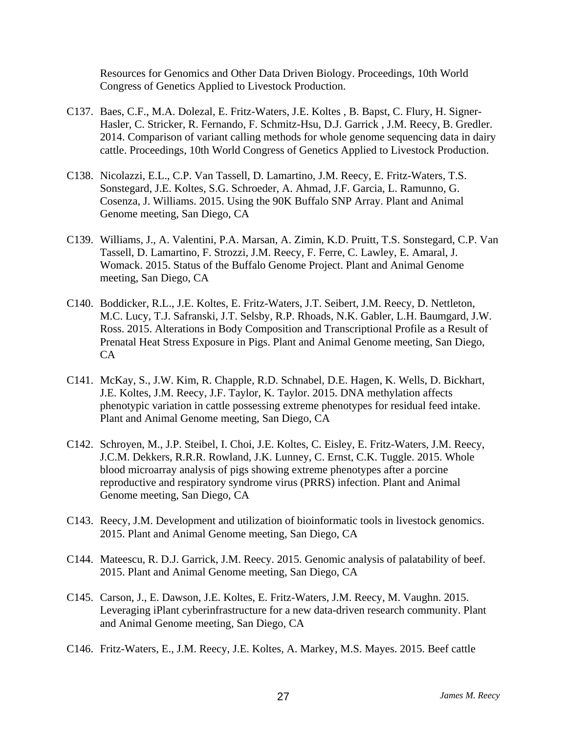Resources for Genomics and Other Data Driven Biology. Proceedings, 10th World Congress of Genetics Applied to Livestock Production.

- C137. Baes, C.F., M.A. Dolezal, E. Fritz-Waters, J.E. Koltes , B. Bapst, C. Flury, H. Signer-Hasler, C. Stricker, R. Fernando, F. Schmitz-Hsu, D.J. Garrick , J.M. Reecy, B. Gredler. 2014. Comparison of variant calling methods for whole genome sequencing data in dairy cattle. Proceedings, 10th World Congress of Genetics Applied to Livestock Production.
- C138. Nicolazzi, E.L., C.P. Van Tassell, D. Lamartino, J.M. Reecy, E. Fritz-Waters, T.S. Sonstegard, J.E. Koltes, S.G. Schroeder, A. Ahmad, J.F. Garcia, L. Ramunno, G. Cosenza, J. Williams. 2015. Using the 90K Buffalo SNP Array. Plant and Animal Genome meeting, San Diego, CA
- C139. Williams, J., A. Valentini, P.A. Marsan, A. Zimin, K.D. Pruitt, T.S. Sonstegard, C.P. Van Tassell, D. Lamartino, F. Strozzi, J.M. Reecy, F. Ferre, C. Lawley, E. Amaral, J. Womack. 2015. Status of the Buffalo Genome Project. Plant and Animal Genome meeting, San Diego, CA
- C140. Boddicker, R.L., J.E. Koltes, E. Fritz-Waters, J.T. Seibert, J.M. Reecy, D. Nettleton, M.C. Lucy, T.J. Safranski, J.T. Selsby, R.P. Rhoads, N.K. Gabler, L.H. Baumgard, J.W. Ross. 2015. Alterations in Body Composition and Transcriptional Profile as a Result of Prenatal Heat Stress Exposure in Pigs. Plant and Animal Genome meeting, San Diego, CA
- C141. McKay, S., J.W. Kim, R. Chapple, R.D. Schnabel, D.E. Hagen, K. Wells, D. Bickhart, J.E. Koltes, J.M. Reecy, J.F. Taylor, K. Taylor. 2015. DNA methylation affects phenotypic variation in cattle possessing extreme phenotypes for residual feed intake. Plant and Animal Genome meeting, San Diego, CA
- C142. Schroyen, M., J.P. Steibel, I. Choi, J.E. Koltes, C. Eisley, E. Fritz-Waters, J.M. Reecy, J.C.M. Dekkers, R.R.R. Rowland, J.K. Lunney, C. Ernst, C.K. Tuggle. 2015. Whole blood microarray analysis of pigs showing extreme phenotypes after a porcine reproductive and respiratory syndrome virus (PRRS) infection. Plant and Animal Genome meeting, San Diego, CA
- C143. Reecy, J.M. Development and utilization of bioinformatic tools in livestock genomics. 2015. Plant and Animal Genome meeting, San Diego, CA
- C144. Mateescu, R. D.J. Garrick, J.M. Reecy. 2015. Genomic analysis of palatability of beef. 2015. Plant and Animal Genome meeting, San Diego, CA
- C145. Carson, J., E. Dawson, J.E. Koltes, E. Fritz-Waters, J.M. Reecy, M. Vaughn. 2015. Leveraging iPlant cyberinfrastructure for a new data-driven research community. Plant and Animal Genome meeting, San Diego, CA
- C146. Fritz-Waters, E., J.M. Reecy, J.E. Koltes, A. Markey, M.S. Mayes. 2015. Beef cattle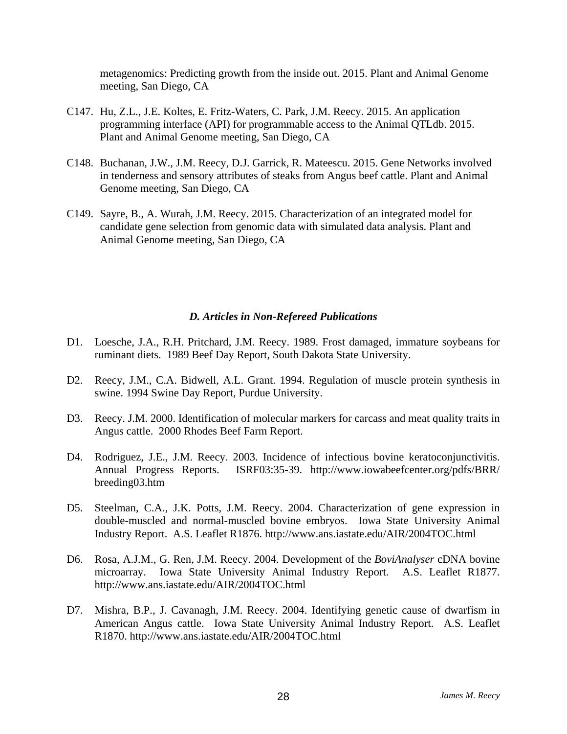metagenomics: Predicting growth from the inside out. 2015. Plant and Animal Genome meeting, San Diego, CA

- C147. Hu, Z.L., J.E. Koltes, E. Fritz-Waters, C. Park, J.M. Reecy. 2015. An application programming interface (API) for programmable access to the Animal QTLdb. 2015. Plant and Animal Genome meeting, San Diego, CA
- C148. Buchanan, J.W., J.M. Reecy, D.J. Garrick, R. Mateescu. 2015. Gene Networks involved in tenderness and sensory attributes of steaks from Angus beef cattle. Plant and Animal Genome meeting, San Diego, CA
- C149. Sayre, B., A. Wurah, J.M. Reecy. 2015. Characterization of an integrated model for candidate gene selection from genomic data with simulated data analysis. Plant and Animal Genome meeting, San Diego, CA

#### *D. Articles in Non-Refereed Publications*

- D1. Loesche, J.A., R.H. Pritchard, J.M. Reecy. 1989. Frost damaged, immature soybeans for ruminant diets. 1989 Beef Day Report, South Dakota State University.
- D2. Reecy, J.M., C.A. Bidwell, A.L. Grant. 1994. Regulation of muscle protein synthesis in swine. 1994 Swine Day Report, Purdue University.
- D3. Reecy. J.M. 2000. Identification of molecular markers for carcass and meat quality traits in Angus cattle. 2000 Rhodes Beef Farm Report.
- D4. Rodriguez, J.E., J.M. Reecy. 2003. Incidence of infectious bovine keratoconjunctivitis. Annual Progress Reports. ISRF03:35-39. http://www.iowabeefcenter.org/pdfs/BRR/ breeding03.htm
- D5. Steelman, C.A., J.K. Potts, J.M. Reecy. 2004. Characterization of gene expression in double-muscled and normal-muscled bovine embryos. Iowa State University Animal Industry Report. A.S. Leaflet R1876. http://www.ans.iastate.edu/AIR/2004TOC.html
- D6. Rosa, A.J.M., G. Ren, J.M. Reecy. 2004. Development of the *BoviAnalyser* cDNA bovine microarray. Iowa State University Animal Industry Report. A.S. Leaflet R1877. http://www.ans.iastate.edu/AIR/2004TOC.html
- D7. Mishra, B.P., J. Cavanagh, J.M. Reecy. 2004. Identifying genetic cause of dwarfism in American Angus cattle. Iowa State University Animal Industry Report. A.S. Leaflet R1870. http://www.ans.iastate.edu/AIR/2004TOC.html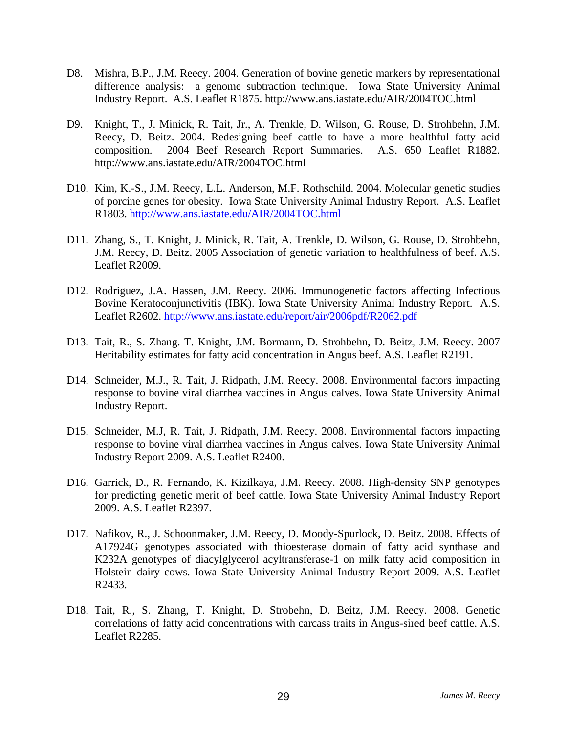- D8. Mishra, B.P., J.M. Reecy. 2004. Generation of bovine genetic markers by representational difference analysis: a genome subtraction technique. Iowa State University Animal Industry Report. A.S. Leaflet R1875. http://www.ans.iastate.edu/AIR/2004TOC.html
- D9. Knight, T., J. Minick, R. Tait, Jr., A. Trenkle, D. Wilson, G. Rouse, D. Strohbehn, J.M. Reecy, D. Beitz. 2004. Redesigning beef cattle to have a more healthful fatty acid composition. 2004 Beef Research Report Summaries. A.S. 650 Leaflet R1882. http://www.ans.iastate.edu/AIR/2004TOC.html
- D10. Kim, K.-S., J.M. Reecy, L.L. Anderson, M.F. Rothschild. 2004. Molecular genetic studies of porcine genes for obesity. Iowa State University Animal Industry Report. A.S. Leaflet R1803. http://www.ans.iastate.edu/AIR/2004TOC.html
- D11. Zhang, S., T. Knight, J. Minick, R. Tait, A. Trenkle, D. Wilson, G. Rouse, D. Strohbehn, J.M. Reecy, D. Beitz. 2005 Association of genetic variation to healthfulness of beef. A.S. Leaflet R2009.
- D12. Rodriguez, J.A. Hassen, J.M. Reecy. 2006. Immunogenetic factors affecting Infectious Bovine Keratoconjunctivitis (IBK). Iowa State University Animal Industry Report. A.S. Leaflet R2602. http://www.ans.iastate.edu/report/air/2006pdf/R2062.pdf
- D13. Tait, R., S. Zhang. T. Knight, J.M. Bormann, D. Strohbehn, D. Beitz, J.M. Reecy. 2007 Heritability estimates for fatty acid concentration in Angus beef. A.S. Leaflet R2191.
- D14. Schneider, M.J., R. Tait, J. Ridpath, J.M. Reecy. 2008. Environmental factors impacting response to bovine viral diarrhea vaccines in Angus calves. Iowa State University Animal Industry Report.
- D15. Schneider, M.J, R. Tait, J. Ridpath, J.M. Reecy. 2008. Environmental factors impacting response to bovine viral diarrhea vaccines in Angus calves. Iowa State University Animal Industry Report 2009. A.S. Leaflet R2400.
- D16. Garrick, D., R. Fernando, K. Kizilkaya, J.M. Reecy. 2008. High-density SNP genotypes for predicting genetic merit of beef cattle. Iowa State University Animal Industry Report 2009. A.S. Leaflet R2397.
- D17. Nafikov, R., J. Schoonmaker, J.M. Reecy, D. Moody-Spurlock, D. Beitz. 2008. Effects of A17924G genotypes associated with thioesterase domain of fatty acid synthase and K232A genotypes of diacylglycerol acyltransferase-1 on milk fatty acid composition in Holstein dairy cows. Iowa State University Animal Industry Report 2009. A.S. Leaflet R2433.
- D18. Tait, R., S. Zhang, T. Knight, D. Strobehn, D. Beitz, J.M. Reecy. 2008. Genetic correlations of fatty acid concentrations with carcass traits in Angus-sired beef cattle. A.S. Leaflet R2285.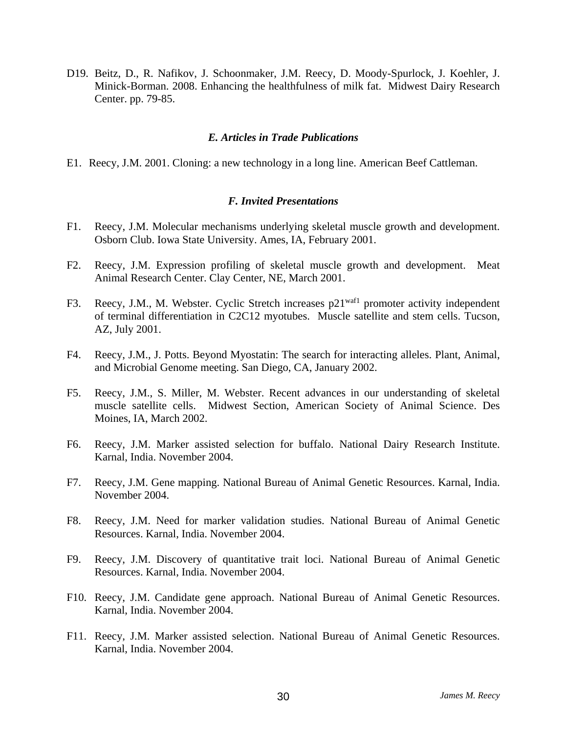D19. Beitz, D., R. Nafikov, J. Schoonmaker, J.M. Reecy, D. Moody-Spurlock, J. Koehler, J. Minick-Borman. 2008. Enhancing the healthfulness of milk fat. Midwest Dairy Research Center. pp. 79-85.

#### *E. Articles in Trade Publications*

E1. Reecy, J.M. 2001. Cloning: a new technology in a long line. American Beef Cattleman.

#### *F. Invited Presentations*

- F1. Reecy, J.M. Molecular mechanisms underlying skeletal muscle growth and development. Osborn Club. Iowa State University. Ames, IA, February 2001.
- F2. Reecy, J.M. Expression profiling of skeletal muscle growth and development. Meat Animal Research Center. Clay Center, NE, March 2001.
- F3. Reecy, J.M., M. Webster. Cyclic Stretch increases p21<sup>waf1</sup> promoter activity independent of terminal differentiation in C2C12 myotubes. Muscle satellite and stem cells. Tucson, AZ, July 2001.
- F4. Reecy, J.M., J. Potts. Beyond Myostatin: The search for interacting alleles. Plant, Animal, and Microbial Genome meeting. San Diego, CA, January 2002.
- F5. Reecy, J.M., S. Miller, M. Webster. Recent advances in our understanding of skeletal muscle satellite cells. Midwest Section, American Society of Animal Science. Des Moines, IA, March 2002.
- F6. Reecy, J.M. Marker assisted selection for buffalo. National Dairy Research Institute. Karnal, India. November 2004.
- F7. Reecy, J.M. Gene mapping. National Bureau of Animal Genetic Resources. Karnal, India. November 2004.
- F8. Reecy, J.M. Need for marker validation studies. National Bureau of Animal Genetic Resources. Karnal, India. November 2004.
- F9. Reecy, J.M. Discovery of quantitative trait loci. National Bureau of Animal Genetic Resources. Karnal, India. November 2004.
- F10. Reecy, J.M. Candidate gene approach. National Bureau of Animal Genetic Resources. Karnal, India. November 2004.
- F11. Reecy, J.M. Marker assisted selection. National Bureau of Animal Genetic Resources. Karnal, India. November 2004.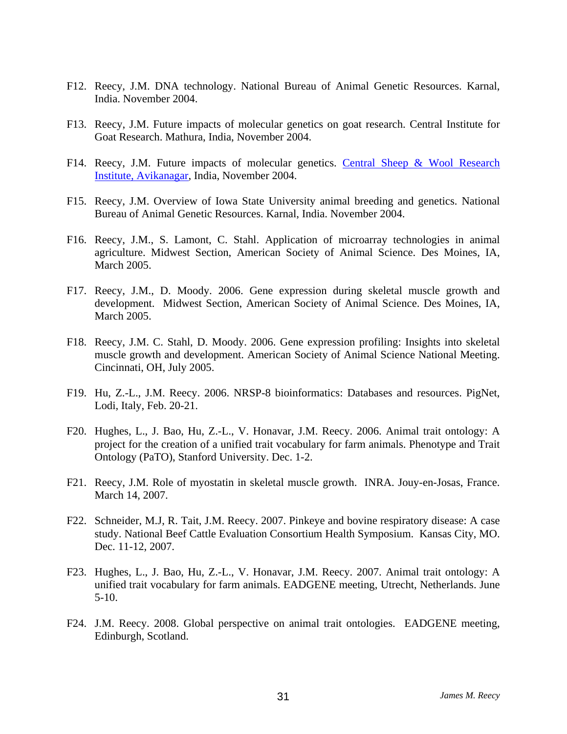- F12. Reecy, J.M. DNA technology. National Bureau of Animal Genetic Resources. Karnal, India. November 2004.
- F13. Reecy, J.M. Future impacts of molecular genetics on goat research. Central Institute for Goat Research. Mathura, India, November 2004.
- F14. Reecy, J.M. Future impacts of molecular genetics. Central Sheep & Wool Research Institute, Avikanagar, India, November 2004.
- F15. Reecy, J.M. Overview of Iowa State University animal breeding and genetics. National Bureau of Animal Genetic Resources. Karnal, India. November 2004.
- F16. Reecy, J.M., S. Lamont, C. Stahl. Application of microarray technologies in animal agriculture. Midwest Section, American Society of Animal Science. Des Moines, IA, March 2005.
- F17. Reecy, J.M., D. Moody. 2006. Gene expression during skeletal muscle growth and development. Midwest Section, American Society of Animal Science. Des Moines, IA, March 2005.
- F18. Reecy, J.M. C. Stahl, D. Moody. 2006. Gene expression profiling: Insights into skeletal muscle growth and development. American Society of Animal Science National Meeting. Cincinnati, OH, July 2005.
- F19. Hu, Z.-L., J.M. Reecy. 2006. NRSP-8 bioinformatics: Databases and resources. PigNet, Lodi, Italy, Feb. 20-21.
- F20. Hughes, L., J. Bao, Hu, Z.-L., V. Honavar, J.M. Reecy. 2006. Animal trait ontology: A project for the creation of a unified trait vocabulary for farm animals. Phenotype and Trait Ontology (PaTO), Stanford University. Dec. 1-2.
- F21. Reecy, J.M. Role of myostatin in skeletal muscle growth. INRA. Jouy-en-Josas, France. March 14, 2007.
- F22. Schneider, M.J, R. Tait, J.M. Reecy. 2007. Pinkeye and bovine respiratory disease: A case study. National Beef Cattle Evaluation Consortium Health Symposium. Kansas City, MO. Dec. 11-12, 2007.
- F23. Hughes, L., J. Bao, Hu, Z.-L., V. Honavar, J.M. Reecy. 2007. Animal trait ontology: A unified trait vocabulary for farm animals. EADGENE meeting, Utrecht, Netherlands. June 5-10.
- F24. J.M. Reecy. 2008. Global perspective on animal trait ontologies. EADGENE meeting, Edinburgh, Scotland.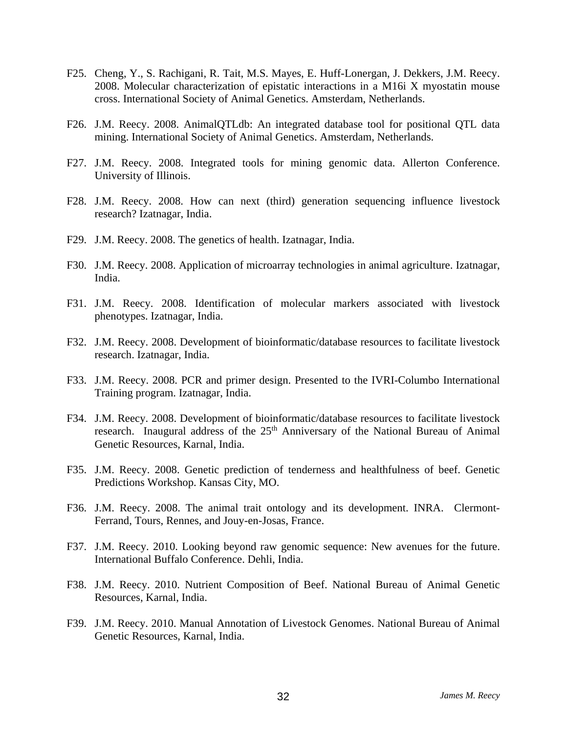- F25. Cheng, Y., S. Rachigani, R. Tait, M.S. Mayes, E. Huff-Lonergan, J. Dekkers, J.M. Reecy. 2008. Molecular characterization of epistatic interactions in a M16i X myostatin mouse cross. International Society of Animal Genetics. Amsterdam, Netherlands.
- F26. J.M. Reecy. 2008. AnimalQTLdb: An integrated database tool for positional QTL data mining. International Society of Animal Genetics. Amsterdam, Netherlands.
- F27. J.M. Reecy. 2008. Integrated tools for mining genomic data. Allerton Conference. University of Illinois.
- F28. J.M. Reecy. 2008. How can next (third) generation sequencing influence livestock research? Izatnagar, India.
- F29. J.M. Reecy. 2008. The genetics of health. Izatnagar, India.
- F30. J.M. Reecy. 2008. Application of microarray technologies in animal agriculture. Izatnagar, India.
- F31. J.M. Reecy. 2008. Identification of molecular markers associated with livestock phenotypes. Izatnagar, India.
- F32. J.M. Reecy. 2008. Development of bioinformatic/database resources to facilitate livestock research. Izatnagar, India.
- F33. J.M. Reecy. 2008. PCR and primer design. Presented to the IVRI-Columbo International Training program. Izatnagar, India.
- F34. J.M. Reecy. 2008. Development of bioinformatic/database resources to facilitate livestock research. Inaugural address of the 25<sup>th</sup> Anniversary of the National Bureau of Animal Genetic Resources, Karnal, India.
- F35. J.M. Reecy. 2008. Genetic prediction of tenderness and healthfulness of beef. Genetic Predictions Workshop. Kansas City, MO.
- F36. J.M. Reecy. 2008. The animal trait ontology and its development. INRA. Clermont-Ferrand, Tours, Rennes, and Jouy-en-Josas, France.
- F37. J.M. Reecy. 2010. Looking beyond raw genomic sequence: New avenues for the future. International Buffalo Conference. Dehli, India.
- F38. J.M. Reecy. 2010. Nutrient Composition of Beef. National Bureau of Animal Genetic Resources, Karnal, India.
- F39. J.M. Reecy. 2010. Manual Annotation of Livestock Genomes. National Bureau of Animal Genetic Resources, Karnal, India.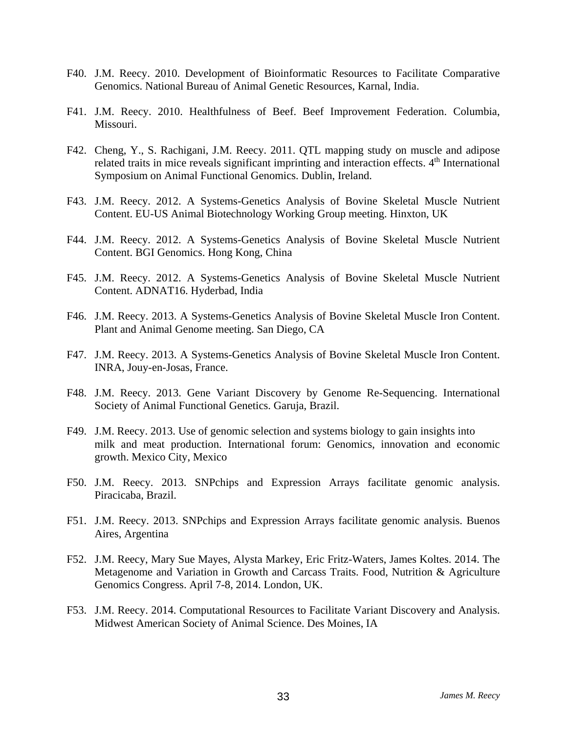- F40. J.M. Reecy. 2010. Development of Bioinformatic Resources to Facilitate Comparative Genomics. National Bureau of Animal Genetic Resources, Karnal, India.
- F41. J.M. Reecy. 2010. Healthfulness of Beef. Beef Improvement Federation. Columbia, Missouri.
- F42. Cheng, Y., S. Rachigani, J.M. Reecy. 2011. QTL mapping study on muscle and adipose related traits in mice reveals significant imprinting and interaction effects.  $4<sup>th</sup>$  International Symposium on Animal Functional Genomics. Dublin, Ireland.
- F43. J.M. Reecy. 2012. A Systems-Genetics Analysis of Bovine Skeletal Muscle Nutrient Content. EU-US Animal Biotechnology Working Group meeting. Hinxton, UK
- F44. J.M. Reecy. 2012. A Systems-Genetics Analysis of Bovine Skeletal Muscle Nutrient Content. BGI Genomics. Hong Kong, China
- F45. J.M. Reecy. 2012. A Systems-Genetics Analysis of Bovine Skeletal Muscle Nutrient Content. ADNAT16. Hyderbad, India
- F46. J.M. Reecy. 2013. A Systems-Genetics Analysis of Bovine Skeletal Muscle Iron Content. Plant and Animal Genome meeting. San Diego, CA
- F47. J.M. Reecy. 2013. A Systems-Genetics Analysis of Bovine Skeletal Muscle Iron Content. INRA, Jouy-en-Josas, France.
- F48. J.M. Reecy. 2013. Gene Variant Discovery by Genome Re-Sequencing. International Society of Animal Functional Genetics. Garuja, Brazil.
- F49. J.M. Reecy. 2013. Use of genomic selection and systems biology to gain insights into milk and meat production. International forum: Genomics, innovation and economic growth. Mexico City, Mexico
- F50. J.M. Reecy. 2013. SNPchips and Expression Arrays facilitate genomic analysis. Piracicaba, Brazil.
- F51. J.M. Reecy. 2013. SNPchips and Expression Arrays facilitate genomic analysis. Buenos Aires, Argentina
- F52. J.M. Reecy, Mary Sue Mayes, Alysta Markey, Eric Fritz-Waters, James Koltes. 2014. The Metagenome and Variation in Growth and Carcass Traits. Food, Nutrition & Agriculture Genomics Congress. April 7-8, 2014. London, UK.
- F53. J.M. Reecy. 2014. Computational Resources to Facilitate Variant Discovery and Analysis. Midwest American Society of Animal Science. Des Moines, IA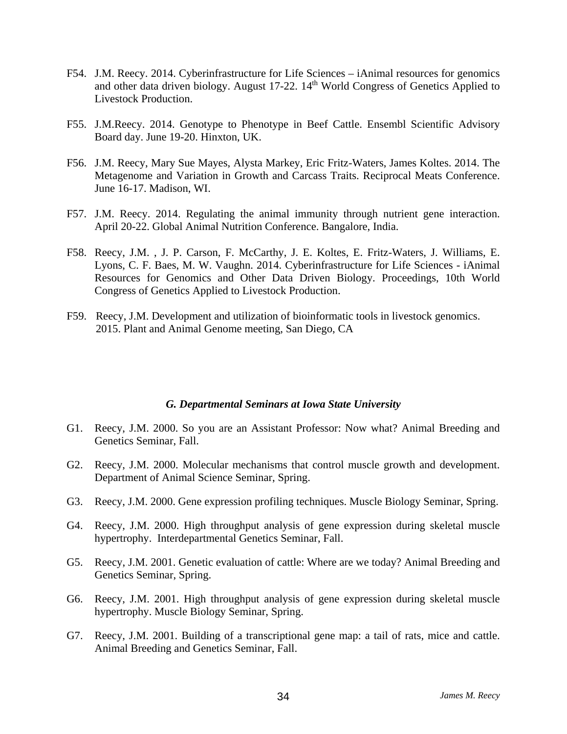- F54. J.M. Reecy. 2014. Cyberinfrastructure for Life Sciences iAnimal resources for genomics and other data driven biology. August 17-22. 14<sup>th</sup> World Congress of Genetics Applied to Livestock Production.
- F55. J.M.Reecy. 2014. Genotype to Phenotype in Beef Cattle. Ensembl Scientific Advisory Board day. June 19-20. Hinxton, UK.
- F56. J.M. Reecy, Mary Sue Mayes, Alysta Markey, Eric Fritz-Waters, James Koltes. 2014. The Metagenome and Variation in Growth and Carcass Traits. Reciprocal Meats Conference. June 16-17. Madison, WI.
- F57. J.M. Reecy. 2014. Regulating the animal immunity through nutrient gene interaction. April 20-22. Global Animal Nutrition Conference. Bangalore, India.
- F58. Reecy, J.M. , J. P. Carson, F. McCarthy, J. E. Koltes, E. Fritz-Waters, J. Williams, E. Lyons, C. F. Baes, M. W. Vaughn. 2014. Cyberinfrastructure for Life Sciences - iAnimal Resources for Genomics and Other Data Driven Biology. Proceedings, 10th World Congress of Genetics Applied to Livestock Production.
- F59. Reecy, J.M. Development and utilization of bioinformatic tools in livestock genomics. 2015. Plant and Animal Genome meeting, San Diego, CA

#### *G. Departmental Seminars at Iowa State University*

- G1. Reecy, J.M. 2000. So you are an Assistant Professor: Now what? Animal Breeding and Genetics Seminar, Fall.
- G2. Reecy, J.M. 2000. Molecular mechanisms that control muscle growth and development. Department of Animal Science Seminar, Spring.
- G3. Reecy, J.M. 2000. Gene expression profiling techniques. Muscle Biology Seminar, Spring.
- G4. Reecy, J.M. 2000. High throughput analysis of gene expression during skeletal muscle hypertrophy. Interdepartmental Genetics Seminar, Fall.
- G5. Reecy, J.M. 2001. Genetic evaluation of cattle: Where are we today? Animal Breeding and Genetics Seminar, Spring.
- G6. Reecy, J.M. 2001. High throughput analysis of gene expression during skeletal muscle hypertrophy. Muscle Biology Seminar, Spring.
- G7. Reecy, J.M. 2001. Building of a transcriptional gene map: a tail of rats, mice and cattle. Animal Breeding and Genetics Seminar, Fall.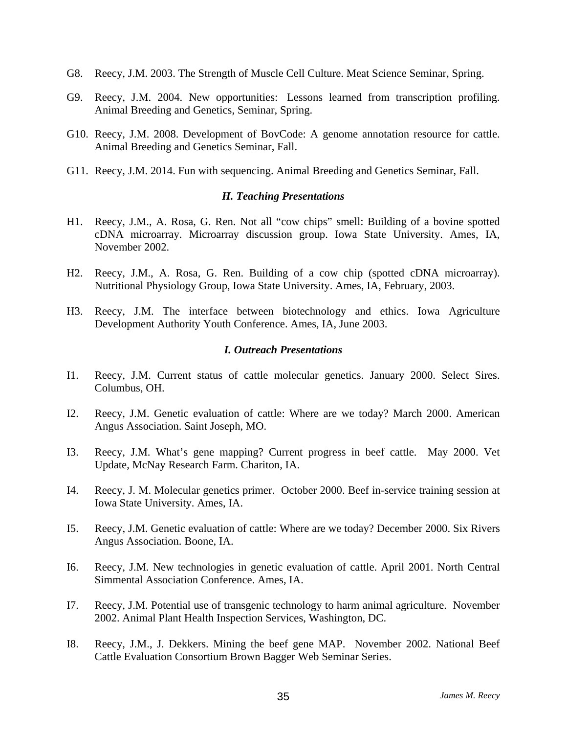- G8. Reecy, J.M. 2003. The Strength of Muscle Cell Culture. Meat Science Seminar, Spring.
- G9. Reecy, J.M. 2004. New opportunities: Lessons learned from transcription profiling. Animal Breeding and Genetics, Seminar, Spring.
- G10. Reecy, J.M. 2008. Development of BovCode: A genome annotation resource for cattle. Animal Breeding and Genetics Seminar, Fall.
- G11. Reecy, J.M. 2014. Fun with sequencing. Animal Breeding and Genetics Seminar, Fall.

#### *H. Teaching Presentations*

- H1. Reecy, J.M., A. Rosa, G. Ren. Not all "cow chips" smell: Building of a bovine spotted cDNA microarray. Microarray discussion group. Iowa State University. Ames, IA, November 2002.
- H2. Reecy, J.M., A. Rosa, G. Ren. Building of a cow chip (spotted cDNA microarray). Nutritional Physiology Group, Iowa State University. Ames, IA, February, 2003.
- H3. Reecy, J.M. The interface between biotechnology and ethics. Iowa Agriculture Development Authority Youth Conference. Ames, IA, June 2003.

#### *I. Outreach Presentations*

- I1. Reecy, J.M. Current status of cattle molecular genetics. January 2000. Select Sires. Columbus, OH.
- I2. Reecy, J.M. Genetic evaluation of cattle: Where are we today? March 2000. American Angus Association. Saint Joseph, MO.
- I3. Reecy, J.M. What's gene mapping? Current progress in beef cattle. May 2000. Vet Update, McNay Research Farm. Chariton, IA.
- I4. Reecy, J. M. Molecular genetics primer. October 2000. Beef in-service training session at Iowa State University. Ames, IA.
- I5. Reecy, J.M. Genetic evaluation of cattle: Where are we today? December 2000. Six Rivers Angus Association. Boone, IA.
- I6. Reecy, J.M. New technologies in genetic evaluation of cattle. April 2001. North Central Simmental Association Conference. Ames, IA.
- I7. Reecy, J.M. Potential use of transgenic technology to harm animal agriculture. November 2002. Animal Plant Health Inspection Services, Washington, DC.
- I8. Reecy, J.M., J. Dekkers. Mining the beef gene MAP. November 2002. National Beef Cattle Evaluation Consortium Brown Bagger Web Seminar Series.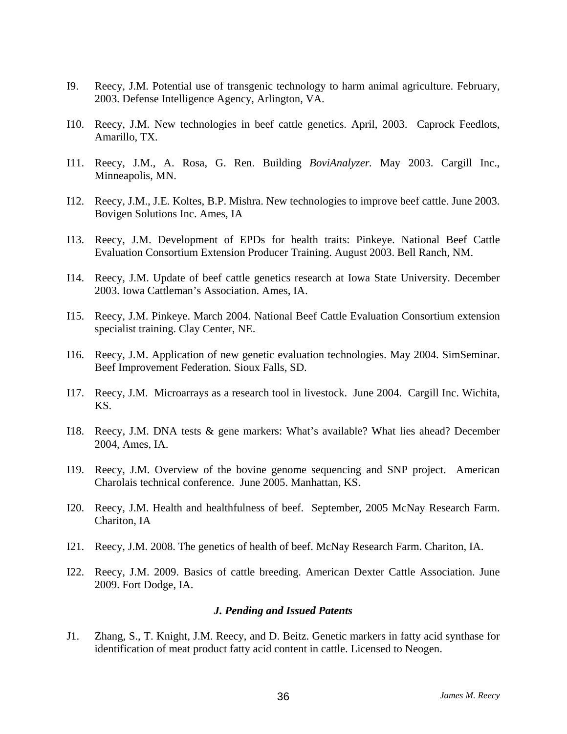- I9. Reecy, J.M. Potential use of transgenic technology to harm animal agriculture. February, 2003. Defense Intelligence Agency, Arlington, VA.
- I10. Reecy, J.M. New technologies in beef cattle genetics. April, 2003. Caprock Feedlots, Amarillo, TX.
- I11. Reecy, J.M., A. Rosa, G. Ren. Building *BoviAnalyzer.* May 2003. Cargill Inc., Minneapolis, MN.
- I12. Reecy, J.M., J.E. Koltes, B.P. Mishra. New technologies to improve beef cattle. June 2003. Bovigen Solutions Inc. Ames, IA
- I13. Reecy, J.M. Development of EPDs for health traits: Pinkeye. National Beef Cattle Evaluation Consortium Extension Producer Training. August 2003. Bell Ranch, NM.
- I14. Reecy, J.M. Update of beef cattle genetics research at Iowa State University. December 2003. Iowa Cattleman's Association. Ames, IA.
- I15. Reecy, J.M. Pinkeye. March 2004. National Beef Cattle Evaluation Consortium extension specialist training. Clay Center, NE.
- I16. Reecy, J.M. Application of new genetic evaluation technologies. May 2004. SimSeminar. Beef Improvement Federation. Sioux Falls, SD.
- I17. Reecy, J.M. Microarrays as a research tool in livestock. June 2004. Cargill Inc. Wichita, KS.
- I18. Reecy, J.M. DNA tests & gene markers: What's available? What lies ahead? December 2004, Ames, IA.
- I19. Reecy, J.M. Overview of the bovine genome sequencing and SNP project. American Charolais technical conference. June 2005. Manhattan, KS.
- I20. Reecy, J.M. Health and healthfulness of beef. September, 2005 McNay Research Farm. Chariton, IA
- I21. Reecy, J.M. 2008. The genetics of health of beef. McNay Research Farm. Chariton, IA.
- I22. Reecy, J.M. 2009. Basics of cattle breeding. American Dexter Cattle Association. June 2009. Fort Dodge, IA.

#### *J. Pending and Issued Patents*

J1. Zhang, S., T. Knight, J.M. Reecy, and D. Beitz. Genetic markers in fatty acid synthase for identification of meat product fatty acid content in cattle. Licensed to Neogen.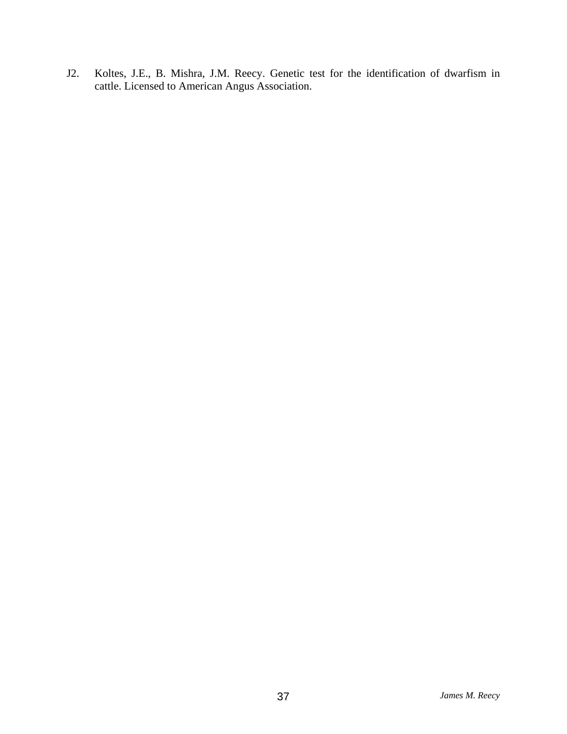J2. Koltes, J.E., B. Mishra, J.M. Reecy. Genetic test for the identification of dwarfism in cattle. Licensed to American Angus Association.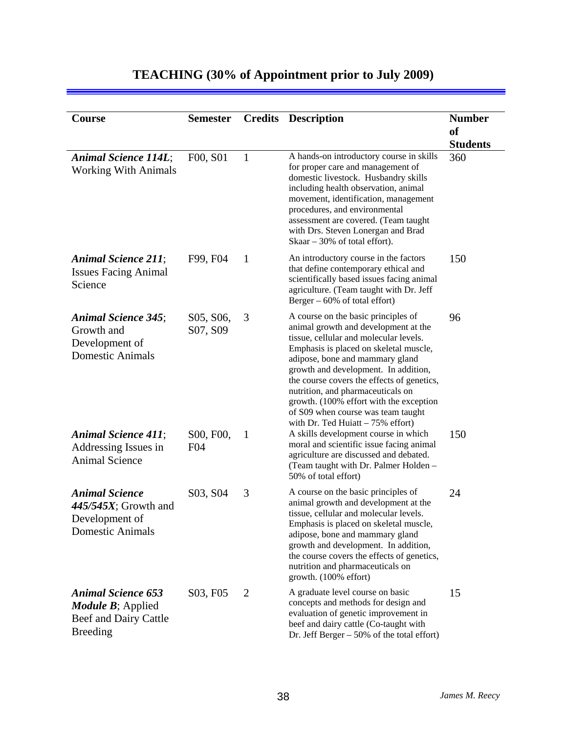#### **Course Semester Credits Description Number of Students**  *Animal Science 114L*; Working With Animals F00, S01 1 A hands-on introductory course in skills for proper care and management of domestic livestock. Husbandry skills including health observation, animal movement, identification, management procedures, and environmental assessment are covered. (Team taught with Drs. Steven Lonergan and Brad Skaar – 30% of total effort). 360 *Animal Science 211*; Issues Facing Animal Science F99, F04 1 An introductory course in the factors that define contemporary ethical and scientifically based issues facing animal agriculture. (Team taught with Dr. Jeff Berger –  $60\%$  of total effort) 150 *Animal Science 345*; Growth and Development of Domestic Animals S05, S06, S07, S09 3 A course on the basic principles of animal growth and development at the tissue, cellular and molecular levels. Emphasis is placed on skeletal muscle, adipose, bone and mammary gland growth and development. In addition, the course covers the effects of genetics, nutrition, and pharmaceuticals on growth. (100% effort with the exception of S09 when course was team taught with Dr. Ted Huiatt  $-75%$  effort) 96 *Animal Science 411*; Addressing Issues in Animal Science S00, F00, F04 1 A skills development course in which moral and scientific issue facing animal agriculture are discussed and debated. (Team taught with Dr. Palmer Holden – 50% of total effort) 150 *Animal Science 445/545X*; Growth and Development of Domestic Animals S03, S04 3 A course on the basic principles of animal growth and development at the tissue, cellular and molecular levels. Emphasis is placed on skeletal muscle, adipose, bone and mammary gland growth and development. In addition, the course covers the effects of genetics, nutrition and pharmaceuticals on growth. (100% effort) 24 *Animal Science 653 Module B*; Applied Beef and Dairy Cattle Breeding S03, F05 2 A graduate level course on basic concepts and methods for design and evaluation of genetic improvement in beef and dairy cattle (Co-taught with Dr. Jeff Berger – 50% of the total effort) 15

### **TEACHING (30% of Appointment prior to July 2009)**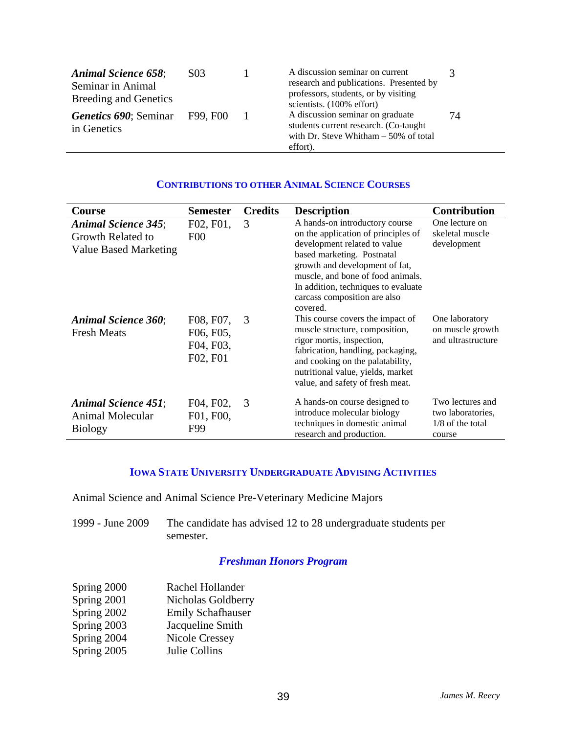| <b>Animal Science 658:</b><br>Seminar in Animal<br><b>Breeding and Genetics</b> | S <sub>03</sub>                       |  | A discussion seminar on current<br>research and publications. Presented by<br>professors, students, or by visiting<br>scientists. (100% effort) |    |
|---------------------------------------------------------------------------------|---------------------------------------|--|-------------------------------------------------------------------------------------------------------------------------------------------------|----|
| in Genetics                                                                     | <b>Genetics 690; Seminar</b> F99, F00 |  | A discussion seminar on graduate<br>students current research. (Co-taught<br>with Dr. Steve Whitham $-50\%$ of total<br>effort).                | 74 |

| <b>Course</b>                                                                   | <b>Semester</b>                                 | <b>Credits</b> | <b>Description</b>                                                                                                                                                                                                                                                                            | <b>Contribution</b>                                                   |
|---------------------------------------------------------------------------------|-------------------------------------------------|----------------|-----------------------------------------------------------------------------------------------------------------------------------------------------------------------------------------------------------------------------------------------------------------------------------------------|-----------------------------------------------------------------------|
| <b>Animal Science 345;</b><br>Growth Related to<br><b>Value Based Marketing</b> | F02, F01,<br>F <sub>0</sub>                     | 3              | A hands-on introductory course<br>on the application of principles of<br>development related to value<br>based marketing. Postnatal<br>growth and development of fat,<br>muscle, and bone of food animals.<br>In addition, techniques to evaluate<br>carcass composition are also<br>covered. | One lecture on<br>skeletal muscle<br>development                      |
| <b>Animal Science 360;</b><br><b>Fresh Meats</b>                                | F08, F07,<br>F06, F05,<br>F04, F03,<br>F02, F01 | 3              | This course covers the impact of<br>muscle structure, composition,<br>rigor mortis, inspection,<br>fabrication, handling, packaging,<br>and cooking on the palatability,<br>nutritional value, yields, market<br>value, and safety of fresh meat.                                             | One laboratory<br>on muscle growth<br>and ultrastructure              |
| <b>Animal Science 451:</b><br>Animal Molecular<br><b>Biology</b>                | F04, F02,<br>F01, F00,<br>F99                   | 3              | A hands-on course designed to<br>introduce molecular biology<br>techniques in domestic animal<br>research and production.                                                                                                                                                                     | Two lectures and<br>two laboratories,<br>$1/8$ of the total<br>course |

#### **CONTRIBUTIONS TO OTHER ANIMAL SCIENCE COURSES**

### **IOWA STATE UNIVERSITY UNDERGRADUATE ADVISING ACTIVITIES**

Animal Science and Animal Science Pre-Veterinary Medicine Majors

| 1999 - June 2009 | The candidate has advised 12 to 28 undergraduate students per |
|------------------|---------------------------------------------------------------|
|                  | semester.                                                     |

#### *Freshman Honors Program*

| Spring 2000 | Rachel Hollander         |
|-------------|--------------------------|
| Spring 2001 | Nicholas Goldberry       |
| Spring 2002 | <b>Emily Schafhauser</b> |
| Spring 2003 | Jacqueline Smith         |
| Spring 2004 | Nicole Cressey           |
| Spring 2005 | Julie Collins            |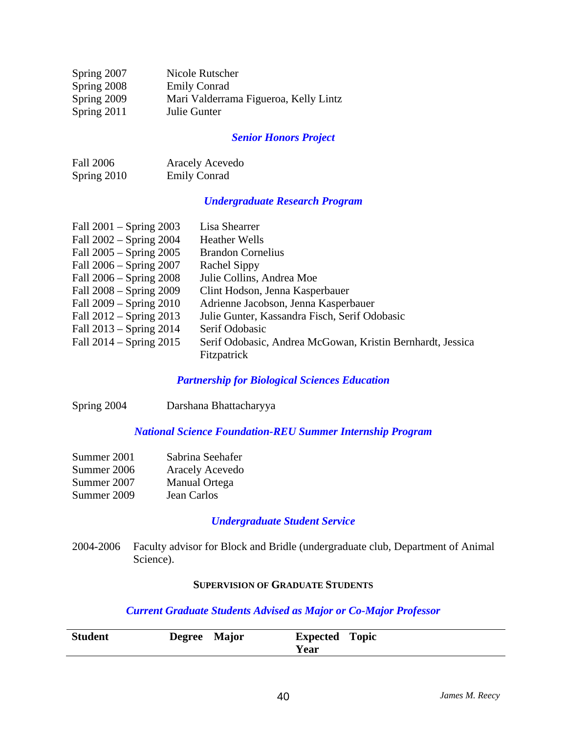| Spring 2007 | Nicole Rutscher                       |
|-------------|---------------------------------------|
| Spring 2008 | <b>Emily Conrad</b>                   |
| Spring 2009 | Mari Valderrama Figueroa, Kelly Lintz |
| Spring 2011 | Julie Gunter                          |

#### *Senior Honors Project*

| <b>Fall 2006</b> | <b>Aracely Acevedo</b> |
|------------------|------------------------|
| Spring 2010      | <b>Emily Conrad</b>    |

### *Undergraduate Research Program*

| Fall $2001 -$ Spring $2003$ | Lisa Shearrer                                              |
|-----------------------------|------------------------------------------------------------|
| Fall 2002 – Spring 2004     | <b>Heather Wells</b>                                       |
| Fall 2005 – Spring 2005     | <b>Brandon Cornelius</b>                                   |
| Fall 2006 – Spring 2007     | <b>Rachel Sippy</b>                                        |
| Fall 2006 – Spring 2008     | Julie Collins, Andrea Moe                                  |
| Fall 2008 – Spring 2009     | Clint Hodson, Jenna Kasperbauer                            |
| Fall $2009 -$ Spring $2010$ | Adrienne Jacobson, Jenna Kasperbauer                       |
| Fall $2012$ – Spring $2013$ | Julie Gunter, Kassandra Fisch, Serif Odobasic              |
| Fall 2013 – Spring 2014     | Serif Odobasic                                             |
| Fall $2014 -$ Spring $2015$ | Serif Odobasic, Andrea McGowan, Kristin Bernhardt, Jessica |
|                             | Fitzpatrick                                                |

#### *Partnership for Biological Sciences Education*

Spring 2004 Darshana Bhattacharyya

#### *National Science Foundation-REU Summer Internship Program*

| Summer 2001 | Sabrina Seehafer |
|-------------|------------------|
| Summer 2006 | Aracely Acevedo  |
| Summer 2007 | Manual Ortega    |
| Summer 2009 | Jean Carlos      |

### *Undergraduate Student Service*

2004-2006 Faculty advisor for Block and Bridle (undergraduate club, Department of Animal Science).

#### **SUPERVISION OF GRADUATE STUDENTS**

#### *Current Graduate Students Advised as Major or Co-Major Professor*

| <b>Student</b> | <b>Degree</b> | <b>Major</b> | <b>Expected</b> | <b>Topic</b> |
|----------------|---------------|--------------|-----------------|--------------|
|                |               |              | Year            |              |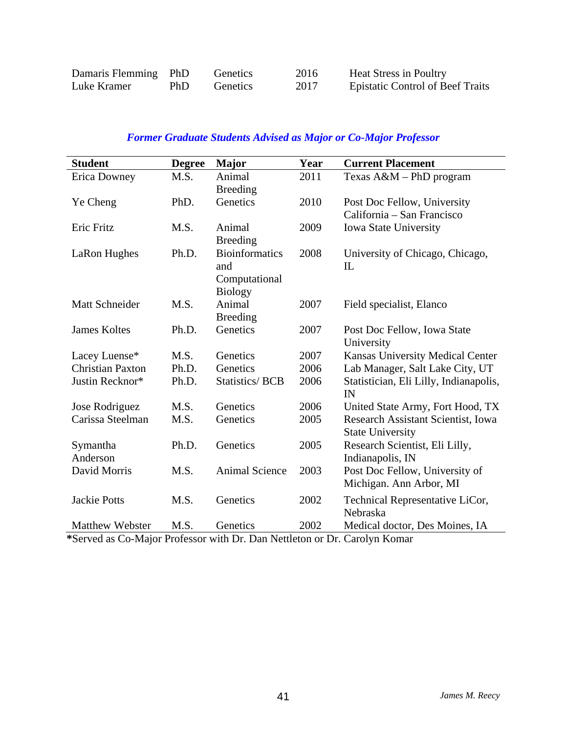| Damaris Flemming PhD |     | Genetics | 2016 | <b>Heat Stress in Poultry</b>           |
|----------------------|-----|----------|------|-----------------------------------------|
| Luke Kramer          | PhD | Genetics | 2017 | <b>Epistatic Control of Beef Traits</b> |

### *Former Graduate Students Advised as Major or Co-Major Professor*

| <b>Student</b>          | <b>Degree</b> | <b>Major</b>          | Year | <b>Current Placement</b>               |
|-------------------------|---------------|-----------------------|------|----------------------------------------|
| <b>Erica Downey</b>     | M.S.          | Animal                | 2011 | Texas $A\&M$ – PhD program             |
|                         |               | <b>Breeding</b>       |      |                                        |
| Ye Cheng                | PhD.          | Genetics              | 2010 | Post Doc Fellow, University            |
|                         |               |                       |      | California – San Francisco             |
| Eric Fritz              | M.S.          | Animal                | 2009 | Iowa State University                  |
|                         |               | <b>Breeding</b>       |      |                                        |
| LaRon Hughes            | Ph.D.         | <b>Bioinformatics</b> | 2008 | University of Chicago, Chicago,        |
|                         |               | and                   |      | IL                                     |
|                         |               | Computational         |      |                                        |
|                         |               | <b>Biology</b>        |      |                                        |
| Matt Schneider          | M.S.          | Animal                | 2007 | Field specialist, Elanco               |
|                         |               | <b>Breeding</b>       |      |                                        |
| <b>James Koltes</b>     | Ph.D.         | Genetics              | 2007 | Post Doc Fellow, Iowa State            |
|                         |               |                       |      | University                             |
| Lacey Luense*           | M.S.          | Genetics              | 2007 | Kansas University Medical Center       |
| <b>Christian Paxton</b> | Ph.D.         | Genetics              | 2006 | Lab Manager, Salt Lake City, UT        |
| Justin Recknor*         | Ph.D.         | <b>Statistics/BCB</b> | 2006 | Statistician, Eli Lilly, Indianapolis, |
|                         |               |                       |      | IN                                     |
| Jose Rodriguez          | M.S.          | Genetics              | 2006 | United State Army, Fort Hood, TX       |
| Carissa Steelman        | M.S.          | Genetics              | 2005 | Research Assistant Scientist, Iowa     |
|                         |               |                       |      | <b>State University</b>                |
| Symantha                | Ph.D.         | Genetics              | 2005 | Research Scientist, Eli Lilly,         |
| Anderson                |               |                       |      | Indianapolis, IN                       |
| David Morris            | M.S.          | <b>Animal Science</b> | 2003 | Post Doc Fellow, University of         |
|                         |               |                       |      | Michigan. Ann Arbor, MI                |
| <b>Jackie Potts</b>     | M.S.          | Genetics              | 2002 | Technical Representative LiCor,        |
|                         |               |                       |      | Nebraska                               |
| <b>Matthew Webster</b>  | M.S.          | Genetics              | 2002 | Medical doctor, Des Moines, IA         |

**\***Served as Co-Major Professor with Dr. Dan Nettleton or Dr. Carolyn Komar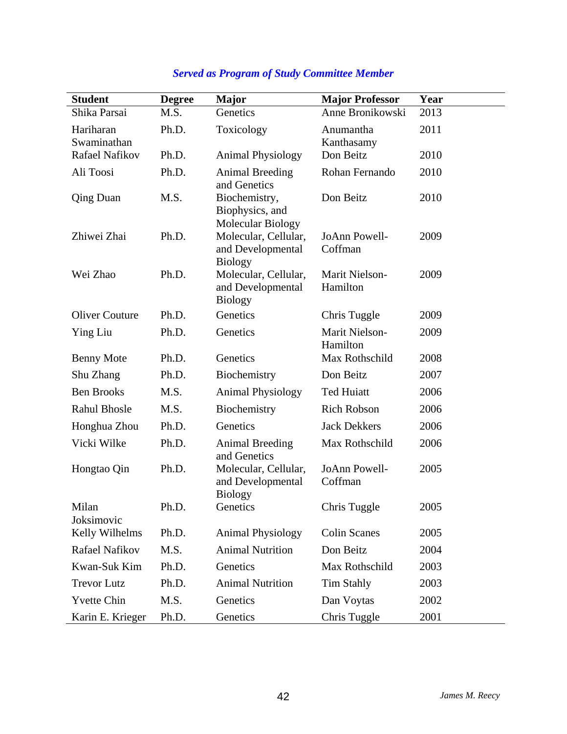| <b>Student</b>        | <b>Degree</b> | <b>Major</b>                                                | <b>Major Professor</b>     | Year |
|-----------------------|---------------|-------------------------------------------------------------|----------------------------|------|
| Shika Parsai          | M.S.          | Genetics                                                    | Anne Bronikowski           | 2013 |
| Hariharan             | Ph.D.         | Toxicology                                                  | Anumantha                  | 2011 |
| Swaminathan           |               |                                                             | Kanthasamy                 |      |
| Rafael Nafikov        | Ph.D.         | <b>Animal Physiology</b>                                    | Don Beitz                  | 2010 |
| Ali Toosi             | Ph.D.         | Animal Breeding<br>and Genetics                             | Rohan Fernando             | 2010 |
| <b>Qing Duan</b>      | M.S.          | Biochemistry,<br>Biophysics, and<br>Molecular Biology       | Don Beitz                  | 2010 |
| Zhiwei Zhai           | Ph.D.         | Molecular, Cellular,<br>and Developmental<br><b>Biology</b> | JoAnn Powell-<br>Coffman   | 2009 |
| Wei Zhao              | Ph.D.         | Molecular, Cellular,<br>and Developmental<br><b>Biology</b> | Marit Nielson-<br>Hamilton | 2009 |
| <b>Oliver Couture</b> | Ph.D.         | Genetics                                                    | Chris Tuggle               | 2009 |
| Ying Liu              | Ph.D.         | Genetics                                                    | Marit Nielson-<br>Hamilton | 2009 |
| <b>Benny Mote</b>     | Ph.D.         | Genetics                                                    | Max Rothschild             | 2008 |
| Shu Zhang             | Ph.D.         | Biochemistry                                                | Don Beitz                  | 2007 |
| <b>Ben Brooks</b>     | M.S.          | <b>Animal Physiology</b>                                    | <b>Ted Huiatt</b>          | 2006 |
| <b>Rahul Bhosle</b>   | M.S.          | Biochemistry                                                | <b>Rich Robson</b>         | 2006 |
| Honghua Zhou          | Ph.D.         | Genetics                                                    | <b>Jack Dekkers</b>        | 2006 |
| Vicki Wilke           | Ph.D.         | <b>Animal Breeding</b><br>and Genetics                      | Max Rothschild             | 2006 |
| Hongtao Qin           | Ph.D.         | Molecular, Cellular,<br>and Developmental<br><b>Biology</b> | JoAnn Powell-<br>Coffman   | 2005 |
| Milan<br>Joksimovic   | Ph.D.         | Genetics                                                    | Chris Tuggle               | 2005 |
| Kelly Wilhelms        | Ph.D.         | <b>Animal Physiology</b>                                    | <b>Colin Scanes</b>        | 2005 |
| Rafael Nafikov        | M.S.          | <b>Animal Nutrition</b>                                     | Don Beitz                  | 2004 |
| Kwan-Suk Kim          | Ph.D.         | Genetics                                                    | Max Rothschild             | 2003 |
| <b>Trevor Lutz</b>    | Ph.D.         | <b>Animal Nutrition</b>                                     | <b>Tim Stahly</b>          | 2003 |
| <b>Yvette Chin</b>    | M.S.          | Genetics                                                    | Dan Voytas                 | 2002 |
| Karin E. Krieger      | Ph.D.         | Genetics                                                    | Chris Tuggle               | 2001 |

# *Served as Program of Study Committee Member*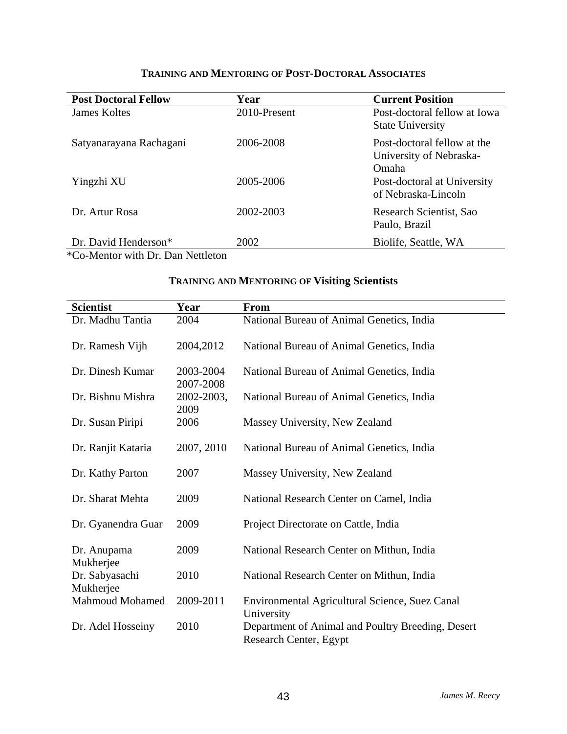| <b>Post Doctoral Fellow</b> | Year         | <b>Current Position</b>                                                |
|-----------------------------|--------------|------------------------------------------------------------------------|
| James Koltes                | 2010-Present | Post-doctoral fellow at Iowa<br><b>State University</b>                |
| Satyanarayana Rachagani     | 2006-2008    | Post-doctoral fellow at the<br>University of Nebraska-<br><b>Omaha</b> |
| Yingzhi XU                  | 2005-2006    | Post-doctoral at University<br>of Nebraska-Lincoln                     |
| Dr. Artur Rosa              | 2002-2003    | Research Scientist, Sao<br>Paulo, Brazil                               |
| Dr. David Henderson*        | 2002         | Biolife, Seattle, WA                                                   |

### **TRAINING AND MENTORING OF POST-DOCTORAL ASSOCIATES**

\*Co-Mentor with Dr. Dan Nettleton

### **TRAINING AND MENTORING OF Visiting Scientists**

| <b>Scientist</b>            | Year                   | <b>From</b>                                                                 |
|-----------------------------|------------------------|-----------------------------------------------------------------------------|
| Dr. Madhu Tantia            | 2004                   | National Bureau of Animal Genetics, India                                   |
| Dr. Ramesh Vijh             | 2004,2012              | National Bureau of Animal Genetics, India                                   |
| Dr. Dinesh Kumar            | 2003-2004<br>2007-2008 | National Bureau of Animal Genetics, India                                   |
| Dr. Bishnu Mishra           | 2002-2003,<br>2009     | National Bureau of Animal Genetics, India                                   |
| Dr. Susan Piripi            | 2006                   | Massey University, New Zealand                                              |
| Dr. Ranjit Kataria          | 2007, 2010             | National Bureau of Animal Genetics, India                                   |
| Dr. Kathy Parton            | 2007                   | Massey University, New Zealand                                              |
| Dr. Sharat Mehta            | 2009                   | National Research Center on Camel, India                                    |
| Dr. Gyanendra Guar          | 2009                   | Project Directorate on Cattle, India                                        |
| Dr. Anupama<br>Mukherjee    | 2009                   | National Research Center on Mithun, India                                   |
| Dr. Sabyasachi<br>Mukherjee | 2010                   | National Research Center on Mithun, India                                   |
| <b>Mahmoud Mohamed</b>      | 2009-2011              | Environmental Agricultural Science, Suez Canal<br>University                |
| Dr. Adel Hosseiny           | 2010                   | Department of Animal and Poultry Breeding, Desert<br>Research Center, Egypt |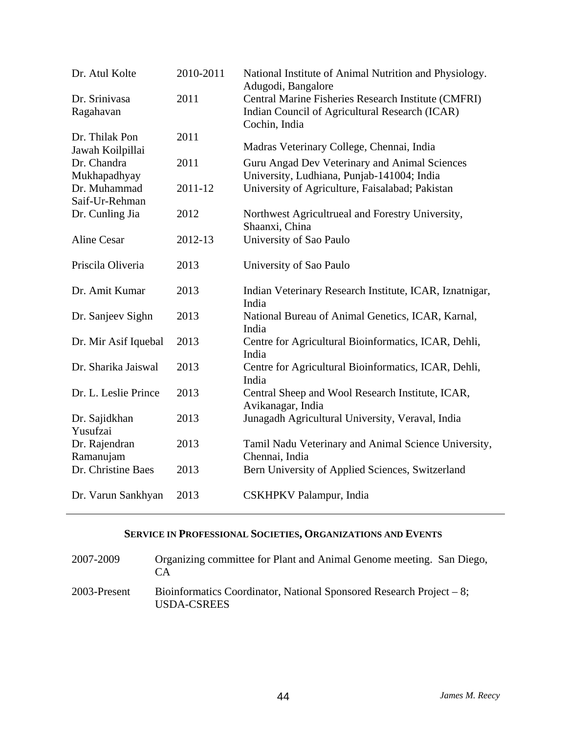| Dr. Atul Kolte       | 2010-2011 | National Institute of Animal Nutrition and Physiology.<br>Adugodi, Bangalore |
|----------------------|-----------|------------------------------------------------------------------------------|
| Dr. Srinivasa        | 2011      | Central Marine Fisheries Research Institute (CMFRI)                          |
| Ragahavan            |           | Indian Council of Agricultural Research (ICAR)<br>Cochin, India              |
| Dr. Thilak Pon       | 2011      |                                                                              |
| Jawah Koilpillai     |           | Madras Veterinary College, Chennai, India                                    |
| Dr. Chandra          | 2011      | Guru Angad Dev Veterinary and Animal Sciences                                |
| Mukhapadhyay         |           | University, Ludhiana, Punjab-141004; India                                   |
| Dr. Muhammad         | 2011-12   | University of Agriculture, Faisalabad; Pakistan                              |
| Saif-Ur-Rehman       |           |                                                                              |
| Dr. Cunling Jia      | 2012      | Northwest Agricultrueal and Forestry University,<br>Shaanxi, China           |
| <b>Aline Cesar</b>   | 2012-13   | University of Sao Paulo                                                      |
|                      |           |                                                                              |
| Priscila Oliveria    | 2013      | University of Sao Paulo                                                      |
|                      |           |                                                                              |
| Dr. Amit Kumar       | 2013      | Indian Veterinary Research Institute, ICAR, Iznatnigar,<br>India             |
| Dr. Sanjeev Sighn    | 2013      | National Bureau of Animal Genetics, ICAR, Karnal,<br>India                   |
| Dr. Mir Asif Iquebal | 2013      | Centre for Agricultural Bioinformatics, ICAR, Dehli,                         |
|                      |           | India                                                                        |
| Dr. Sharika Jaiswal  | 2013      | Centre for Agricultural Bioinformatics, ICAR, Dehli,                         |
|                      |           | India                                                                        |
| Dr. L. Leslie Prince | 2013      | Central Sheep and Wool Research Institute, ICAR,<br>Avikanagar, India        |
| Dr. Sajidkhan        | 2013      | Junagadh Agricultural University, Veraval, India                             |
| Yusufzai             |           |                                                                              |
| Dr. Rajendran        | 2013      | Tamil Nadu Veterinary and Animal Science University,                         |
| Ramanujam            |           | Chennai, India                                                               |
| Dr. Christine Baes   | 2013      | Bern University of Applied Sciences, Switzerland                             |
| Dr. Varun Sankhyan   | 2013      | CSKHPKV Palampur, India                                                      |

### **SERVICE IN PROFESSIONAL SOCIETIES, ORGANIZATIONS AND EVENTS**

| 2007-2009    | Organizing committee for Plant and Animal Genome meeting. San Diego,<br>CА            |
|--------------|---------------------------------------------------------------------------------------|
| 2003-Present | Bioinformatics Coordinator, National Sponsored Research Project $-8$ ;<br>USDA-CSREES |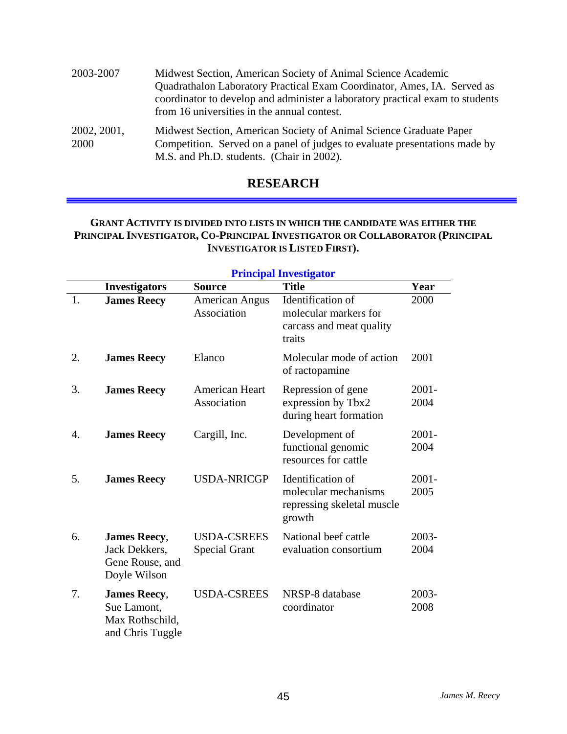| 2003-2007           | Midwest Section, American Society of Animal Science Academic<br>Quadrathalon Laboratory Practical Exam Coordinator, Ames, IA. Served as<br>coordinator to develop and administer a laboratory practical exam to students<br>from 16 universities in the annual contest. |
|---------------------|-------------------------------------------------------------------------------------------------------------------------------------------------------------------------------------------------------------------------------------------------------------------------|
| 2002, 2001,<br>2000 | Midwest Section, American Society of Animal Science Graduate Paper<br>Competition. Served on a panel of judges to evaluate presentations made by<br>M.S. and Ph.D. students. (Chair in 2002).                                                                           |

## **RESEARCH**

#### **GRANT ACTIVITY IS DIVIDED INTO LISTS IN WHICH THE CANDIDATE WAS EITHER THE PRINCIPAL INVESTIGATOR, CO-PRINCIPAL INVESTIGATOR OR COLLABORATOR (PRINCIPAL INVESTIGATOR IS LISTED FIRST).**

|    | <b>Principal Investigator</b>                                             |                                            |                                                                                   |                  |  |
|----|---------------------------------------------------------------------------|--------------------------------------------|-----------------------------------------------------------------------------------|------------------|--|
|    | <b>Investigators</b>                                                      | <b>Source</b>                              | <b>Title</b>                                                                      | Year             |  |
| 1. | <b>James Reecy</b>                                                        | <b>American Angus</b><br>Association       | Identification of<br>molecular markers for<br>carcass and meat quality<br>traits  | 2000             |  |
| 2. | <b>James Reecy</b>                                                        | Elanco                                     | Molecular mode of action<br>of ractopamine                                        | 2001             |  |
| 3. | <b>James Reecy</b>                                                        | American Heart<br>Association              | Repression of gene<br>expression by Tbx2<br>during heart formation                | $2001 -$<br>2004 |  |
| 4. | <b>James Reecy</b>                                                        | Cargill, Inc.                              | Development of<br>functional genomic<br>resources for cattle                      | $2001 -$<br>2004 |  |
| 5. | <b>James Reecy</b>                                                        | <b>USDA-NRICGP</b>                         | Identification of<br>molecular mechanisms<br>repressing skeletal muscle<br>growth | $2001 -$<br>2005 |  |
| 6. | <b>James Reecy,</b><br>Jack Dekkers,<br>Gene Rouse, and<br>Doyle Wilson   | <b>USDA-CSREES</b><br><b>Special Grant</b> | National beef cattle<br>evaluation consortium                                     | 2003-<br>2004    |  |
| 7. | <b>James Reecy,</b><br>Sue Lamont,<br>Max Rothschild,<br>and Chris Tuggle | <b>USDA-CSREES</b>                         | NRSP-8 database<br>coordinator                                                    | 2003-<br>2008    |  |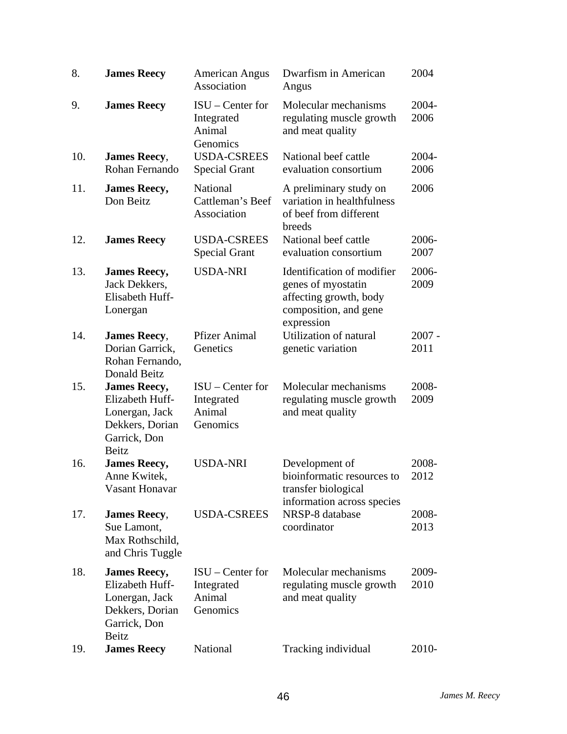| 8.  | <b>James Reecy</b>                                                                                          | <b>American Angus</b><br>Association                   | Dwarfism in American<br>Angus                                                                                     | 2004             |
|-----|-------------------------------------------------------------------------------------------------------------|--------------------------------------------------------|-------------------------------------------------------------------------------------------------------------------|------------------|
| 9.  | <b>James Reecy</b>                                                                                          | $ISU$ – Center for<br>Integrated<br>Animal<br>Genomics | Molecular mechanisms<br>regulating muscle growth<br>and meat quality                                              | 2004-<br>2006    |
| 10. | <b>James Reecy,</b><br>Rohan Fernando                                                                       | <b>USDA-CSREES</b><br><b>Special Grant</b>             | National beef cattle<br>evaluation consortium                                                                     | 2004-<br>2006    |
| 11. | <b>James Reecy,</b><br>Don Beitz                                                                            | National<br>Cattleman's Beef<br>Association            | A preliminary study on<br>variation in healthfulness<br>of beef from different<br>breeds                          | 2006             |
| 12. | <b>James Reecy</b>                                                                                          | <b>USDA-CSREES</b><br><b>Special Grant</b>             | National beef cattle<br>evaluation consortium                                                                     | 2006-<br>2007    |
| 13. | <b>James Reecy,</b><br>Jack Dekkers,<br>Elisabeth Huff-<br>Lonergan                                         | <b>USDA-NRI</b>                                        | Identification of modifier<br>genes of myostatin<br>affecting growth, body<br>composition, and gene<br>expression | 2006-<br>2009    |
| 14. | <b>James Reecy,</b><br>Dorian Garrick,<br>Rohan Fernando,<br>Donald Beitz                                   | <b>Pfizer Animal</b><br>Genetics                       | <b>Utilization of natural</b><br>genetic variation                                                                | $2007 -$<br>2011 |
| 15. | <b>James Reecy,</b><br>Elizabeth Huff-<br>Lonergan, Jack<br>Dekkers, Dorian<br>Garrick, Don<br>Beitz        | $ISU - Center for$<br>Integrated<br>Animal<br>Genomics | Molecular mechanisms<br>regulating muscle growth<br>and meat quality                                              | 2008-<br>2009    |
| 16. | <b>James Reecy,</b><br>Anne Kwitek,<br>Vasant Honavar                                                       | <b>USDA-NRI</b>                                        | Development of<br>bioinformatic resources to<br>transfer biological<br>information across species                 | 2008-<br>2012    |
| 17. | <b>James Reecy,</b><br>Sue Lamont,<br>Max Rothschild,<br>and Chris Tuggle                                   | <b>USDA-CSREES</b>                                     | NRSP-8 database<br>coordinator                                                                                    | 2008-<br>2013    |
| 18. | <b>James Reecy,</b><br>Elizabeth Huff-<br>Lonergan, Jack<br>Dekkers, Dorian<br>Garrick, Don<br><b>Beitz</b> | $ISU - Center for$<br>Integrated<br>Animal<br>Genomics | Molecular mechanisms<br>regulating muscle growth<br>and meat quality                                              | 2009-<br>2010    |
| 19. | <b>James Reecy</b>                                                                                          | National                                               | Tracking individual                                                                                               | 2010-            |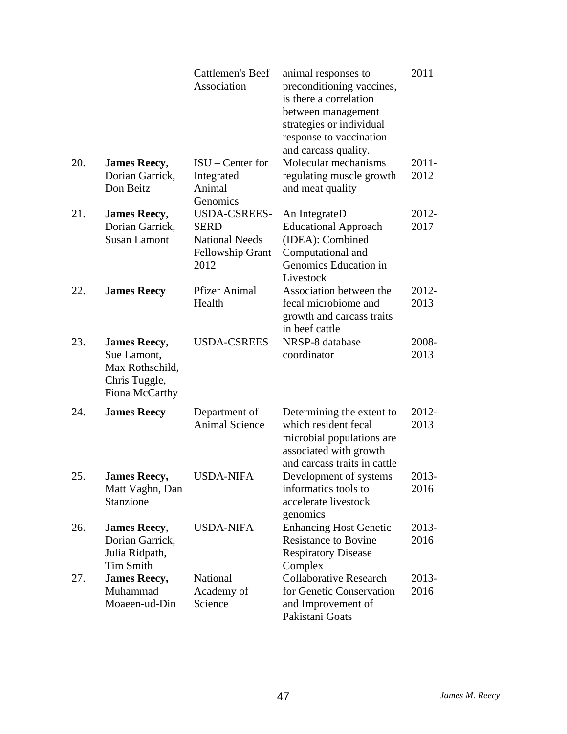|     |                                                                                          | <b>Cattlemen's Beef</b><br>Association                   | animal responses to<br>preconditioning vaccines,<br>is there a correlation<br>between management<br>strategies or individual<br>response to vaccination<br>and carcass quality. | 2011          |
|-----|------------------------------------------------------------------------------------------|----------------------------------------------------------|---------------------------------------------------------------------------------------------------------------------------------------------------------------------------------|---------------|
| 20. | <b>James Reecy,</b>                                                                      | $ISU$ – Center for                                       | Molecular mechanisms                                                                                                                                                            | 2011-         |
|     | Dorian Garrick,<br>Don Beitz                                                             | Integrated<br>Animal<br>Genomics                         | regulating muscle growth<br>and meat quality                                                                                                                                    | 2012          |
| 21. | <b>James Reecy,</b>                                                                      | <b>USDA-CSREES-</b>                                      | An IntegrateD                                                                                                                                                                   | 2012-         |
|     | Dorian Garrick,                                                                          | <b>SERD</b>                                              | <b>Educational Approach</b>                                                                                                                                                     | 2017          |
|     | <b>Susan Lamont</b>                                                                      | <b>National Needs</b><br><b>Fellowship Grant</b><br>2012 | (IDEA): Combined<br>Computational and<br>Genomics Education in<br>Livestock                                                                                                     |               |
| 22. | <b>James Reecy</b>                                                                       | <b>Pfizer Animal</b>                                     | Association between the                                                                                                                                                         | 2012-         |
|     |                                                                                          | Health                                                   | fecal microbiome and<br>growth and carcass traits<br>in beef cattle                                                                                                             | 2013          |
| 23. | <b>James Reecy,</b><br>Sue Lamont,<br>Max Rothschild,<br>Chris Tuggle,<br>Fiona McCarthy | <b>USDA-CSREES</b>                                       | NRSP-8 database<br>coordinator                                                                                                                                                  | 2008-<br>2013 |
| 24. | <b>James Reecy</b>                                                                       | Department of<br><b>Animal Science</b>                   | Determining the extent to<br>which resident fecal<br>microbial populations are<br>associated with growth<br>and carcass traits in cattle                                        | 2012-<br>2013 |
| 25. | <b>James Reecy,</b><br>Matt Vaghn, Dan<br>Stanzione                                      | <b>USDA-NIFA</b>                                         | Development of systems<br>informatics tools to<br>accelerate livestock<br>genomics                                                                                              | 2013-<br>2016 |
| 26. | <b>James Reecy,</b><br>Dorian Garrick,                                                   | <b>USDA-NIFA</b>                                         | <b>Enhancing Host Genetic</b><br><b>Resistance to Bovine</b>                                                                                                                    | 2013-<br>2016 |
|     | Julia Ridpath,<br><b>Tim Smith</b>                                                       |                                                          | <b>Respiratory Disease</b><br>Complex                                                                                                                                           |               |
| 27. | <b>James Reecy,</b>                                                                      | National                                                 | <b>Collaborative Research</b>                                                                                                                                                   | 2013-         |
|     | Muhammad<br>Moaeen-ud-Din                                                                | Academy of<br>Science                                    | for Genetic Conservation<br>and Improvement of<br>Pakistani Goats                                                                                                               | 2016          |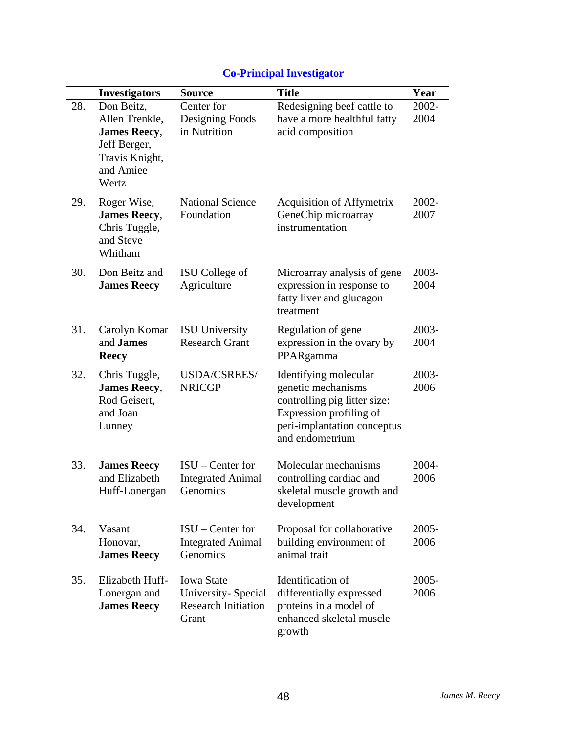|     | <b>Investigators</b>                                                                                        | <b>Source</b>                                                                  | <b>Title</b>                                                                                                                                             | Year             |
|-----|-------------------------------------------------------------------------------------------------------------|--------------------------------------------------------------------------------|----------------------------------------------------------------------------------------------------------------------------------------------------------|------------------|
| 28. | Don Beitz,<br>Allen Trenkle,<br><b>James Reecy,</b><br>Jeff Berger,<br>Travis Knight,<br>and Amiee<br>Wertz | Center for<br>Designing Foods<br>in Nutrition                                  | Redesigning beef cattle to<br>have a more healthful fatty<br>acid composition                                                                            | 2002-<br>2004    |
| 29. | Roger Wise,<br><b>James Reecy,</b><br>Chris Tuggle,<br>and Steve<br>Whitham                                 | <b>National Science</b><br>Foundation                                          | Acquisition of Affymetrix<br>GeneChip microarray<br>instrumentation                                                                                      | 2002-<br>2007    |
| 30. | Don Beitz and<br><b>James Reecy</b>                                                                         | ISU College of<br>Agriculture                                                  | Microarray analysis of gene<br>expression in response to<br>fatty liver and glucagon<br>treatment                                                        | 2003-<br>2004    |
| 31. | Carolyn Komar<br>and <b>James</b><br><b>Reecy</b>                                                           | <b>ISU</b> University<br><b>Research Grant</b>                                 | Regulation of gene<br>expression in the ovary by<br>PPARgamma                                                                                            | 2003-<br>2004    |
| 32. | Chris Tuggle,<br><b>James Reecy,</b><br>Rod Geisert,<br>and Joan<br>Lunney                                  | USDA/CSREES/<br><b>NRICGP</b>                                                  | Identifying molecular<br>genetic mechanisms<br>controlling pig litter size:<br>Expression profiling of<br>peri-implantation conceptus<br>and endometrium | 2003-<br>2006    |
| 33. | <b>James Reecy</b><br>and Elizabeth<br>Huff-Lonergan                                                        | $ISU$ – Center for<br><b>Integrated Animal</b><br>Genomics                     | Molecular mechanisms<br>controlling cardiac and<br>skeletal muscle growth and<br>development                                                             | 2004-<br>2006    |
| 34. | Vasant<br>Honovar,<br><b>James Reecy</b>                                                                    | $ISU$ – Center for<br><b>Integrated Animal</b><br>Genomics                     | Proposal for collaborative<br>building environment of<br>animal trait                                                                                    | $2005 -$<br>2006 |
| 35. | Elizabeth Huff-<br>Lonergan and<br><b>James Reecy</b>                                                       | <b>Iowa State</b><br>University-Special<br><b>Research Initiation</b><br>Grant | Identification of<br>differentially expressed<br>proteins in a model of<br>enhanced skeletal muscle<br>growth                                            | $2005 -$<br>2006 |

# **Co-Principal Investigator**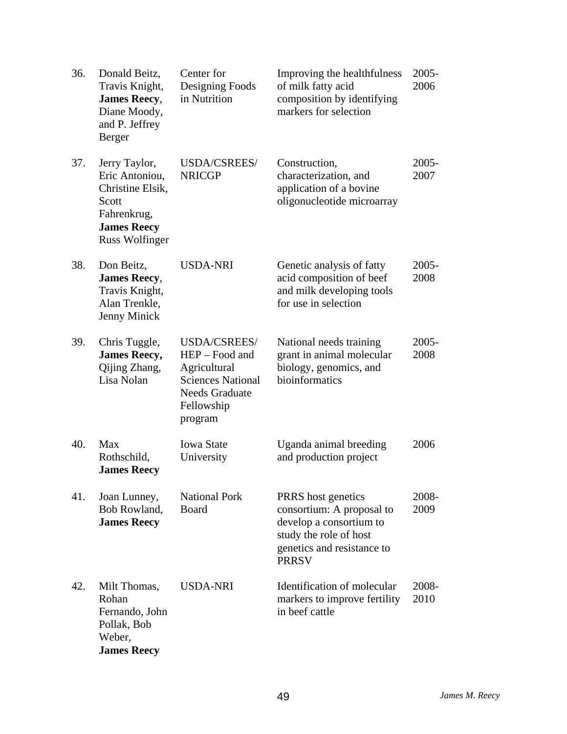| 36. | Donald Beitz,<br>Travis Knight,<br><b>James Reecy,</b><br>Diane Moody,<br>and P. Jeffrey<br>Berger                         | Center for<br>Designing Foods<br>in Nutrition                                                                                       | Improving the healthfulness<br>of milk fatty acid<br>composition by identifying<br>markers for selection                                           | 2005-<br>2006    |
|-----|----------------------------------------------------------------------------------------------------------------------------|-------------------------------------------------------------------------------------------------------------------------------------|----------------------------------------------------------------------------------------------------------------------------------------------------|------------------|
| 37. | Jerry Taylor,<br>Eric Antoniou,<br>Christine Elsik,<br>Scott<br>Fahrenkrug,<br><b>James Reecy</b><br><b>Russ Wolfinger</b> | USDA/CSREES/<br><b>NRICGP</b>                                                                                                       | Construction,<br>characterization, and<br>application of a bovine<br>oligonucleotide microarray                                                    | $2005 -$<br>2007 |
| 38. | Don Beitz,<br><b>James Reecy,</b><br>Travis Knight,<br>Alan Trenkle,<br>Jenny Minick                                       | <b>USDA-NRI</b>                                                                                                                     | Genetic analysis of fatty<br>acid composition of beef<br>and milk developing tools<br>for use in selection                                         | $2005 -$<br>2008 |
| 39. | Chris Tuggle,<br><b>James Reecy,</b><br>Qijing Zhang,<br>Lisa Nolan                                                        | <b>USDA/CSREES/</b><br>HEP - Food and<br>Agricultural<br><b>Sciences National</b><br><b>Needs Graduate</b><br>Fellowship<br>program | National needs training<br>grant in animal molecular<br>biology, genomics, and<br>bioinformatics                                                   | $2005 -$<br>2008 |
| 40. | Max<br>Rothschild,<br><b>James Reecy</b>                                                                                   | <b>Iowa State</b><br>University                                                                                                     | Uganda animal breeding<br>and production project                                                                                                   | 2006             |
| 41. | Joan Lunney,<br>Bob Rowland,<br><b>James Reecy</b>                                                                         | <b>National Pork</b><br><b>Board</b>                                                                                                | PRRS host genetics<br>consortium: A proposal to<br>develop a consortium to<br>study the role of host<br>genetics and resistance to<br><b>PRRSV</b> | 2008-<br>2009    |
| 42. | Milt Thomas,<br>Rohan<br>Fernando, John<br>Pollak, Bob<br>Weber,<br><b>James Reecy</b>                                     | <b>USDA-NRI</b>                                                                                                                     | Identification of molecular<br>markers to improve fertility<br>in beef cattle                                                                      | 2008-<br>2010    |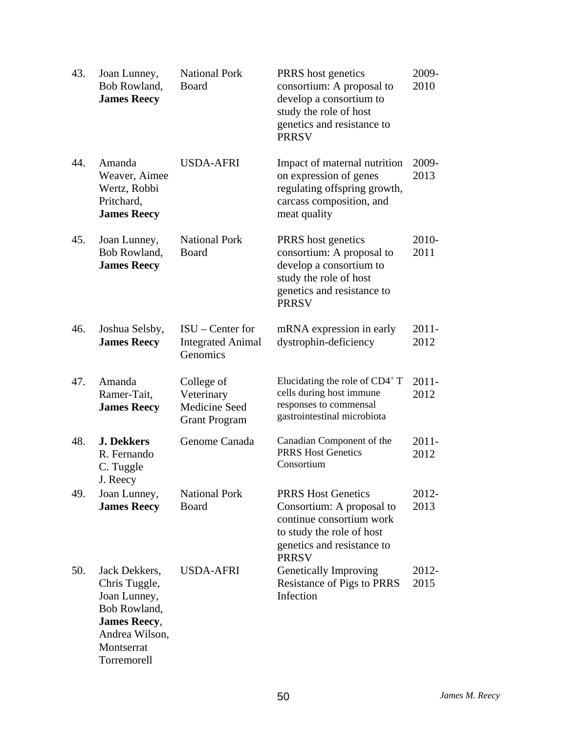| 43. | Joan Lunney,<br>Bob Rowland,<br><b>James Reecy</b>                                                                                   | <b>National Pork</b><br>Board                                     | PRRS host genetics<br>consortium: A proposal to<br>develop a consortium to<br>study the role of host<br>genetics and resistance to<br><b>PRRSV</b>            | 2009-<br>2010    |
|-----|--------------------------------------------------------------------------------------------------------------------------------------|-------------------------------------------------------------------|---------------------------------------------------------------------------------------------------------------------------------------------------------------|------------------|
| 44. | Amanda<br>Weaver, Aimee<br>Wertz, Robbi<br>Pritchard,<br><b>James Reecy</b>                                                          | <b>USDA-AFRI</b>                                                  | Impact of maternal nutrition<br>on expression of genes<br>regulating offspring growth,<br>carcass composition, and<br>meat quality                            | 2009-<br>2013    |
| 45. | Joan Lunney,<br>Bob Rowland,<br><b>James Reecy</b>                                                                                   | <b>National Pork</b><br>Board                                     | PRRS host genetics<br>consortium: A proposal to<br>develop a consortium to<br>study the role of host<br>genetics and resistance to<br><b>PRRSV</b>            | 2010-<br>2011    |
| 46. | Joshua Selsby,<br><b>James Reecy</b>                                                                                                 | $ISU$ – Center for<br><b>Integrated Animal</b><br>Genomics        | mRNA expression in early<br>dystrophin-deficiency                                                                                                             | $2011 -$<br>2012 |
| 47. | Amanda<br>Ramer-Tait,<br><b>James Reecy</b>                                                                                          | College of<br>Veterinary<br>Medicine Seed<br><b>Grant Program</b> | Elucidating the role of $CD4^+T$<br>cells during host immune<br>responses to commensal<br>gastrointestinal microbiota                                         | $2011 -$<br>2012 |
| 48. | <b>J. Dekkers</b><br>R. Fernando<br>C. Tuggle<br>J. Reecy                                                                            | Genome Canada                                                     | Canadian Component of the<br><b>PRRS Host Genetics</b><br>Consortium                                                                                          | $2011 -$<br>2012 |
| 49. | Joan Lunney,<br><b>James Reecy</b>                                                                                                   | <b>National Pork</b><br>Board                                     | <b>PRRS Host Genetics</b><br>Consortium: A proposal to<br>continue consortium work<br>to study the role of host<br>genetics and resistance to<br><b>PRRSV</b> | 2012-<br>2013    |
| 50. | Jack Dekkers,<br>Chris Tuggle,<br>Joan Lunney,<br>Bob Rowland,<br><b>James Reecy,</b><br>Andrea Wilson,<br>Montserrat<br>Torremorell | <b>USDA-AFRI</b>                                                  | Genetically Improving<br>Resistance of Pigs to PRRS<br>Infection                                                                                              | 2012-<br>2015    |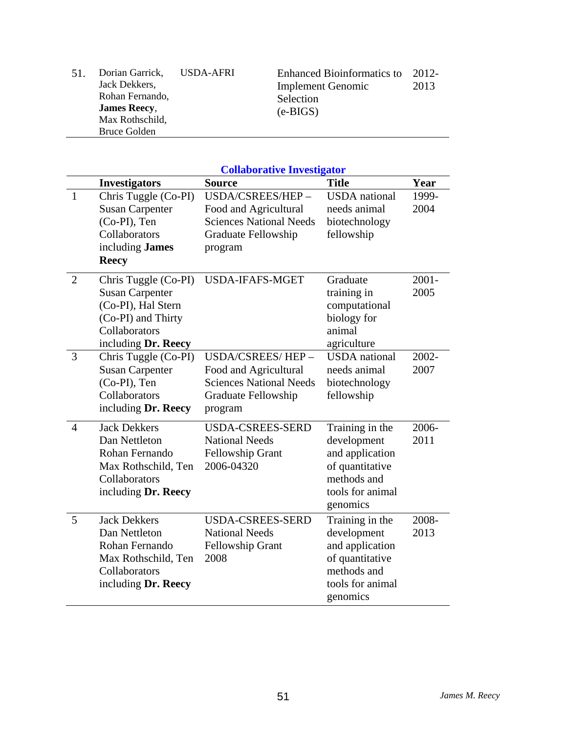| 51. | Dorian Garrick,<br>Jack Dekkers, | USDA-AFRI | <b>Enhanced Bioinformatics to</b><br><b>Implement Genomic</b> | 2012-<br>2013 |
|-----|----------------------------------|-----------|---------------------------------------------------------------|---------------|
|     | Rohan Fernando,                  |           | Selection                                                     |               |
|     | <b>James Reecy,</b>              |           | $(e-BIGS)$                                                    |               |
|     | Max Rothschild,                  |           |                                                               |               |
|     | Bruce Golden                     |           |                                                               |               |

|                |                                                                                                                                    | <b>Collaborative Investigator</b>                                                                             |                                                                                                                     |                  |
|----------------|------------------------------------------------------------------------------------------------------------------------------------|---------------------------------------------------------------------------------------------------------------|---------------------------------------------------------------------------------------------------------------------|------------------|
|                | <b>Investigators</b>                                                                                                               | <b>Source</b>                                                                                                 | <b>Title</b>                                                                                                        | Year             |
| $\mathbf{1}$   | Chris Tuggle (Co-PI)<br><b>Susan Carpenter</b><br>(Co-PI), Ten<br>Collaborators<br>including James<br><b>Reecy</b>                 | USDA/CSREES/HEP-<br>Food and Agricultural<br><b>Sciences National Needs</b><br>Graduate Fellowship<br>program | <b>USDA</b> national<br>needs animal<br>biotechnology<br>fellowship                                                 | 1999-<br>2004    |
| $\overline{2}$ | Chris Tuggle (Co-PI)<br><b>Susan Carpenter</b><br>(Co-PI), Hal Stern<br>(Co-PI) and Thirty<br>Collaborators<br>including Dr. Reecy | <b>USDA-IFAFS-MGET</b>                                                                                        | Graduate<br>training in<br>computational<br>biology for<br>animal<br>agriculture                                    | $2001 -$<br>2005 |
| 3              | Chris Tuggle (Co-PI)<br><b>Susan Carpenter</b><br>(Co-PI), Ten<br>Collaborators<br>including Dr. Reecy                             | USDA/CSREES/HEP-<br>Food and Agricultural<br><b>Sciences National Needs</b><br>Graduate Fellowship<br>program | <b>USDA</b> national<br>needs animal<br>biotechnology<br>fellowship                                                 | 2002-<br>2007    |
| $\overline{4}$ | <b>Jack Dekkers</b><br>Dan Nettleton<br>Rohan Fernando<br>Max Rothschild, Ten<br>Collaborators<br>including Dr. Reecy              | <b>USDA-CSREES-SERD</b><br><b>National Needs</b><br><b>Fellowship Grant</b><br>2006-04320                     | Training in the<br>development<br>and application<br>of quantitative<br>methods and<br>tools for animal<br>genomics | 2006-<br>2011    |
| 5              | <b>Jack Dekkers</b><br>Dan Nettleton<br>Rohan Fernando<br>Max Rothschild, Ten<br>Collaborators<br>including Dr. Reecy              | <b>USDA-CSREES-SERD</b><br><b>National Needs</b><br><b>Fellowship Grant</b><br>2008                           | Training in the<br>development<br>and application<br>of quantitative<br>methods and<br>tools for animal<br>genomics | 2008-<br>2013    |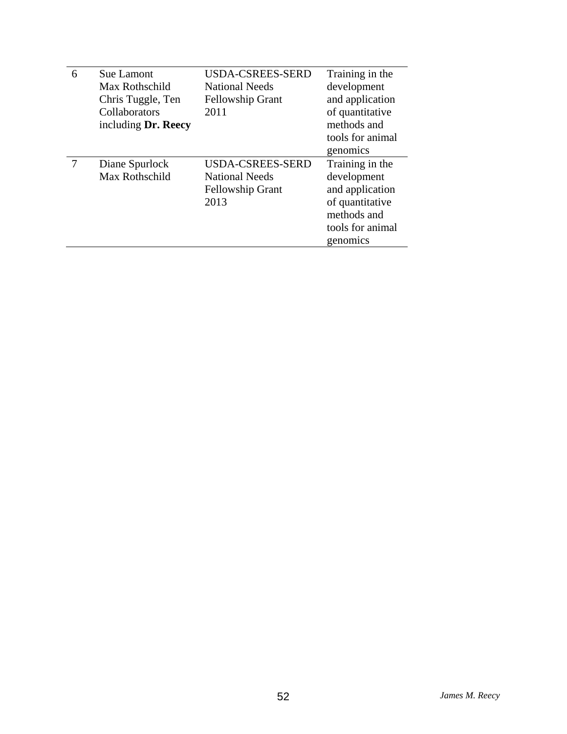| 6 | <b>Sue Lamont</b><br>Max Rothschild<br>Chris Tuggle, Ten<br>Collaborators | USDA-CSREES-SERD<br><b>National Needs</b><br><b>Fellowship Grant</b><br>2011 | Training in the<br>development<br>and application<br>of quantitative |
|---|---------------------------------------------------------------------------|------------------------------------------------------------------------------|----------------------------------------------------------------------|
|   | including Dr. Reecy                                                       |                                                                              | methods and                                                          |
|   |                                                                           |                                                                              | tools for animal                                                     |
|   |                                                                           |                                                                              | genomics                                                             |
|   | Diane Spurlock                                                            | <b>USDA-CSREES-SERD</b>                                                      | Training in the                                                      |
|   | Max Rothschild                                                            | <b>National Needs</b>                                                        | development                                                          |
|   |                                                                           | <b>Fellowship Grant</b>                                                      | and application                                                      |
|   |                                                                           | 2013                                                                         | of quantitative                                                      |
|   |                                                                           |                                                                              | methods and                                                          |
|   |                                                                           |                                                                              | tools for animal                                                     |
|   |                                                                           |                                                                              | genomics                                                             |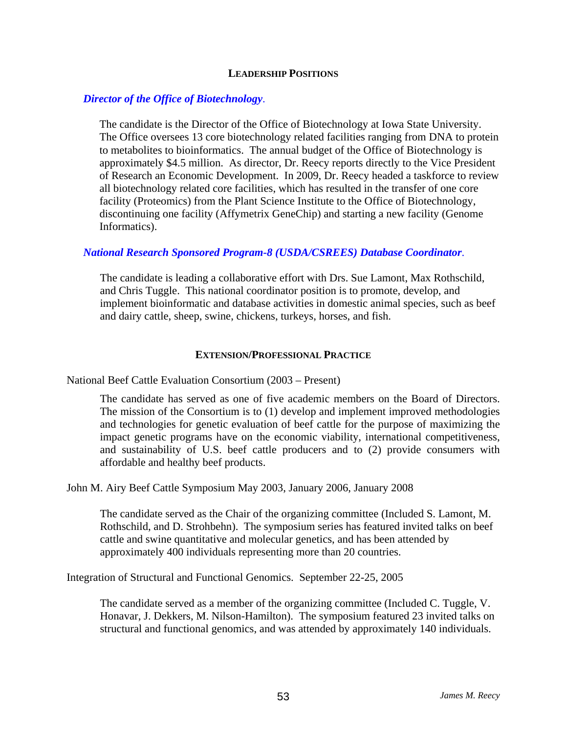#### **LEADERSHIP POSITIONS**

#### *Director of the Office of Biotechnology*.

The candidate is the Director of the Office of Biotechnology at Iowa State University. The Office oversees 13 core biotechnology related facilities ranging from DNA to protein to metabolites to bioinformatics. The annual budget of the Office of Biotechnology is approximately \$4.5 million. As director, Dr. Reecy reports directly to the Vice President of Research an Economic Development. In 2009, Dr. Reecy headed a taskforce to review all biotechnology related core facilities, which has resulted in the transfer of one core facility (Proteomics) from the Plant Science Institute to the Office of Biotechnology, discontinuing one facility (Affymetrix GeneChip) and starting a new facility (Genome Informatics).

#### *National Research Sponsored Program-8 (USDA/CSREES) Database Coordinator*.

The candidate is leading a collaborative effort with Drs. Sue Lamont, Max Rothschild, and Chris Tuggle. This national coordinator position is to promote, develop, and implement bioinformatic and database activities in domestic animal species, such as beef and dairy cattle, sheep, swine, chickens, turkeys, horses, and fish.

#### **EXTENSION/PROFESSIONAL PRACTICE**

National Beef Cattle Evaluation Consortium (2003 – Present)

The candidate has served as one of five academic members on the Board of Directors. The mission of the Consortium is to (1) develop and implement improved methodologies and technologies for genetic evaluation of beef cattle for the purpose of maximizing the impact genetic programs have on the economic viability, international competitiveness, and sustainability of U.S. beef cattle producers and to (2) provide consumers with affordable and healthy beef products.

John M. Airy Beef Cattle Symposium May 2003, January 2006, January 2008

The candidate served as the Chair of the organizing committee (Included S. Lamont, M. Rothschild, and D. Strohbehn). The symposium series has featured invited talks on beef cattle and swine quantitative and molecular genetics, and has been attended by approximately 400 individuals representing more than 20 countries.

Integration of Structural and Functional Genomics. September 22-25, 2005

The candidate served as a member of the organizing committee (Included C. Tuggle, V. Honavar, J. Dekkers, M. Nilson-Hamilton). The symposium featured 23 invited talks on structural and functional genomics, and was attended by approximately 140 individuals.